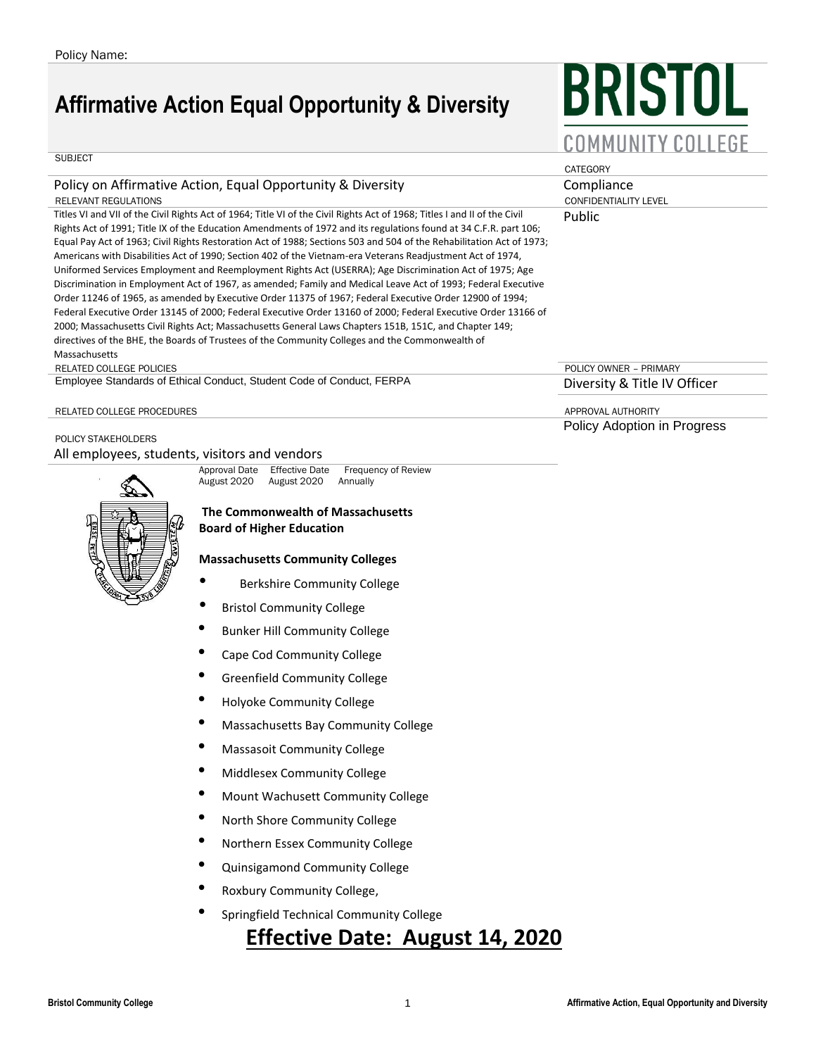## **Affirmative Action Equal Opportunity & Diversity**

# BRISTOL COMMUNITY COLLEGE

**CATEGORY** 

Public

#### **SUBJECT**

#### Policy on Affirmative Action, Equal Opportunity & Diversity Compliance Compliance

RELEVANT REGULATIONS CONFIDENTIALITY LEVEL

Titles VI and VII of the Civil Rights Act of 1964; Title VI of the Civil Rights Act of 1968; Titles I and II of the Civil Rights Act of 1991; Title IX of the Education Amendments of 1972 and its regulations found at 34 C.F.R. part 106; Equal Pay Act of 1963; Civil Rights Restoration Act of 1988; Sections 503 and 504 of the Rehabilitation Act of 1973; Americans with Disabilities Act of 1990; Section 402 of the Vietnam-era Veterans Readjustment Act of 1974, Uniformed Services Employment and Reemployment Rights Act (USERRA); Age Discrimination Act of 1975; Age Discrimination in Employment Act of 1967, as amended; Family and Medical Leave Act of 1993; Federal Executive Order 11246 of 1965, as amended by Executive Order 11375 of 1967; Federal Executive Order 12900 of 1994; Federal Executive Order 13145 of 2000; Federal Executive Order 13160 of 2000; Federal Executive Order 13166 of 2000; Massachusetts Civil Rights Act; Massachusetts General Laws Chapters 151B, 151C, and Chapter 149; directives of the BHE, the Boards of Trustees of the Community Colleges and the Commonwealth of Massachusetts

#### RELATED COLLEGE POLICIES POLICY OWNER – PRIMARY

POLICY STAKEHOLDERS

Employee Standards of Ethical Conduct, Student Code of Conduct, FERPA Diversity & Title IV Officer

RELATED COLLEGE PROCEDURES AND THE SERIES ARE COLLEGE PROCEDURES AND THE SERIES APPROVAL AUTHORITY

Policy Adoption in Progress

All employees, students, visitors and vendors

Approval Date Effective Date Frequency of Review<br>August 2020 August 2020 Annually August 2020

#### **The Commonwealth of Massachusetts Board of Higher Education**

#### **Massachusetts Community Colleges**

- Berkshire Community College
- Bristol Community College
- Bunker Hill Community College
- Cape Cod Community College
- Greenfield Community College
- Holyoke Community College
- Massachusetts Bay Community College
- Massasoit Community College
- Middlesex Community College
- Mount Wachusett Community College
- North Shore Community College
- Northern Essex Community College
- Quinsigamond Community College
- Roxbury Community College,
- Springfield Technical Community College

## **Effective Date: August 14, 2020**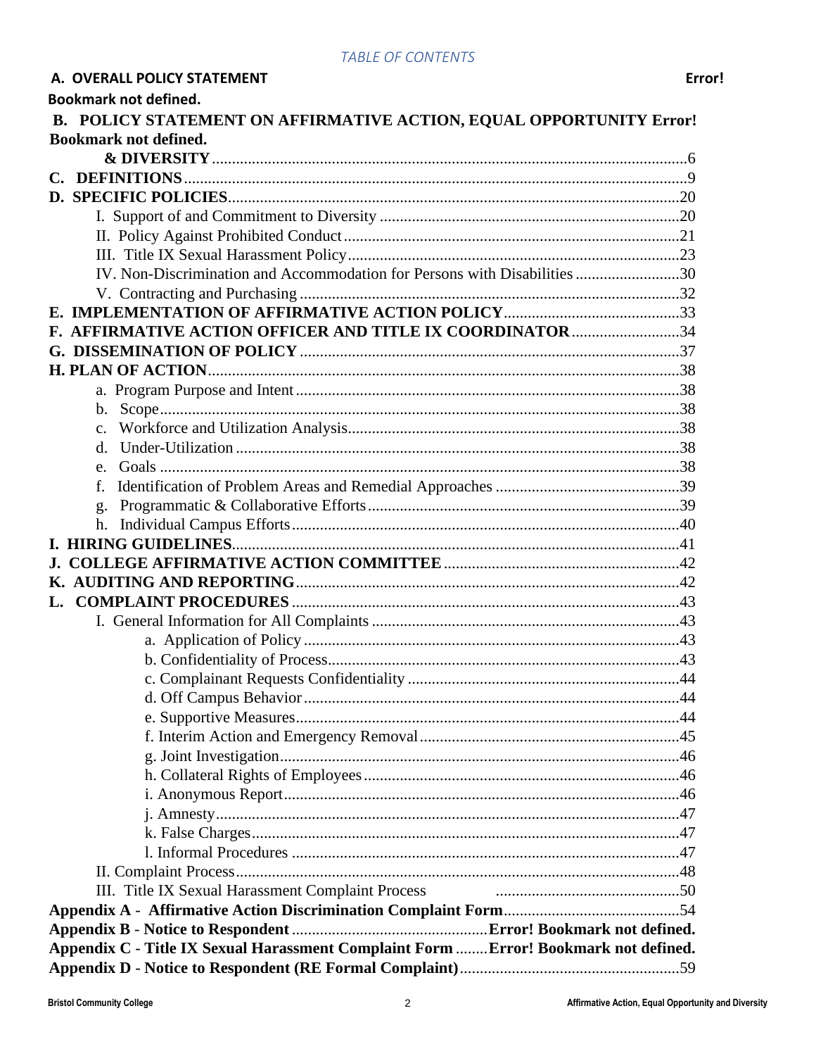|               | <b>Bookmark not defined.</b>                                                         |  |
|---------------|--------------------------------------------------------------------------------------|--|
|               | B. POLICY STATEMENT ON AFFIRMATIVE ACTION, EQUAL OPPORTUNITY Error!                  |  |
|               | <b>Bookmark not defined.</b>                                                         |  |
|               |                                                                                      |  |
| $C_{\bullet}$ |                                                                                      |  |
|               |                                                                                      |  |
|               |                                                                                      |  |
|               |                                                                                      |  |
|               |                                                                                      |  |
|               | IV. Non-Discrimination and Accommodation for Persons with Disabilities 30            |  |
|               |                                                                                      |  |
|               |                                                                                      |  |
|               | F. AFFIRMATIVE ACTION OFFICER AND TITLE IX COORDINATOR 34                            |  |
|               |                                                                                      |  |
|               |                                                                                      |  |
|               |                                                                                      |  |
|               |                                                                                      |  |
|               | $C_{\bullet}$                                                                        |  |
|               | $d_{\cdot}$                                                                          |  |
|               | e.                                                                                   |  |
|               | f.                                                                                   |  |
|               | g.                                                                                   |  |
|               |                                                                                      |  |
|               |                                                                                      |  |
|               |                                                                                      |  |
|               |                                                                                      |  |
|               |                                                                                      |  |
|               |                                                                                      |  |
|               |                                                                                      |  |
|               |                                                                                      |  |
|               |                                                                                      |  |
|               |                                                                                      |  |
|               |                                                                                      |  |
|               |                                                                                      |  |
|               |                                                                                      |  |
|               |                                                                                      |  |
|               |                                                                                      |  |
|               |                                                                                      |  |
|               |                                                                                      |  |
|               |                                                                                      |  |
|               |                                                                                      |  |
|               | III. Title IX Sexual Harassment Complaint Process                                    |  |
|               |                                                                                      |  |
|               |                                                                                      |  |
|               | Appendix C - Title IX Sexual Harassment Complaint Form  Error! Bookmark not defined. |  |
|               |                                                                                      |  |

A. OVERALL POLICY STATEMENT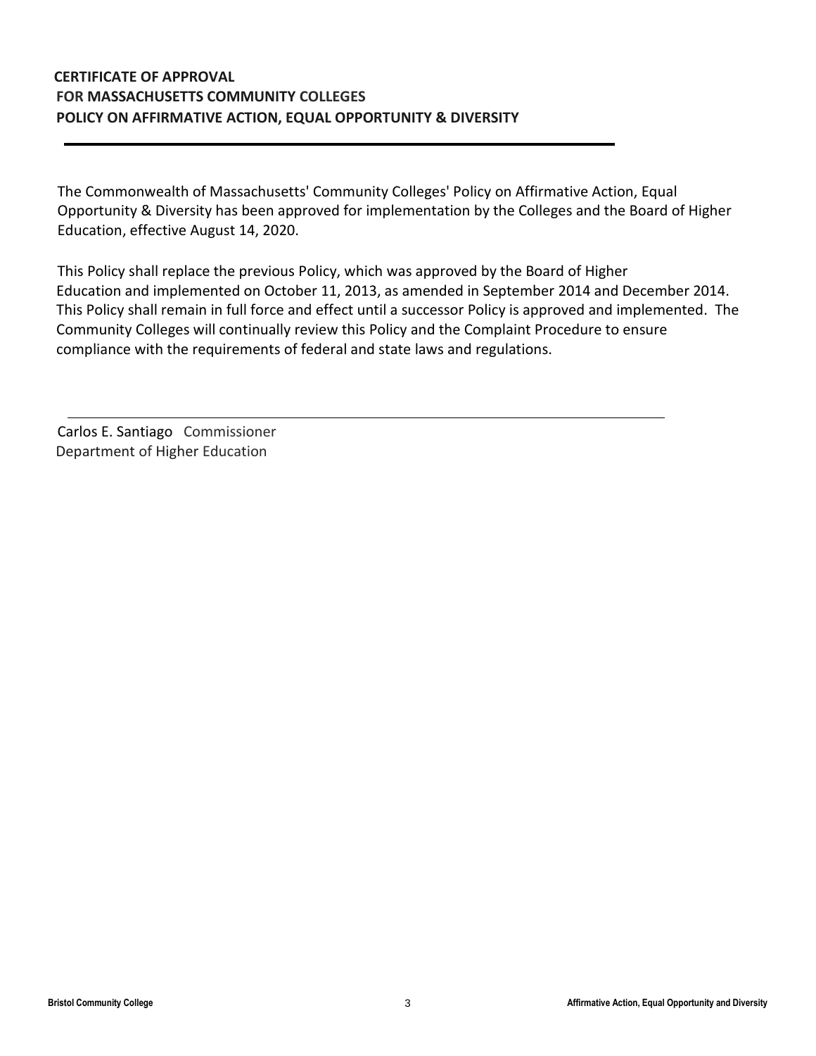## **CERTIFICATE OF APPROVAL FOR MASSACHUSETTS COMMUNITY COLLEGES POLICY ON AFFIRMATIVE ACTION, EQUAL OPPORTUNITY & DIVERSITY**

The Commonwealth of Massachusetts' Community Colleges' Policy on Affirmative Action, Equal Opportunity & Diversity has been approved for implementation by the Colleges and the Board of Higher Education, effective August 14, 2020.

This Policy shall replace the previous Policy, which was approved by the Board of Higher Education and implemented on October 11, 2013, as amended in September 2014 and December 2014. This Policy shall remain in full force and effect until a successor Policy is approved and implemented. The Community Colleges will continually review this Policy and the Complaint Procedure to ensure compliance with the requirements of federal and state laws and regulations.

Carlos E. Santiago Commissioner Department of Higher Education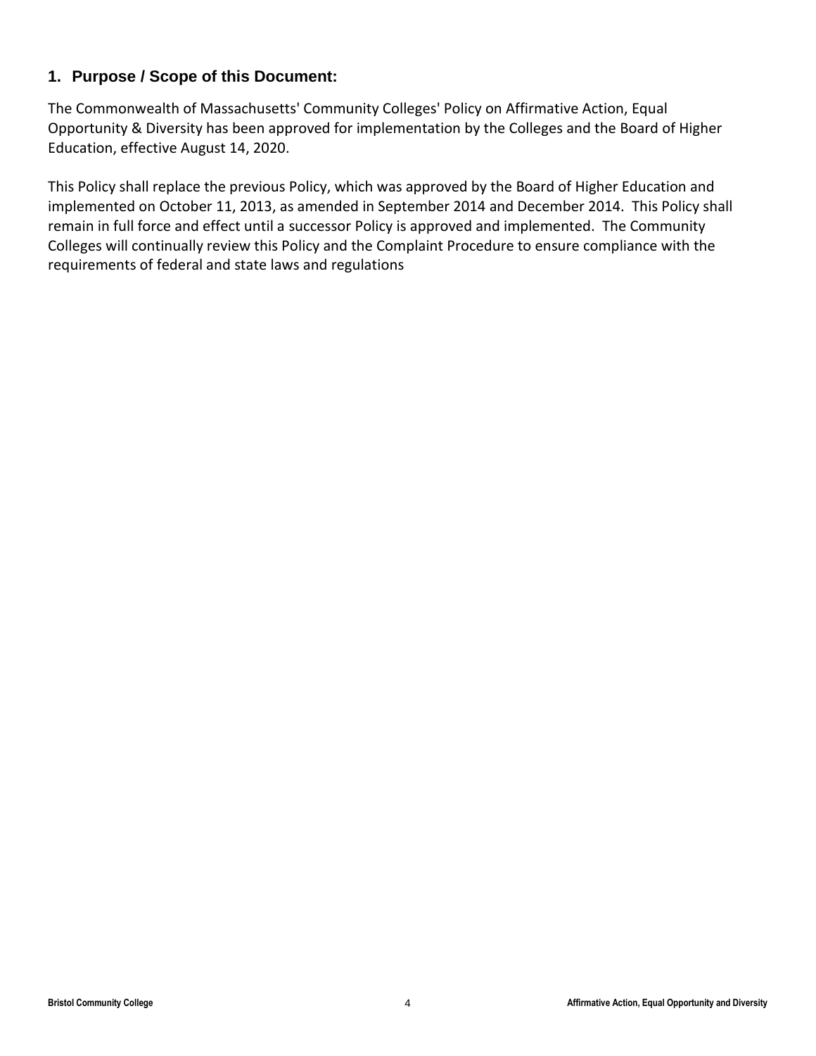## **1. Purpose / Scope of this Document:**

The Commonwealth of Massachusetts' Community Colleges' Policy on Affirmative Action, Equal Opportunity & Diversity has been approved for implementation by the Colleges and the Board of Higher Education, effective August 14, 2020.

This Policy shall replace the previous Policy, which was approved by the Board of Higher Education and implemented on October 11, 2013, as amended in September 2014 and December 2014. This Policy shall remain in full force and effect until a successor Policy is approved and implemented. The Community Colleges will continually review this Policy and the Complaint Procedure to ensure compliance with the requirements of federal and state laws and regulations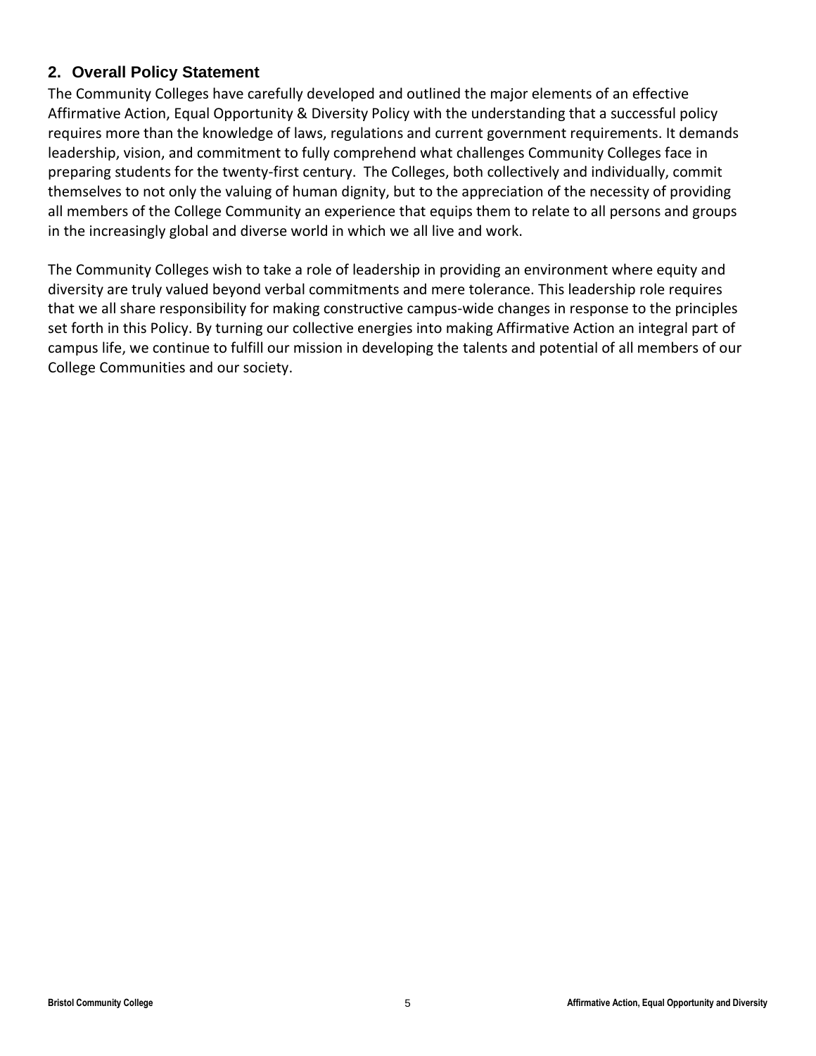## **2. Overall Policy Statement**

The Community Colleges have carefully developed and outlined the major elements of an effective Affirmative Action, Equal Opportunity & Diversity Policy with the understanding that a successful policy requires more than the knowledge of laws, regulations and current government requirements. It demands leadership, vision, and commitment to fully comprehend what challenges Community Colleges face in preparing students for the twenty-first century. The Colleges, both collectively and individually, commit themselves to not only the valuing of human dignity, but to the appreciation of the necessity of providing all members of the College Community an experience that equips them to relate to all persons and groups in the increasingly global and diverse world in which we all live and work.

The Community Colleges wish to take a role of leadership in providing an environment where equity and diversity are truly valued beyond verbal commitments and mere tolerance. This leadership role requires that we all share responsibility for making constructive campus-wide changes in response to the principles set forth in this Policy. By turning our collective energies into making Affirmative Action an integral part of campus life, we continue to fulfill our mission in developing the talents and potential of all members of our College Communities and our society.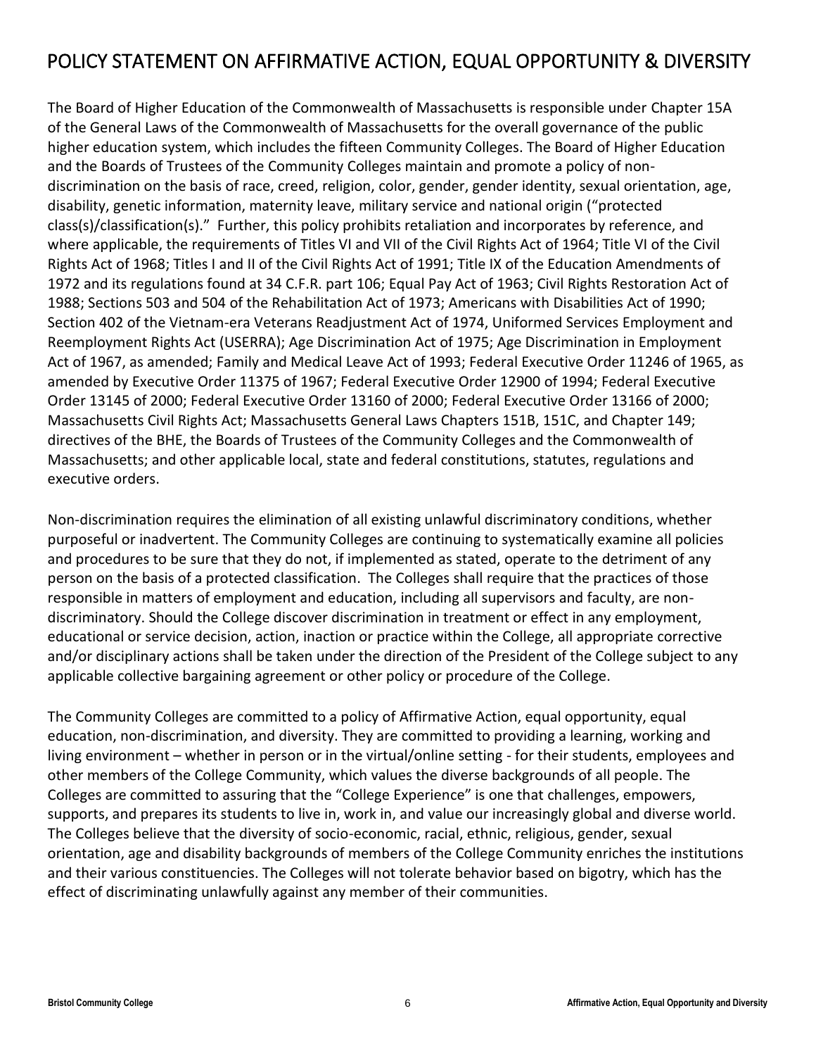## <span id="page-5-0"></span>POLICY STATEMENT ON AFFIRMATIVE ACTION, EQUAL OPPORTUNITY & DIVERSITY

The Board of Higher Education of the Commonwealth of Massachusetts is responsible under Chapter 15A of the General Laws of the Commonwealth of Massachusetts for the overall governance of the public higher education system, which includes the fifteen Community Colleges. The Board of Higher Education and the Boards of Trustees of the Community Colleges maintain and promote a policy of nondiscrimination on the basis of race, creed, religion, color, gender, gender identity, sexual orientation, age, disability, genetic information, maternity leave, military service and national origin ("protected class(s)/classification(s)." Further, this policy prohibits retaliation and incorporates by reference, and where applicable, the requirements of Titles VI and VII of the Civil Rights Act of 1964; Title VI of the Civil Rights Act of 1968; Titles I and II of the Civil Rights Act of 1991; Title IX of the Education Amendments of 1972 and its regulations found at 34 C.F.R. part 106; Equal Pay Act of 1963; Civil Rights Restoration Act of 1988; Sections 503 and 504 of the Rehabilitation Act of 1973; Americans with Disabilities Act of 1990; Section 402 of the Vietnam-era Veterans Readjustment Act of 1974, Uniformed Services Employment and Reemployment Rights Act (USERRA); Age Discrimination Act of 1975; Age Discrimination in Employment Act of 1967, as amended; Family and Medical Leave Act of 1993; Federal Executive Order 11246 of 1965, as amended by Executive Order 11375 of 1967; Federal Executive Order 12900 of 1994; Federal Executive Order 13145 of 2000; Federal Executive Order 13160 of 2000; Federal Executive Order 13166 of 2000; Massachusetts Civil Rights Act; Massachusetts General Laws Chapters 151B, 151C, and Chapter 149; directives of the BHE, the Boards of Trustees of the Community Colleges and the Commonwealth of Massachusetts; and other applicable local, state and federal constitutions, statutes, regulations and executive orders.

Non-discrimination requires the elimination of all existing unlawful discriminatory conditions, whether purposeful or inadvertent. The Community Colleges are continuing to systematically examine all policies and procedures to be sure that they do not, if implemented as stated, operate to the detriment of any person on the basis of a protected classification. The Colleges shall require that the practices of those responsible in matters of employment and education, including all supervisors and faculty, are nondiscriminatory. Should the College discover discrimination in treatment or effect in any employment, educational or service decision, action, inaction or practice within the College, all appropriate corrective and/or disciplinary actions shall be taken under the direction of the President of the College subject to any applicable collective bargaining agreement or other policy or procedure of the College.

The Community Colleges are committed to a policy of Affirmative Action, equal opportunity, equal education, non-discrimination, and diversity. They are committed to providing a learning, working and living environment – whether in person or in the virtual/online setting - for their students, employees and other members of the College Community, which values the diverse backgrounds of all people. The Colleges are committed to assuring that the "College Experience" is one that challenges, empowers, supports, and prepares its students to live in, work in, and value our increasingly global and diverse world. The Colleges believe that the diversity of socio-economic, racial, ethnic, religious, gender, sexual orientation, age and disability backgrounds of members of the College Community enriches the institutions and their various constituencies. The Colleges will not tolerate behavior based on bigotry, which has the effect of discriminating unlawfully against any member of their communities.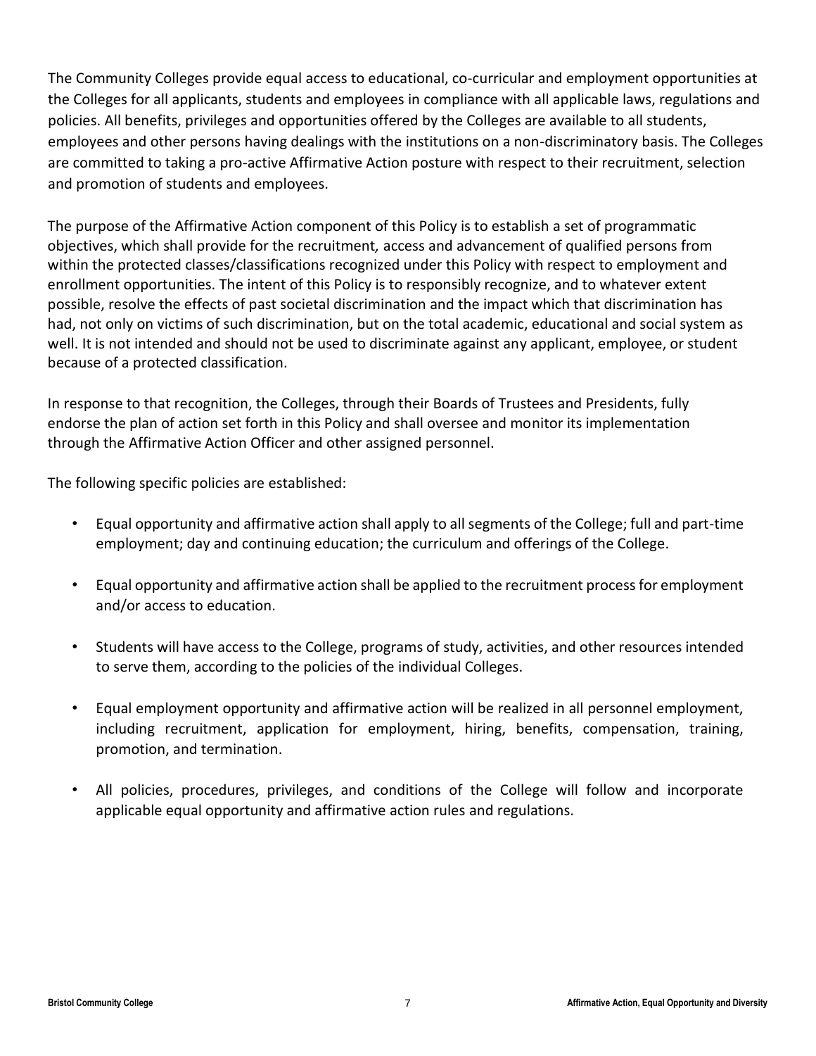The Community Colleges provide equal access to educational, co-curricular and employment opportunities at the Colleges for all applicants, students and employees in compliance with all applicable laws, regulations and policies. All benefits, privileges and opportunities offered by the Colleges are available to all students, employees and other persons having dealings with the institutions on a non-discriminatory basis. The Colleges are committed to taking a pro-active Affirmative Action posture with respect to their recruitment, selection and promotion of students and employees.

The purpose of the Affirmative Action component of this Policy is to establish a set of programmatic objectives, which shall provide for the recruitment*,* access and advancement of qualified persons from within the protected classes/classifications recognized under this Policy with respect to employment and enrollment opportunities. The intent of this Policy is to responsibly recognize, and to whatever extent possible, resolve the effects of past societal discrimination and the impact which that discrimination has had, not only on victims of such discrimination, but on the total academic, educational and social system as well. It is not intended and should not be used to discriminate against any applicant, employee, or student because of a protected classification.

In response to that recognition, the Colleges, through their Boards of Trustees and Presidents, fully endorse the plan of action set forth in this Policy and shall oversee and monitor its implementation through the Affirmative Action Officer and other assigned personnel.

The following specific policies are established:

- Equal opportunity and affirmative action shall apply to all segments of the College; full and part-time employment; day and continuing education; the curriculum and offerings of the College.
- Equal opportunity and affirmative action shall be applied to the recruitment process for employment and/or access to education.
- Students will have access to the College, programs of study, activities, and other resources intended to serve them, according to the policies of the individual Colleges.
- Equal employment opportunity and affirmative action will be realized in all personnel employment, including recruitment, application for employment, hiring, benefits, compensation, training, promotion, and termination.
- All policies, procedures, privileges, and conditions of the College will follow and incorporate applicable equal opportunity and affirmative action rules and regulations.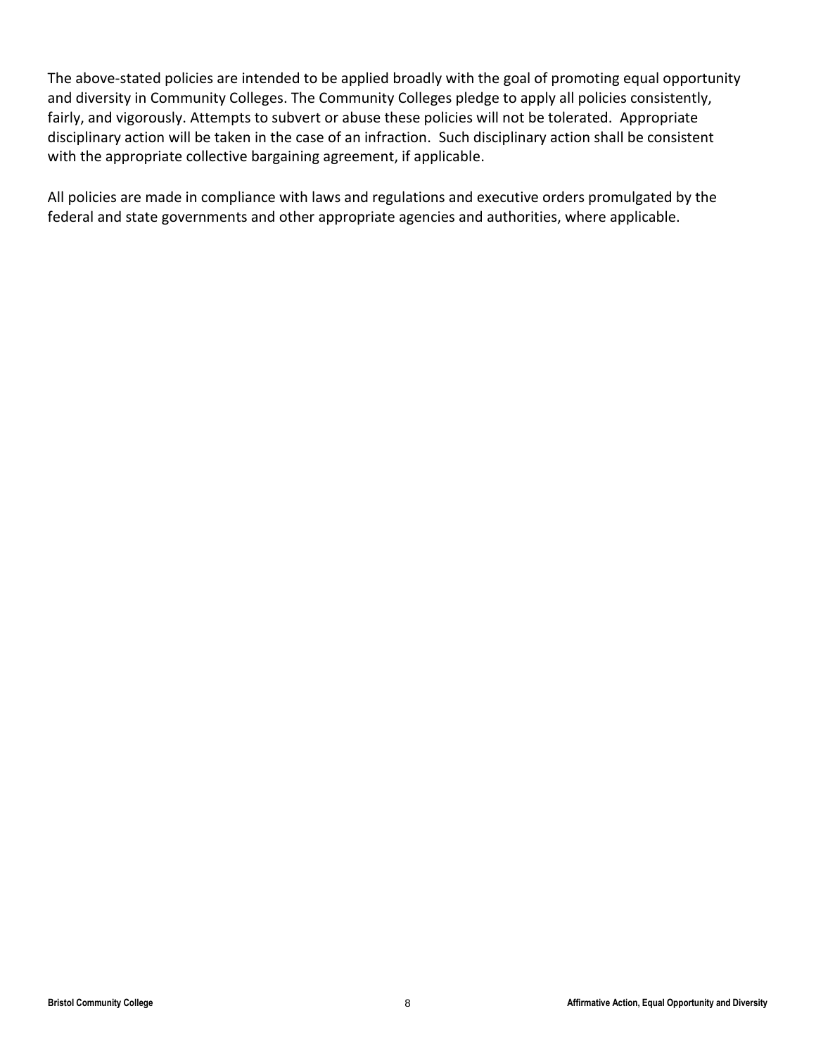The above-stated policies are intended to be applied broadly with the goal of promoting equal opportunity and diversity in Community Colleges. The Community Colleges pledge to apply all policies consistently, fairly, and vigorously. Attempts to subvert or abuse these policies will not be tolerated. Appropriate disciplinary action will be taken in the case of an infraction.Such disciplinary action shall be consistent with the appropriate collective bargaining agreement, if applicable.

All policies are made in compliance with laws and regulations and executive orders promulgated by the federal and state governments and other appropriate agencies and authorities, where applicable.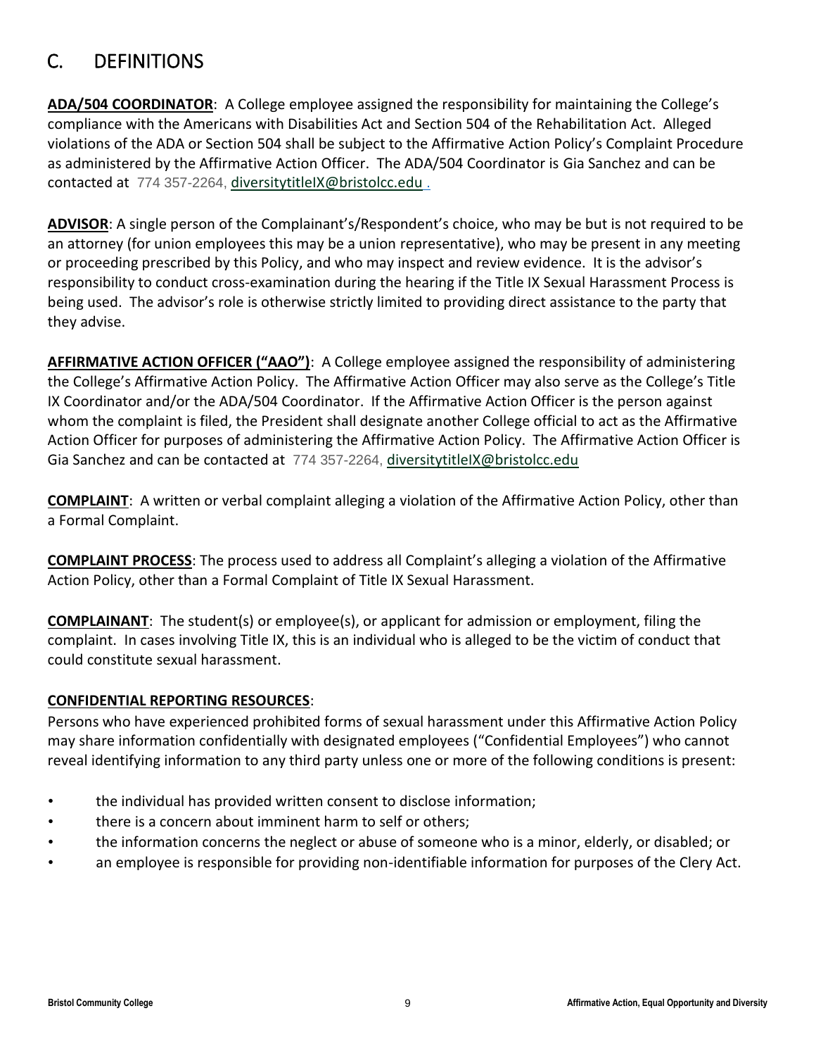## <span id="page-8-0"></span>C. DEFINITIONS

**ADA/504 COORDINATOR**: A College employee assigned the responsibility for maintaining the College's compliance with the Americans with Disabilities Act and Section 504 of the Rehabilitation Act. Alleged violations of the ADA or Section 504 shall be subject to the Affirmative Action Policy's Complaint Procedure as administered by the Affirmative Action Officer. The ADA/504 Coordinator is Gia Sanchez and can be contacted at 774 357-2264, [diversitytitleIX@bristolcc.edu](mailto:diversitytitleIX@bristolcc.edu) .

**ADVISOR**: A single person of the Complainant's/Respondent's choice, who may be but is not required to be an attorney (for union employees this may be a union representative), who may be present in any meeting or proceeding prescribed by this Policy, and who may inspect and review evidence. It is the advisor's responsibility to conduct cross-examination during the hearing if the Title IX Sexual Harassment Process is being used. The advisor's role is otherwise strictly limited to providing direct assistance to the party that they advise.

**AFFIRMATIVE ACTION OFFICER ("AAO")**: A College employee assigned the responsibility of administering the College's Affirmative Action Policy. The Affirmative Action Officer may also serve as the College's Title IX Coordinator and/or the ADA/504 Coordinator. If the Affirmative Action Officer is the person against whom the complaint is filed, the President shall designate another College official to act as the Affirmative Action Officer for purposes of administering the Affirmative Action Policy. The Affirmative Action Officer is Gia Sanchez and can be contacted at 774 357-2264, [diversitytitleIX@bristolcc.edu](mailto:diversitytitleIX@bristolcc.edu)

**COMPLAINT**: A written or verbal complaint alleging a violation of the Affirmative Action Policy, other than a Formal Complaint.

**COMPLAINT PROCESS**: The process used to address all Complaint's alleging a violation of the Affirmative Action Policy, other than a Formal Complaint of Title IX Sexual Harassment.

**COMPLAINANT**: The student(s) or employee(s), or applicant for admission or employment, filing the complaint. In cases involving Title IX, this is an individual who is alleged to be the victim of conduct that could constitute sexual harassment.

## **CONFIDENTIAL REPORTING RESOURCES**:

Persons who have experienced prohibited forms of sexual harassment under this Affirmative Action Policy may share information confidentially with designated employees ("Confidential Employees") who cannot reveal identifying information to any third party unless one or more of the following conditions is present:

- the individual has provided written consent to disclose information;
- there is a concern about imminent harm to self or others;
- the information concerns the neglect or abuse of someone who is a minor, elderly, or disabled; or
- an employee is responsible for providing non-identifiable information for purposes of the Clery Act.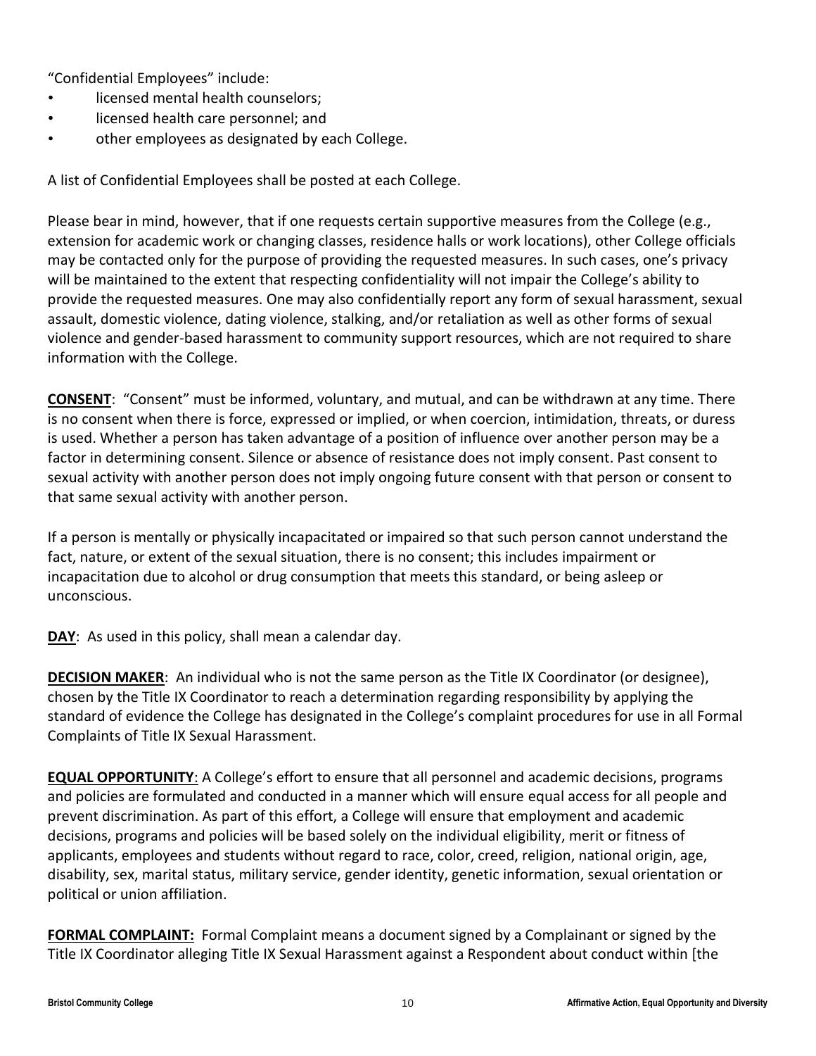"Confidential Employees" include:

- licensed mental health counselors;
- licensed health care personnel; and
- other employees as designated by each College.

A list of Confidential Employees shall be posted at each College.

Please bear in mind, however, that if one requests certain supportive measures from the College (e.g., extension for academic work or changing classes, residence halls or work locations), other College officials may be contacted only for the purpose of providing the requested measures. In such cases, one's privacy will be maintained to the extent that respecting confidentiality will not impair the College's ability to provide the requested measures. One may also confidentially report any form of sexual harassment, sexual assault, domestic violence, dating violence, stalking, and/or retaliation as well as other forms of sexual violence and gender-based harassment to community support resources, which are not required to share information with the College.

**CONSENT**:"Consent" must be informed, voluntary, and mutual, and can be withdrawn at any time. There is no consent when there is force, expressed or implied, or when coercion, intimidation, threats, or duress is used. Whether a person has taken advantage of a position of influence over another person may be a factor in determining consent. Silence or absence of resistance does not imply consent. Past consent to sexual activity with another person does not imply ongoing future consent with that person or consent to that same sexual activity with another person.

If a person is mentally or physically incapacitated or impaired so that such person cannot understand the fact, nature, or extent of the sexual situation, there is no consent; this includes impairment or incapacitation due to alcohol or drug consumption that meets this standard, or being asleep or unconscious.

**DAY**: As used in this policy, shall mean a calendar day.

**DECISION MAKER**: An individual who is not the same person as the Title IX Coordinator (or designee), chosen by the Title IX Coordinator to reach a determination regarding responsibility by applying the standard of evidence the College has designated in the College's complaint procedures for use in all Formal Complaints of Title IX Sexual Harassment.

**EQUAL OPPORTUNITY**: A College's effort to ensure that all personnel and academic decisions, programs and policies are formulated and conducted in a manner which will ensure equal access for all people and prevent discrimination. As part of this effort, a College will ensure that employment and academic decisions, programs and policies will be based solely on the individual eligibility, merit or fitness of applicants, employees and students without regard to race, color, creed, religion, national origin, age, disability, sex, marital status, military service, gender identity, genetic information, sexual orientation or political or union affiliation.

**FORMAL COMPLAINT:** Formal Complaint means a document signed by a Complainant or signed by the Title IX Coordinator alleging Title IX Sexual Harassment against a Respondent about conduct within [the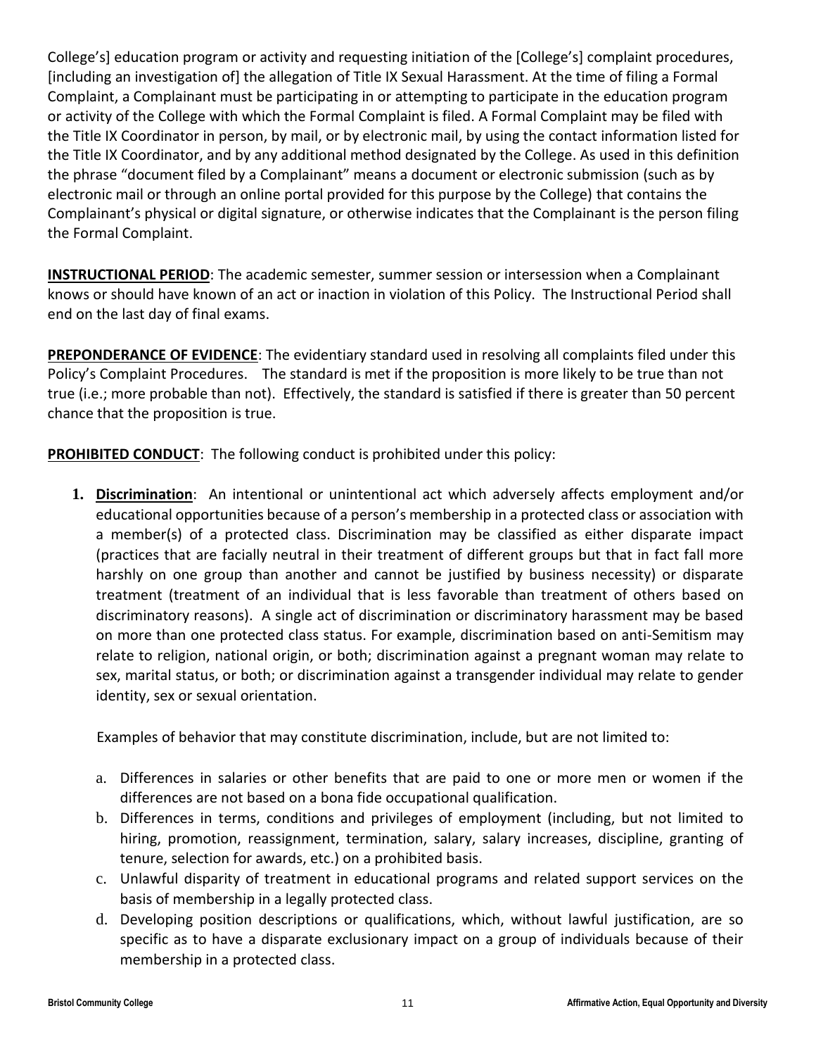College's] education program or activity and requesting initiation of the [College's] complaint procedures, [including an investigation of] the allegation of Title IX Sexual Harassment. At the time of filing a Formal Complaint, a Complainant must be participating in or attempting to participate in the education program or activity of the College with which the Formal Complaint is filed. A Formal Complaint may be filed with the Title IX Coordinator in person, by mail, or by electronic mail, by using the contact information listed for the Title IX Coordinator, and by any additional method designated by the College. As used in this definition the phrase "document filed by a Complainant" means a document or electronic submission (such as by electronic mail or through an online portal provided for this purpose by the College) that contains the Complainant's physical or digital signature, or otherwise indicates that the Complainant is the person filing the Formal Complaint.

**INSTRUCTIONAL PERIOD**: The academic semester, summer session or intersession when a Complainant knows or should have known of an act or inaction in violation of this Policy. The Instructional Period shall end on the last day of final exams.

**PREPONDERANCE OF EVIDENCE**: The evidentiary standard used in resolving all complaints filed under this Policy's Complaint Procedures. The standard is met if the proposition is [more likely](http://en.wikipedia.org/wiki/Probability) to be true than not true (i.e.; more probable than not). Effectively, the standard is satisfied if there is greater than 50 percent chance that the proposition is true.

**PROHIBITED CONDUCT**: The following conduct is prohibited under this policy:

**1. Discrimination**: An intentional or unintentional act which adversely affects employment and/or educational opportunities because of a person's membership in a protected class or association with a member(s) of a protected class. Discrimination may be classified as either disparate impact (practices that are facially neutral in their treatment of different groups but that in fact fall more harshly on one group than another and cannot be justified by business necessity) or disparate treatment (treatment of an individual that is less favorable than treatment of others based on discriminatory reasons). A single act of discrimination or discriminatory harassment may be based on more than one protected class status. For example, discrimination based on anti-Semitism may relate to religion, national origin, or both; discrimination against a pregnant woman may relate to sex, marital status, or both; or discrimination against a transgender individual may relate to gender identity, sex or sexual orientation.

Examples of behavior that may constitute discrimination, include, but are not limited to:

- a. Differences in salaries or other benefits that are paid to one or more men or women if the differences are not based on a bona fide occupational qualification.
- b. Differences in terms, conditions and privileges of employment (including, but not limited to hiring, promotion, reassignment, termination, salary, salary increases, discipline, granting of tenure, selection for awards, etc.) on a prohibited basis.
- c. Unlawful disparity of treatment in educational programs and related support services on the basis of membership in a legally protected class.
- d. Developing position descriptions or qualifications, which, without lawful justification, are so specific as to have a disparate exclusionary impact on a group of individuals because of their membership in a protected class.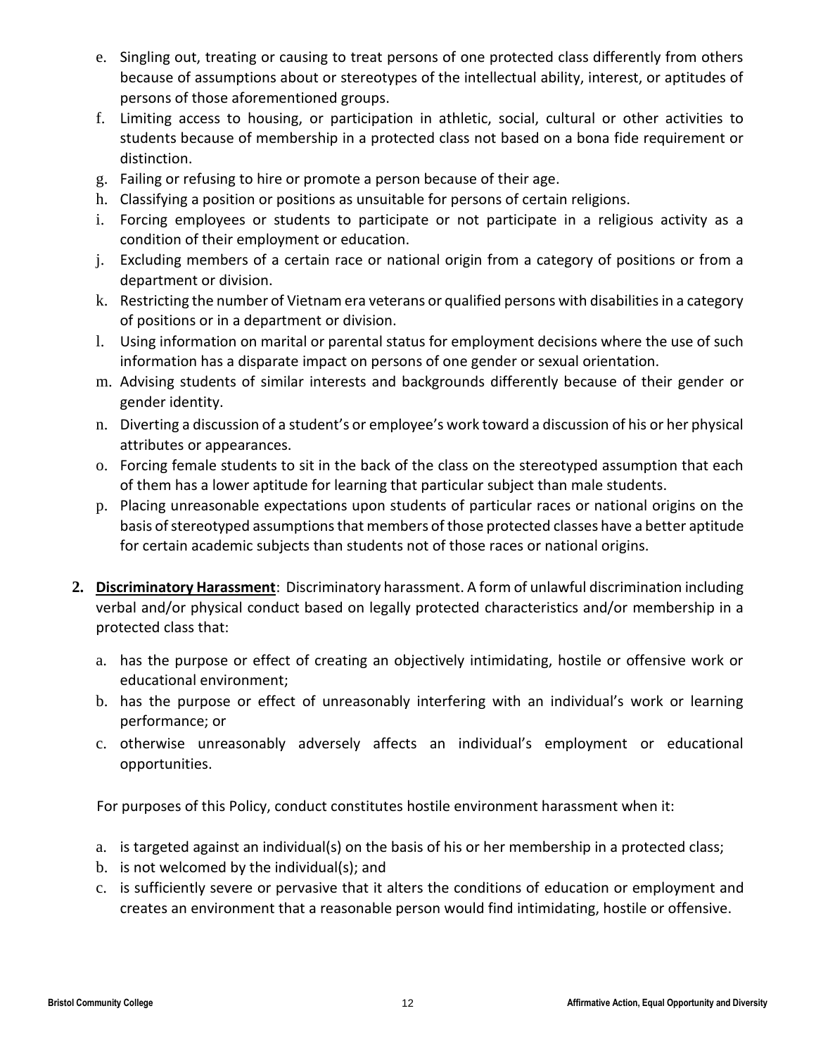- e. Singling out, treating or causing to treat persons of one protected class differently from others because of assumptions about or stereotypes of the intellectual ability, interest, or aptitudes of persons of those aforementioned groups.
- f. Limiting access to housing, or participation in athletic, social, cultural or other activities to students because of membership in a protected class not based on a bona fide requirement or distinction.
- g. Failing or refusing to hire or promote a person because of their age.
- h. Classifying a position or positions as unsuitable for persons of certain religions.
- i. Forcing employees or students to participate or not participate in a religious activity as a condition of their employment or education.
- j. Excluding members of a certain race or national origin from a category of positions or from a department or division.
- k. Restricting the number of Vietnam era veterans or qualified persons with disabilities in a category of positions or in a department or division.
- l. Using information on marital or parental status for employment decisions where the use of such information has a disparate impact on persons of one gender or sexual orientation.
- m. Advising students of similar interests and backgrounds differently because of their gender or gender identity.
- n. Diverting a discussion of a student's or employee's work toward a discussion of his or her physical attributes or appearances.
- o. Forcing female students to sit in the back of the class on the stereotyped assumption that each of them has a lower aptitude for learning that particular subject than male students.
- p. Placing unreasonable expectations upon students of particular races or national origins on the basis of stereotyped assumptions that members of those protected classes have a better aptitude for certain academic subjects than students not of those races or national origins.
- **2. Discriminatory Harassment**: Discriminatory harassment. A form of unlawful discrimination including verbal and/or physical conduct based on legally protected characteristics and/or membership in a protected class that:
	- a. has the purpose or effect of creating an objectively intimidating, hostile or offensive work or educational environment;
	- b. has the purpose or effect of unreasonably interfering with an individual's work or learning performance; or
	- c. otherwise unreasonably adversely affects an individual's employment or educational opportunities.

For purposes of this Policy, conduct constitutes hostile environment harassment when it:

- a. is targeted against an individual(s) on the basis of his or her membership in a protected class;
- b. is not welcomed by the individual(s); and
- c. is sufficiently severe or pervasive that it alters the conditions of education or employment and creates an environment that a reasonable person would find intimidating, hostile or offensive.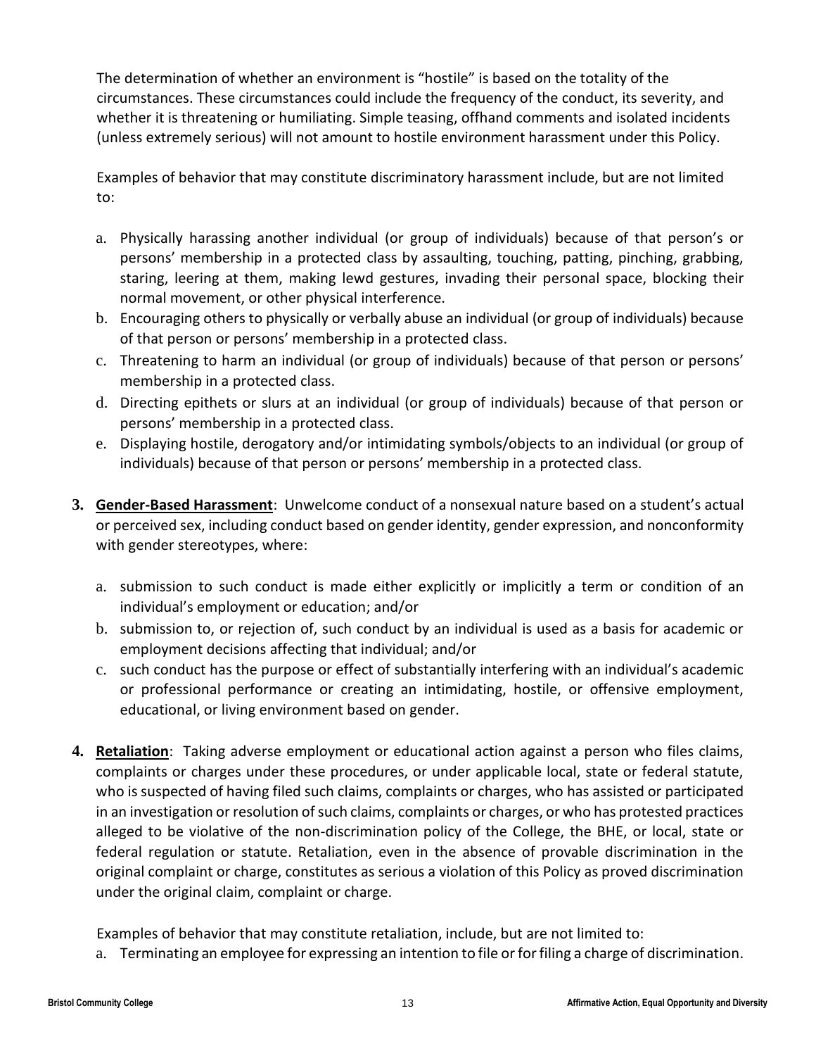The determination of whether an environment is "hostile" is based on the totality of the circumstances. These circumstances could include the frequency of the conduct, its severity, and whether it is threatening or humiliating. Simple teasing, offhand comments and isolated incidents (unless extremely serious) will not amount to hostile environment harassment under this Policy.

Examples of behavior that may constitute discriminatory harassment include, but are not limited to:

- a. Physically harassing another individual (or group of individuals) because of that person's or persons' membership in a protected class by assaulting, touching, patting, pinching, grabbing, staring, leering at them, making lewd gestures, invading their personal space, blocking their normal movement, or other physical interference.
- b. Encouraging others to physically or verbally abuse an individual (or group of individuals) because of that person or persons' membership in a protected class.
- c. Threatening to harm an individual (or group of individuals) because of that person or persons' membership in a protected class.
- d. Directing epithets or slurs at an individual (or group of individuals) because of that person or persons' membership in a protected class.
- e. Displaying hostile, derogatory and/or intimidating symbols/objects to an individual (or group of individuals) because of that person or persons' membership in a protected class.
- **3. Gender-Based Harassment**:Unwelcome conduct of a nonsexual nature based on a student's actual or perceived sex, including conduct based on gender identity, gender expression, and nonconformity with gender stereotypes, where:
	- a. submission to such conduct is made either explicitly or implicitly a term or condition of an individual's employment or education; and/or
	- b. submission to, or rejection of, such conduct by an individual is used as a basis for academic or employment decisions affecting that individual; and/or
	- c. such conduct has the purpose or effect of substantially interfering with an individual's academic or professional performance or creating an intimidating, hostile, or offensive employment, educational, or living environment based on gender.
- **4. Retaliation**: Taking adverse employment or educational action against a person who files claims, complaints or charges under these procedures, or under applicable local, state or federal statute, who is suspected of having filed such claims, complaints or charges, who has assisted or participated in an investigation or resolution of such claims, complaints or charges, or who has protested practices alleged to be violative of the non-discrimination policy of the College, the BHE, or local, state or federal regulation or statute. Retaliation, even in the absence of provable discrimination in the original complaint or charge, constitutes as serious a violation of this Policy as proved discrimination under the original claim, complaint or charge.

Examples of behavior that may constitute retaliation, include, but are not limited to:

a. Terminating an employee for expressing an intention to file or for filing a charge of discrimination.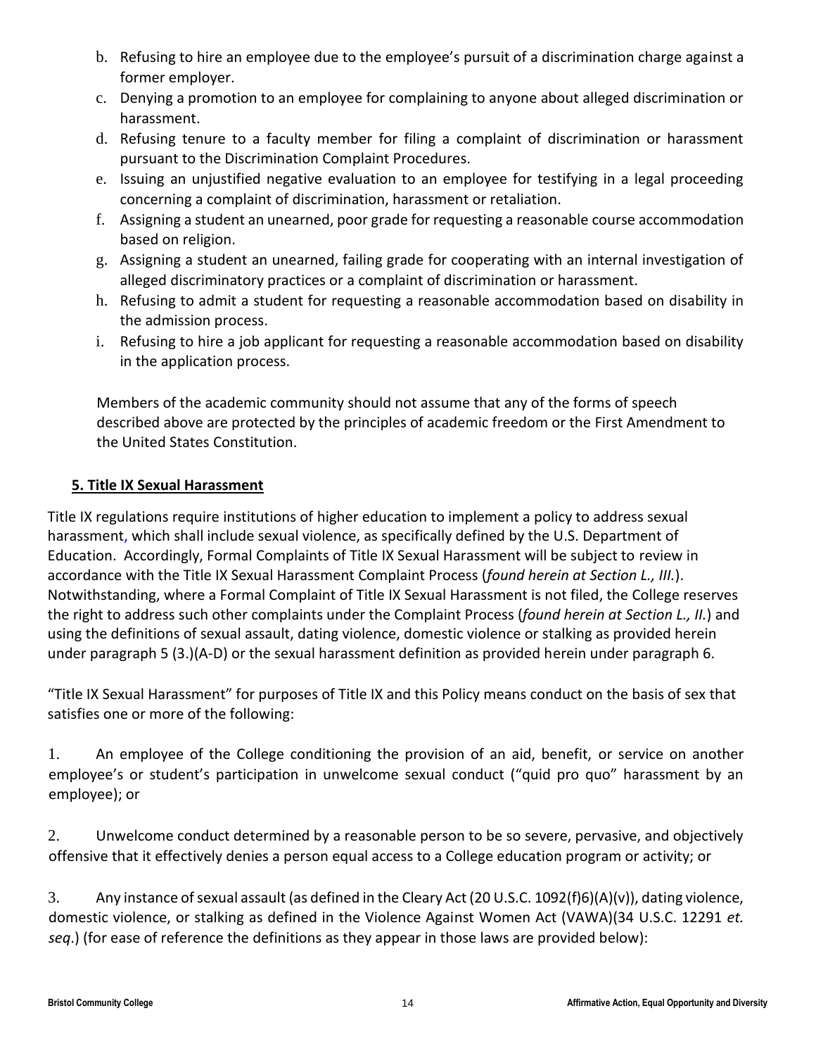- b. Refusing to hire an employee due to the employee's pursuit of a discrimination charge against a former employer.
- c. Denying a promotion to an employee for complaining to anyone about alleged discrimination or harassment.
- d. Refusing tenure to a faculty member for filing a complaint of discrimination or harassment pursuant to the Discrimination Complaint Procedures.
- e. Issuing an unjustified negative evaluation to an employee for testifying in a legal proceeding concerning a complaint of discrimination, harassment or retaliation.
- f. Assigning a student an unearned, poor grade for requesting a reasonable course accommodation based on religion.
- g. Assigning a student an unearned, failing grade for cooperating with an internal investigation of alleged discriminatory practices or a complaint of discrimination or harassment.
- h. Refusing to admit a student for requesting a reasonable accommodation based on disability in the admission process.
- i. Refusing to hire a job applicant for requesting a reasonable accommodation based on disability in the application process.

Members of the academic community should not assume that any of the forms of speech described above are protected by the principles of academic freedom or the First Amendment to the United States Constitution.

## **5. Title IX Sexual Harassment**

Title IX regulations require institutions of higher education to implement a policy to address sexual harassment, which shall include sexual violence, as specifically defined by the U.S. Department of Education. Accordingly, Formal Complaints of Title IX Sexual Harassment will be subject to review in accordance with the Title IX Sexual Harassment Complaint Process (*found herein at Section L., III.*). Notwithstanding, where a Formal Complaint of Title IX Sexual Harassment is not filed, the College reserves the right to address such other complaints under the Complaint Process (*found herein at Section L., II.*) and using the definitions of sexual assault, dating violence, domestic violence or stalking as provided herein under paragraph 5 (3.)(A-D) or the sexual harassment definition as provided herein under paragraph 6.

"Title IX Sexual Harassment" for purposes of Title IX and this Policy means conduct on the basis of sex that satisfies one or more of the following:

1. An employee of the College conditioning the provision of an aid, benefit, or service on another employee's or student's participation in unwelcome sexual conduct ("quid pro quo" harassment by an employee); or

2. Unwelcome conduct determined by a reasonable person to be so severe, pervasive, and objectively offensive that it effectively denies a person equal access to a College education program or activity; or

3. Any instance of sexual assault (as defined in the Cleary Act (20 U.S.C. 1092(f)6)(A)(v)), dating violence, domestic violence, or stalking as defined in the Violence Against Women Act (VAWA)(34 U.S.C. 12291 *et. seq*.) (for ease of reference the definitions as they appear in those laws are provided below):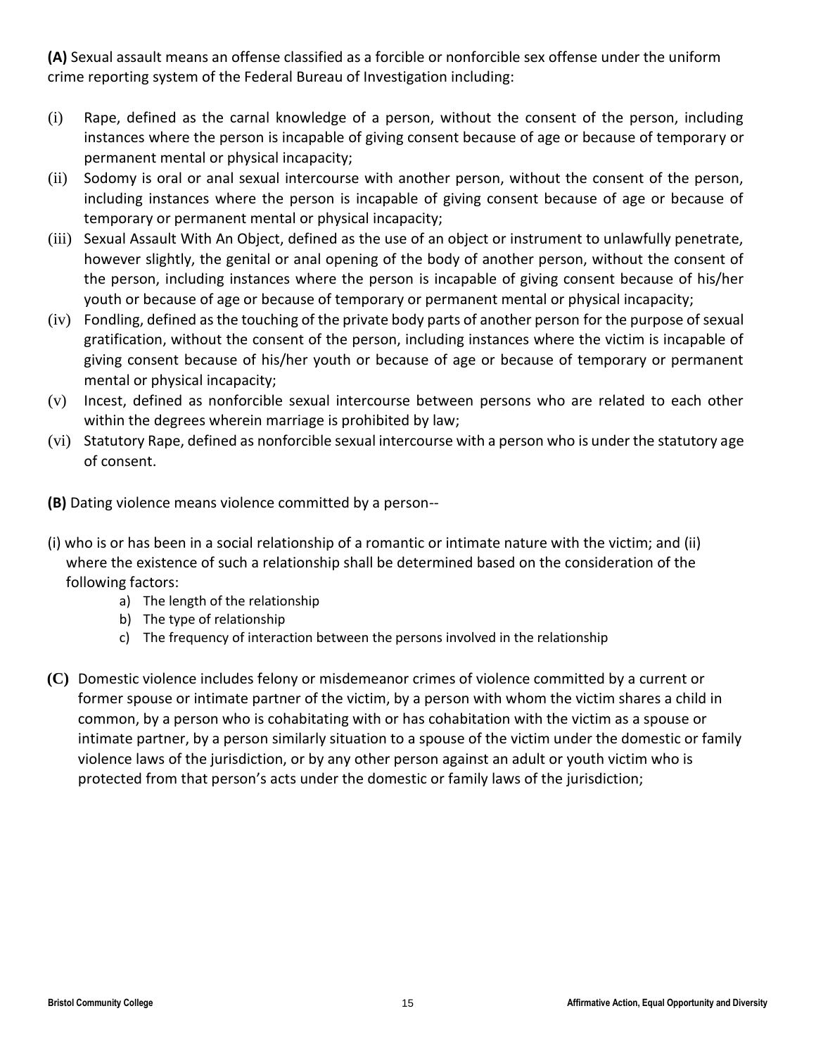**(A)** Sexual assault means an offense classified as a forcible or nonforcible sex offense under the uniform crime reporting system of the Federal Bureau of Investigation including:

- (i) Rape, defined as the carnal knowledge of a person, without the consent of the person, including instances where the person is incapable of giving consent because of age or because of temporary or permanent mental or physical incapacity;
- (ii) Sodomy is oral or anal sexual intercourse with another person, without the consent of the person, including instances where the person is incapable of giving consent because of age or because of temporary or permanent mental or physical incapacity;
- (iii) Sexual Assault With An Object, defined as the use of an object or instrument to unlawfully penetrate, however slightly, the genital or anal opening of the body of another person, without the consent of the person, including instances where the person is incapable of giving consent because of his/her youth or because of age or because of temporary or permanent mental or physical incapacity;
- (iv) Fondling, defined as the touching of the private body parts of another person for the purpose of sexual gratification, without the consent of the person, including instances where the victim is incapable of giving consent because of his/her youth or because of age or because of temporary or permanent mental or physical incapacity;
- (v) Incest, defined as nonforcible sexual intercourse between persons who are related to each other within the degrees wherein marriage is prohibited by law;
- (vi) Statutory Rape, defined as nonforcible sexual intercourse with a person who is under the statutory age of consent.
- **(B)** Dating violence means violence committed by a person--
- (i) who is or has been in a social relationship of a romantic or intimate nature with the victim; and (ii) where the existence of such a relationship shall be determined based on the consideration of the following factors:
	- a) The length of the relationship
	- b) The type of relationship
	- c) The frequency of interaction between the persons involved in the relationship
- **(C)** Domestic violence includes felony or misdemeanor crimes of violence committed by a current or former spouse or intimate partner of the victim, by a person with whom the victim shares a child in common, by a person who is cohabitating with or has cohabitation with the victim as a spouse or intimate partner, by a person similarly situation to a spouse of the victim under the domestic or family violence laws of the jurisdiction, or by any other person against an adult or youth victim who is protected from that person's acts under the domestic or family laws of the jurisdiction;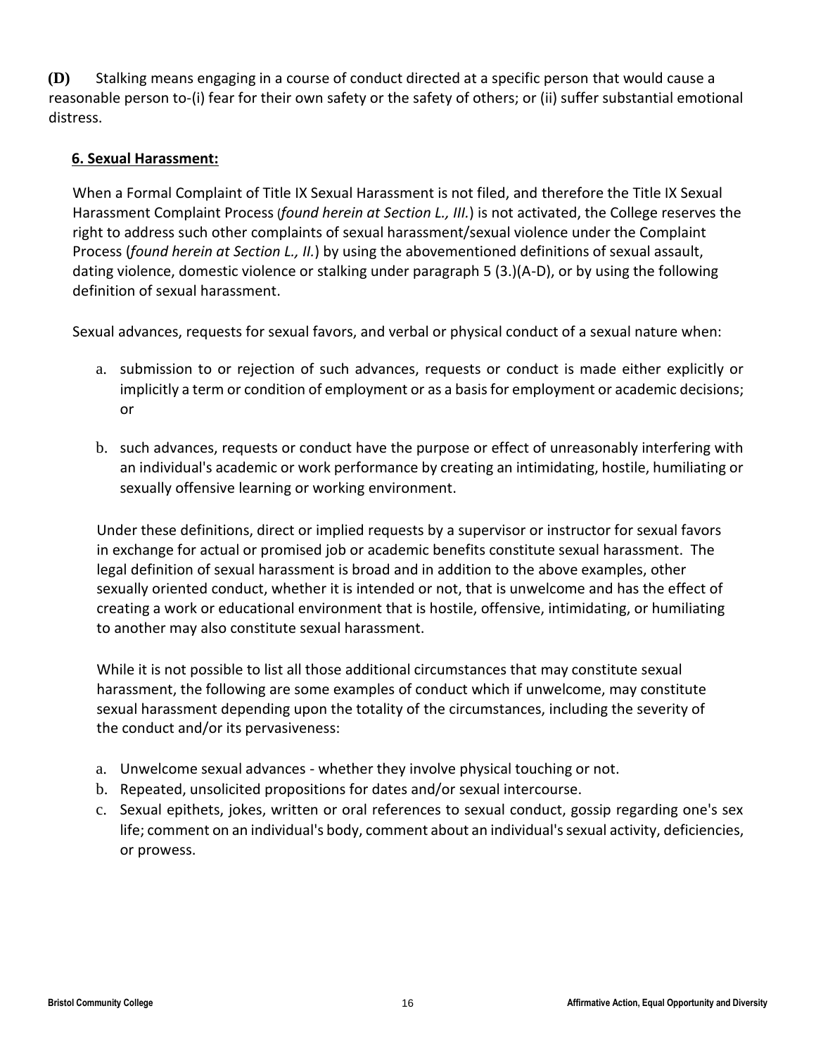**(D)** Stalking means engaging in a course of conduct directed at a specific person that would cause a reasonable person to-(i) fear for their own safety or the safety of others; or (ii) suffer substantial emotional distress.

## **6. Sexual Harassment:**

When a Formal Complaint of Title IX Sexual Harassment is not filed, and therefore the Title IX Sexual Harassment Complaint Process (*found herein at Section L., III.*) is not activated, the College reserves the right to address such other complaints of sexual harassment/sexual violence under the Complaint Process (*found herein at Section L., II.*) by using the abovementioned definitions of sexual assault, dating violence, domestic violence or stalking under paragraph 5 (3.)(A-D), or by using the following definition of sexual harassment.

Sexual advances, requests for sexual favors, and verbal or physical conduct of a sexual nature when:

- a. submission to or rejection of such advances, requests or conduct is made either explicitly or implicitly a term or condition of employment or as a basis for employment or academic decisions; or
- b. such advances, requests or conduct have the purpose or effect of unreasonably interfering with an individual's academic or work performance by creating an intimidating, hostile, humiliating or sexually offensive learning or working environment.

Under these definitions, direct or implied requests by a supervisor or instructor for sexual favors in exchange for actual or promised job or academic benefits constitute sexual harassment. The legal definition of sexual harassment is broad and in addition to the above examples, other sexually oriented conduct, whether it is intended or not, that is unwelcome and has the effect of creating a work or educational environment that is hostile, offensive, intimidating, or humiliating to another may also constitute sexual harassment.

While it is not possible to list all those additional circumstances that may constitute sexual harassment, the following are some examples of conduct which if unwelcome, may constitute sexual harassment depending upon the totality of the circumstances, including the severity of the conduct and/or its pervasiveness:

- a. Unwelcome sexual advances whether they involve physical touching or not.
- b. Repeated, unsolicited propositions for dates and/or sexual intercourse.
- c. Sexual epithets, jokes, written or oral references to sexual conduct, gossip regarding one's sex life; comment on an individual's body, comment about an individual's sexual activity, deficiencies, or prowess.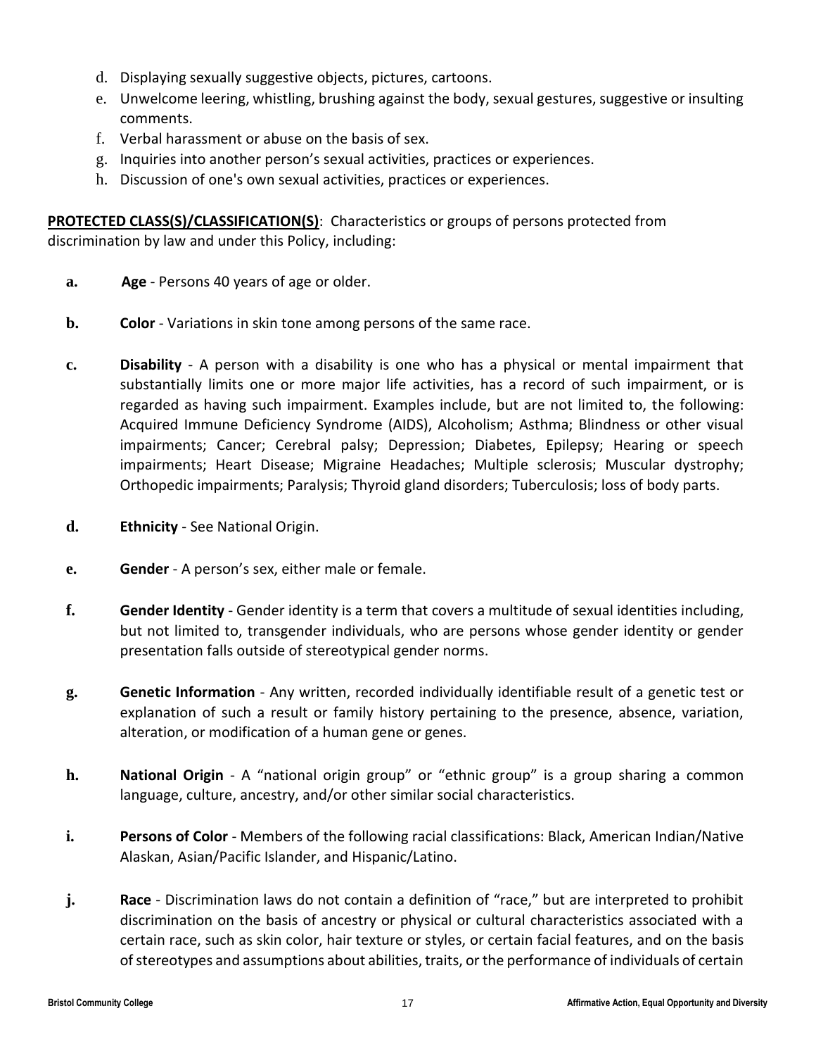- d. Displaying sexually suggestive objects, pictures, cartoons.
- e. Unwelcome leering, whistling, brushing against the body, sexual gestures, suggestive or insulting comments.
- f. Verbal harassment or abuse on the basis of sex.
- g. Inquiries into another person's sexual activities, practices or experiences.
- h. Discussion of one's own sexual activities, practices or experiences.

**PROTECTED CLASS(S)/CLASSIFICATION(S)**: Characteristics or groups of persons protected from discrimination by law and under this Policy, including:

- **a. Age** Persons 40 years of age or older.
- **b. Color** Variations in skin tone among persons of the same race.
- **c. Disability** A person with a disability is one who has a physical or mental impairment that substantially limits one or more major life activities, has a record of such impairment, or is regarded as having such impairment. Examples include, but are not limited to, the following: Acquired Immune Deficiency Syndrome (AIDS), Alcoholism; Asthma; Blindness or other visual impairments; Cancer; Cerebral palsy; Depression; Diabetes, Epilepsy; Hearing or speech impairments; Heart Disease; Migraine Headaches; Multiple sclerosis; Muscular dystrophy; Orthopedic impairments; Paralysis; Thyroid gland disorders; Tuberculosis; loss of body parts.
- **d. Ethnicity** See National Origin.
- **e. Gender** A person's sex, either male or female.
- **f. Gender Identity** Gender identity is a term that covers a multitude of sexual identities including, but not limited to, transgender individuals, who are persons whose gender identity or gender presentation falls outside of stereotypical gender norms.
- **g. Genetic Information** Any written, recorded individually identifiable result of a genetic test or explanation of such a result or family history pertaining to the presence, absence, variation, alteration, or modification of a human gene or genes.
- **h. National Origin** A "national origin group" or "ethnic group" is a group sharing a common language, culture, ancestry, and/or other similar social characteristics.
- **i. Persons of Color** Members of the following racial classifications: Black, American Indian/Native Alaskan, Asian/Pacific Islander, and Hispanic/Latino.
- **j. Race** Discrimination laws do not contain a definition of "race," but are interpreted to prohibit discrimination on the basis of ancestry or physical or cultural characteristics associated with a certain race, such as skin color, hair texture or styles, or certain facial features, and on the basis of stereotypes and assumptions about abilities, traits, or the performance of individuals of certain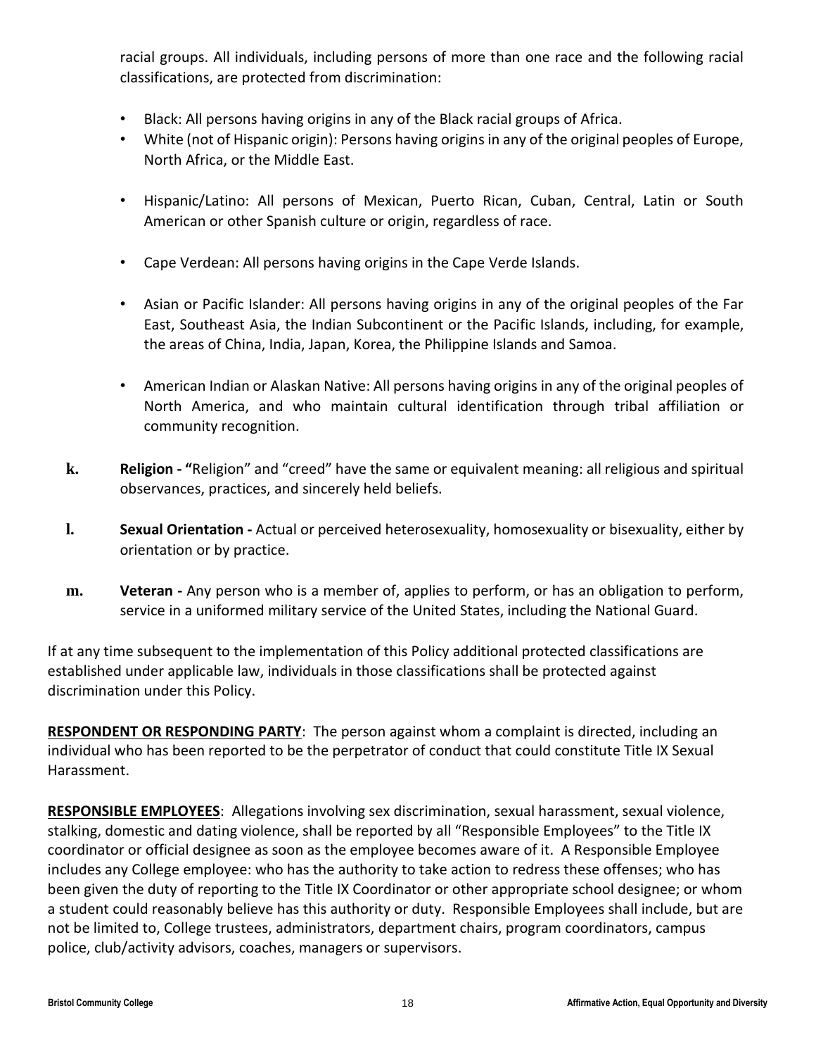racial groups. All individuals, including persons of more than one race and the following racial classifications, are protected from discrimination:

- Black: All persons having origins in any of the Black racial groups of Africa.
- White (not of Hispanic origin): Persons having origins in any of the original peoples of Europe, North Africa, or the Middle East.
- Hispanic/Latino: All persons of Mexican, Puerto Rican, Cuban, Central, Latin or South American or other Spanish culture or origin, regardless of race.
- Cape Verdean: All persons having origins in the Cape Verde Islands.
- Asian or Pacific Islander: All persons having origins in any of the original peoples of the Far East, Southeast Asia, the Indian Subcontinent or the Pacific Islands, including, for example, the areas of China, India, Japan, Korea, the Philippine Islands and Samoa.
- American Indian or Alaskan Native: All persons having origins in any of the original peoples of North America, and who maintain cultural identification through tribal affiliation or community recognition.
- **k. Religion - "**Religion" and "creed" have the same or equivalent meaning: all religious and spiritual observances, practices, and sincerely held beliefs.
- **l. Sexual Orientation -** Actual or perceived heterosexuality, homosexuality or bisexuality, either by orientation or by practice.
- **m. Veteran -** Any person who is a member of, applies to perform, or has an obligation to perform, service in a uniformed military service of the United States, including the National Guard.

If at any time subsequent to the implementation of this Policy additional protected classifications are established under applicable law, individuals in those classifications shall be protected against discrimination under this Policy.

**RESPONDENT OR RESPONDING PARTY**: The person against whom a complaint is directed, including an individual who has been reported to be the perpetrator of conduct that could constitute Title IX Sexual Harassment.

**RESPONSIBLE EMPLOYEES**: Allegations involving sex discrimination, sexual harassment, sexual violence, stalking, domestic and dating violence, shall be reported by all "Responsible Employees" to the Title IX coordinator or official designee as soon as the employee becomes aware of it. A Responsible Employee includes any College employee: who has the authority to take action to redress these offenses; who has been given the duty of reporting to the Title IX Coordinator or other appropriate school designee; or whom a student could reasonably believe has this authority or duty. Responsible Employees shall include, but are not be limited to, College trustees, administrators, department chairs, program coordinators, campus police, club/activity advisors, coaches, managers or supervisors.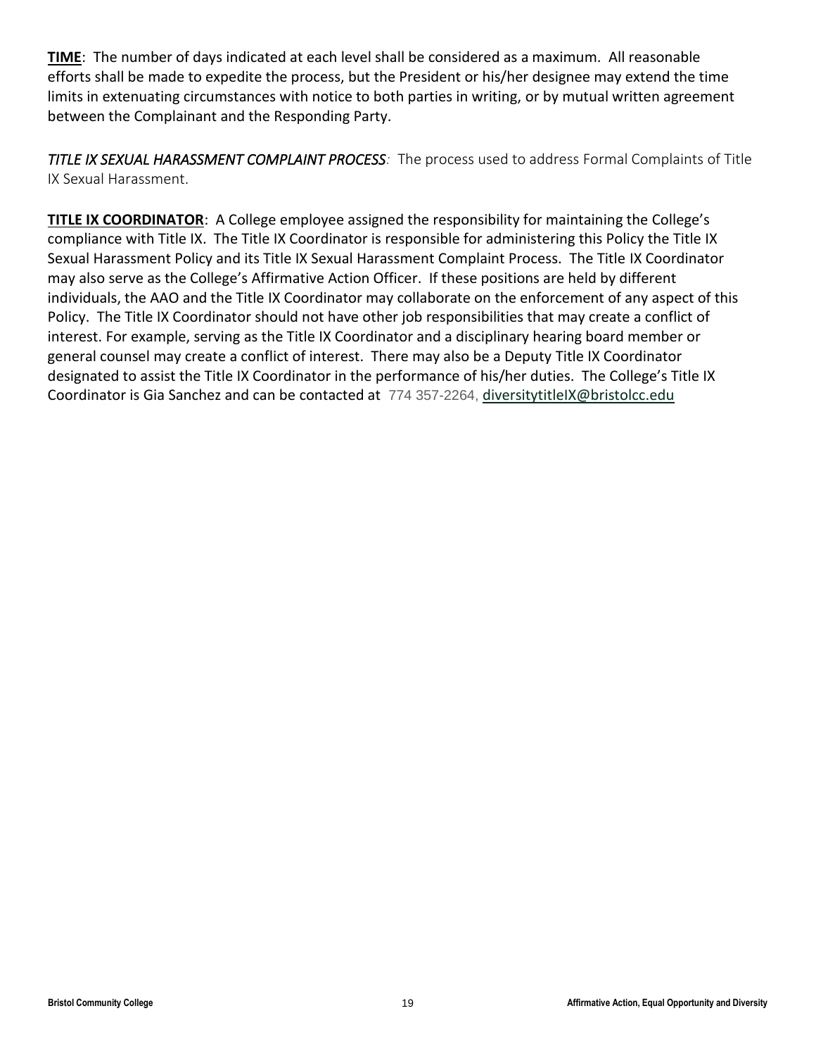**TIME**: The number of days indicated at each level shall be considered as a maximum. All reasonable efforts shall be made to expedite the process, but the President or his/her designee may extend the time limits in extenuating circumstances with notice to both parties in writing, or by mutual written agreement between the Complainant and the Responding Party.

*TITLE IX SEXUAL HARASSMENT COMPLAINT PROCESS:* The process used to address Formal Complaints of Title IX Sexual Harassment.

**TITLE IX COORDINATOR:** A College employee assigned the responsibility for maintaining the College's compliance with Title IX. The Title IX Coordinator is responsible for administering this Policy the Title IX Sexual Harassment Policy and its Title IX Sexual Harassment Complaint Process. The Title IX Coordinator may also serve as the College's Affirmative Action Officer. If these positions are held by different individuals, the AAO and the Title IX Coordinator may collaborate on the enforcement of any aspect of this Policy. The Title IX Coordinator should not have other job responsibilities that may create a conflict of interest. For example, serving as the Title IX Coordinator and a disciplinary hearing board member or general counsel may create a conflict of interest. There may also be a Deputy Title IX Coordinator designated to assist the Title IX Coordinator in the performance of his/her duties. The College's Title IX Coordinator is Gia Sanchez and can be contacted at 774 357-2264, [diversitytitleIX@bristolcc.edu](mailto:diversitytitleIX@bristolcc.edu)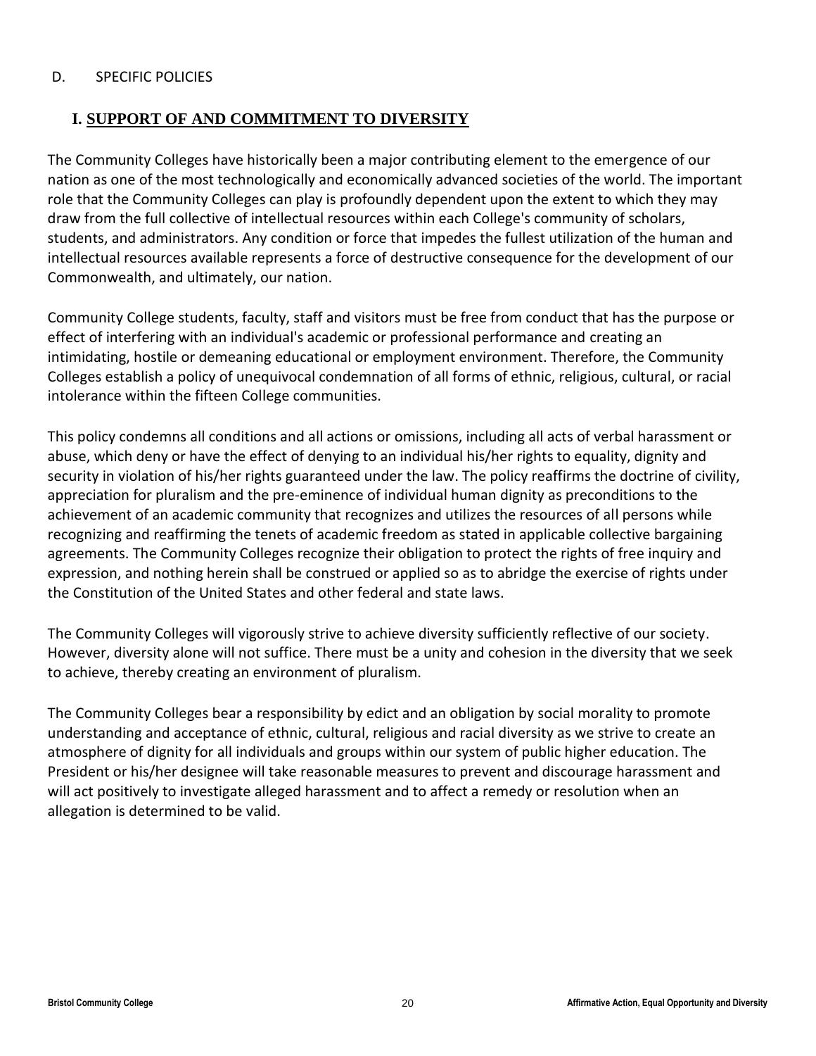## <span id="page-19-0"></span>D. SPECIFIC POLICIES

## <span id="page-19-1"></span>**I. SUPPORT OF AND COMMITMENT TO DIVERSITY**

The Community Colleges have historically been a major contributing element to the emergence of our nation as one of the most technologically and economically advanced societies of the world. The important role that the Community Colleges can play is profoundly dependent upon the extent to which they may draw from the full collective of intellectual resources within each College's community of scholars, students, and administrators. Any condition or force that impedes the fullest utilization of the human and intellectual resources available represents a force of destructive consequence for the development of our Commonwealth, and ultimately, our nation.

Community College students, faculty, staff and visitors must be free from conduct that has the purpose or effect of interfering with an individual's academic or professional performance and creating an intimidating, hostile or demeaning educational or employment environment. Therefore, the Community Colleges establish a policy of unequivocal condemnation of all forms of ethnic, religious, cultural, or racial intolerance within the fifteen College communities.

This policy condemns all conditions and all actions or omissions, including all acts of verbal harassment or abuse, which deny or have the effect of denying to an individual his/her rights to equality, dignity and security in violation of his/her rights guaranteed under the law. The policy reaffirms the doctrine of civility, appreciation for pluralism and the pre-eminence of individual human dignity as preconditions to the achievement of an academic community that recognizes and utilizes the resources of all persons while recognizing and reaffirming the tenets of academic freedom as stated in applicable collective bargaining agreements. The Community Colleges recognize their obligation to protect the rights of free inquiry and expression, and nothing herein shall be construed or applied so as to abridge the exercise of rights under the Constitution of the United States and other federal and state laws.

The Community Colleges will vigorously strive to achieve diversity sufficiently reflective of our society. However, diversity alone will not suffice. There must be a unity and cohesion in the diversity that we seek to achieve, thereby creating an environment of pluralism.

The Community Colleges bear a responsibility by edict and an obligation by social morality to promote understanding and acceptance of ethnic, cultural, religious and racial diversity as we strive to create an atmosphere of dignity for all individuals and groups within our system of public higher education. The President or his/her designee will take reasonable measures to prevent and discourage harassment and will act positively to investigate alleged harassment and to affect a remedy or resolution when an allegation is determined to be valid.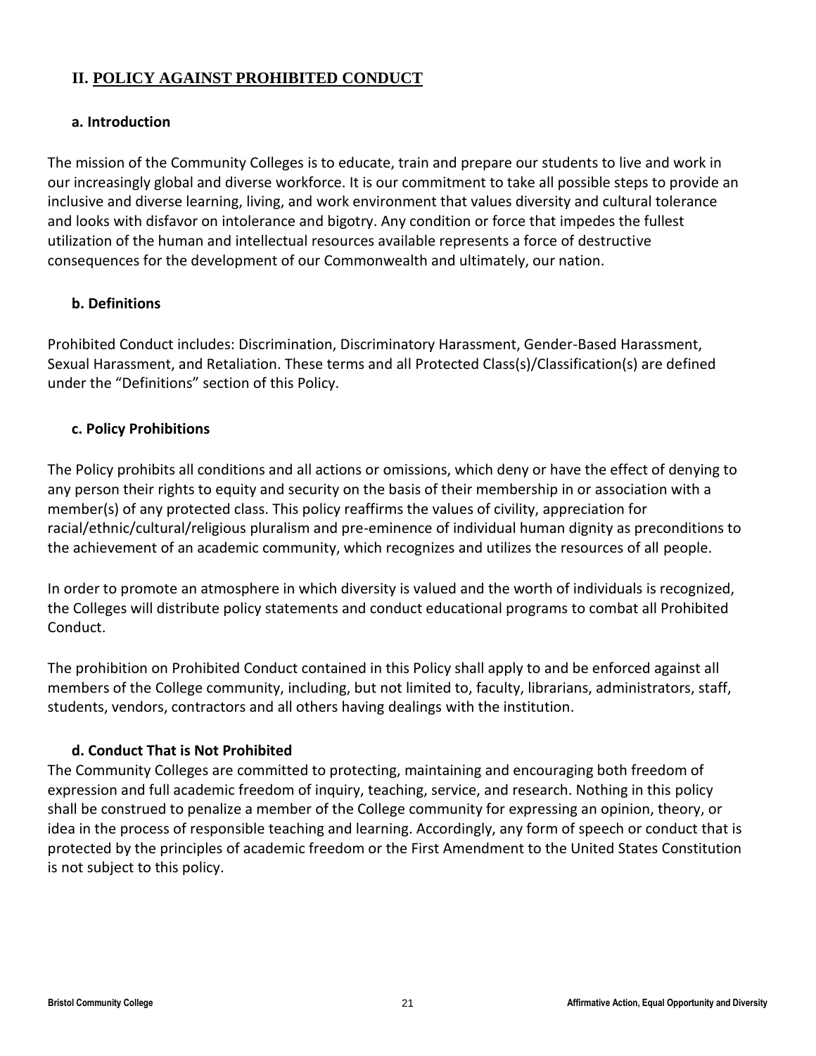## <span id="page-20-0"></span>**II. POLICY AGAINST PROHIBITED CONDUCT**

## **a. Introduction**

The mission of the Community Colleges is to educate, train and prepare our students to live and work in our increasingly global and diverse workforce. It is our commitment to take all possible steps to provide an inclusive and diverse learning, living, and work environment that values diversity and cultural tolerance and looks with disfavor on intolerance and bigotry. Any condition or force that impedes the fullest utilization of the human and intellectual resources available represents a force of destructive consequences for the development of our Commonwealth and ultimately, our nation.

## **b. Definitions**

Prohibited Conduct includes: Discrimination, Discriminatory Harassment, Gender-Based Harassment, Sexual Harassment, and Retaliation. These terms and all Protected Class(s)/Classification(s) are defined under the "Definitions" section of this Policy.

## **c. Policy Prohibitions**

The Policy prohibits all conditions and all actions or omissions, which deny or have the effect of denying to any person their rights to equity and security on the basis of their membership in or association with a member(s) of any protected class. This policy reaffirms the values of civility, appreciation for racial/ethnic/cultural/religious pluralism and pre-eminence of individual human dignity as preconditions to the achievement of an academic community, which recognizes and utilizes the resources of all people.

In order to promote an atmosphere in which diversity is valued and the worth of individuals is recognized, the Colleges will distribute policy statements and conduct educational programs to combat all Prohibited Conduct.

The prohibition on Prohibited Conduct contained in this Policy shall apply to and be enforced against all members of the College community, including, but not limited to, faculty, librarians, administrators, staff, students, vendors, contractors and all others having dealings with the institution.

## **d. Conduct That is Not Prohibited**

The Community Colleges are committed to protecting, maintaining and encouraging both freedom of expression and full academic freedom of inquiry, teaching, service, and research. Nothing in this policy shall be construed to penalize a member of the College community for expressing an opinion, theory, or idea in the process of responsible teaching and learning. Accordingly, any form of speech or conduct that is protected by the principles of academic freedom or the First Amendment to the United States Constitution is not subject to this policy.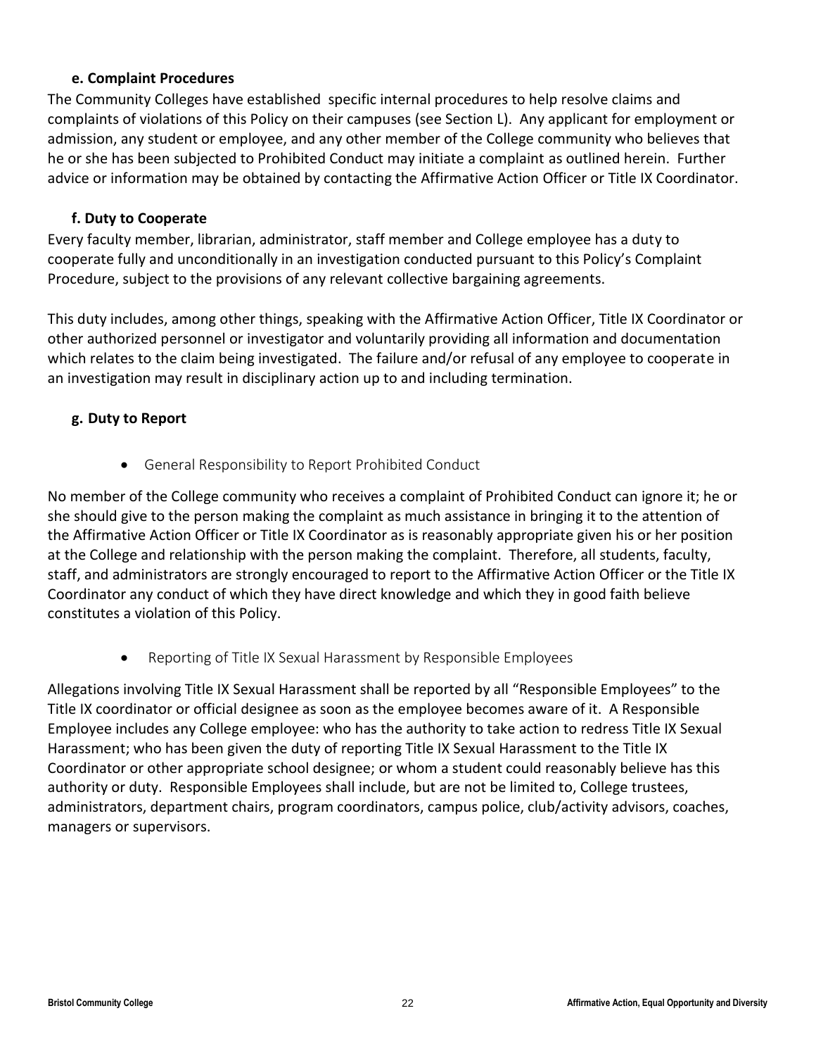#### **e. Complaint Procedures**

The Community Colleges have established specific internal procedures to help resolve claims and complaints of violations of this Policy on their campuses (see Section L). Any applicant for employment or admission, any student or employee, and any other member of the College community who believes that he or she has been subjected to Prohibited Conduct may initiate a complaint as outlined herein. Further advice or information may be obtained by contacting the Affirmative Action Officer or Title IX Coordinator.

#### **f. Duty to Cooperate**

Every faculty member, librarian, administrator, staff member and College employee has a duty to cooperate fully and unconditionally in an investigation conducted pursuant to this Policy's Complaint Procedure, subject to the provisions of any relevant collective bargaining agreements.

This duty includes, among other things, speaking with the Affirmative Action Officer, Title IX Coordinator or other authorized personnel or investigator and voluntarily providing all information and documentation which relates to the claim being investigated. The failure and/or refusal of any employee to cooperate in an investigation may result in disciplinary action up to and including termination.

## **g. Duty to Report**

• General Responsibility to Report Prohibited Conduct

No member of the College community who receives a complaint of Prohibited Conduct can ignore it; he or she should give to the person making the complaint as much assistance in bringing it to the attention of the Affirmative Action Officer or Title IX Coordinator as is reasonably appropriate given his or her position at the College and relationship with the person making the complaint. Therefore, all students, faculty, staff, and administrators are strongly encouraged to report to the Affirmative Action Officer or the Title IX Coordinator any conduct of which they have direct knowledge and which they in good faith believe constitutes a violation of this Policy.

• Reporting of Title IX Sexual Harassment by Responsible Employees

Allegations involving Title IX Sexual Harassment shall be reported by all "Responsible Employees" to the Title IX coordinator or official designee as soon as the employee becomes aware of it. A Responsible Employee includes any College employee: who has the authority to take action to redress Title IX Sexual Harassment; who has been given the duty of reporting Title IX Sexual Harassment to the Title IX Coordinator or other appropriate school designee; or whom a student could reasonably believe has this authority or duty. Responsible Employees shall include, but are not be limited to, College trustees, administrators, department chairs, program coordinators, campus police, club/activity advisors, coaches, managers or supervisors.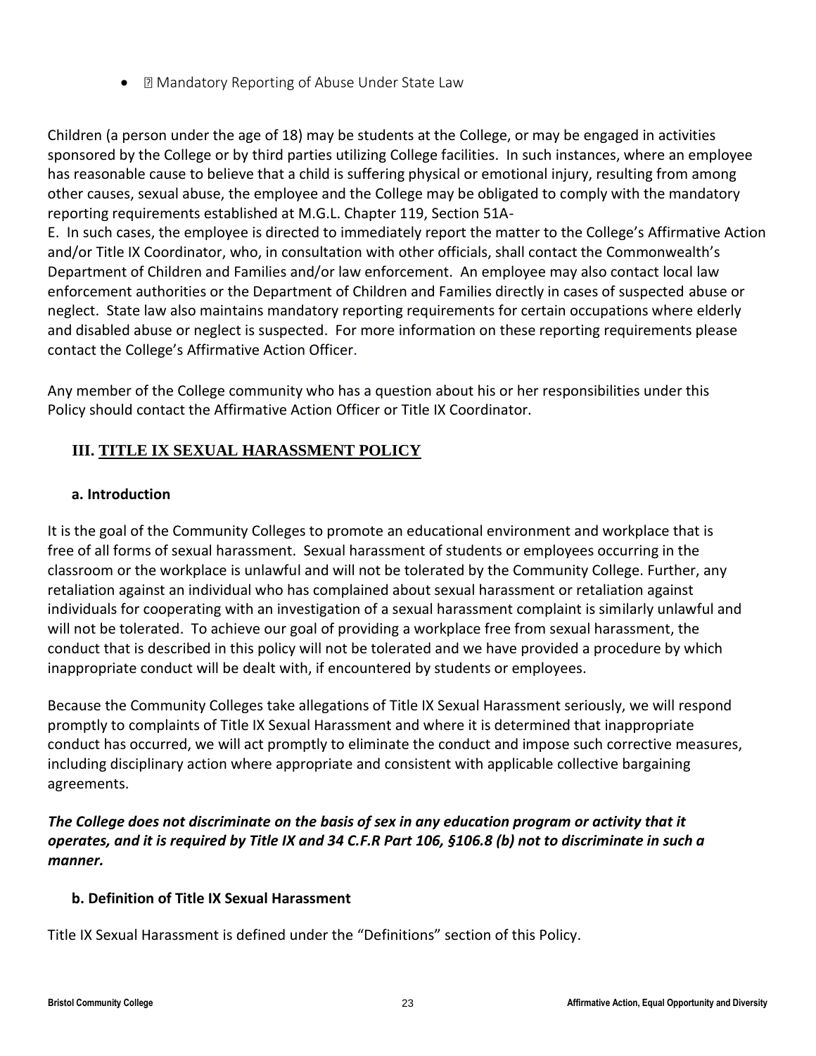• **I** Mandatory Reporting of Abuse Under State Law

Children (a person under the age of 18) may be students at the College, or may be engaged in activities sponsored by the College or by third parties utilizing College facilities. In such instances, where an employee has reasonable cause to believe that a child is suffering physical or emotional injury, resulting from among other causes, sexual abuse, the employee and the College may be obligated to comply with the mandatory reporting requirements established at M.G.L. Chapter 119, Section 51A-

E. In such cases, the employee is directed to immediately report the matter to the College's Affirmative Action and/or Title IX Coordinator, who, in consultation with other officials, shall contact the Commonwealth's Department of Children and Families and/or law enforcement. An employee may also contact local law enforcement authorities or the Department of Children and Families directly in cases of suspected abuse or neglect. State law also maintains mandatory reporting requirements for certain occupations where elderly and disabled abuse or neglect is suspected. For more information on these reporting requirements please contact the College's Affirmative Action Officer.

Any member of the College community who has a question about his or her responsibilities under this Policy should contact the Affirmative Action Officer or Title IX Coordinator.

## <span id="page-22-0"></span>**III. TITLE IX SEXUAL HARASSMENT POLICY**

## **a. Introduction**

It is the goal of the Community Colleges to promote an educational environment and workplace that is free of all forms of sexual harassment. Sexual harassment of students or employees occurring in the classroom or the workplace is unlawful and will not be tolerated by the Community College. Further, any retaliation against an individual who has complained about sexual harassment or retaliation against individuals for cooperating with an investigation of a sexual harassment complaint is similarly unlawful and will not be tolerated. To achieve our goal of providing a workplace free from sexual harassment, the conduct that is described in this policy will not be tolerated and we have provided a procedure by which inappropriate conduct will be dealt with, if encountered by students or employees.

Because the Community Colleges take allegations of Title IX Sexual Harassment seriously, we will respond promptly to complaints of Title IX Sexual Harassment and where it is determined that inappropriate conduct has occurred, we will act promptly to eliminate the conduct and impose such corrective measures, including disciplinary action where appropriate and consistent with applicable collective bargaining agreements.

*The College does not discriminate on the basis of sex in any education program or activity that it operates, and it is required by Title IX and 34 C.F.R Part 106, §106.8 (b) not to discriminate in such a manner.* 

## **b. Definition of Title IX Sexual Harassment**

Title IX Sexual Harassment is defined under the "Definitions" section of this Policy.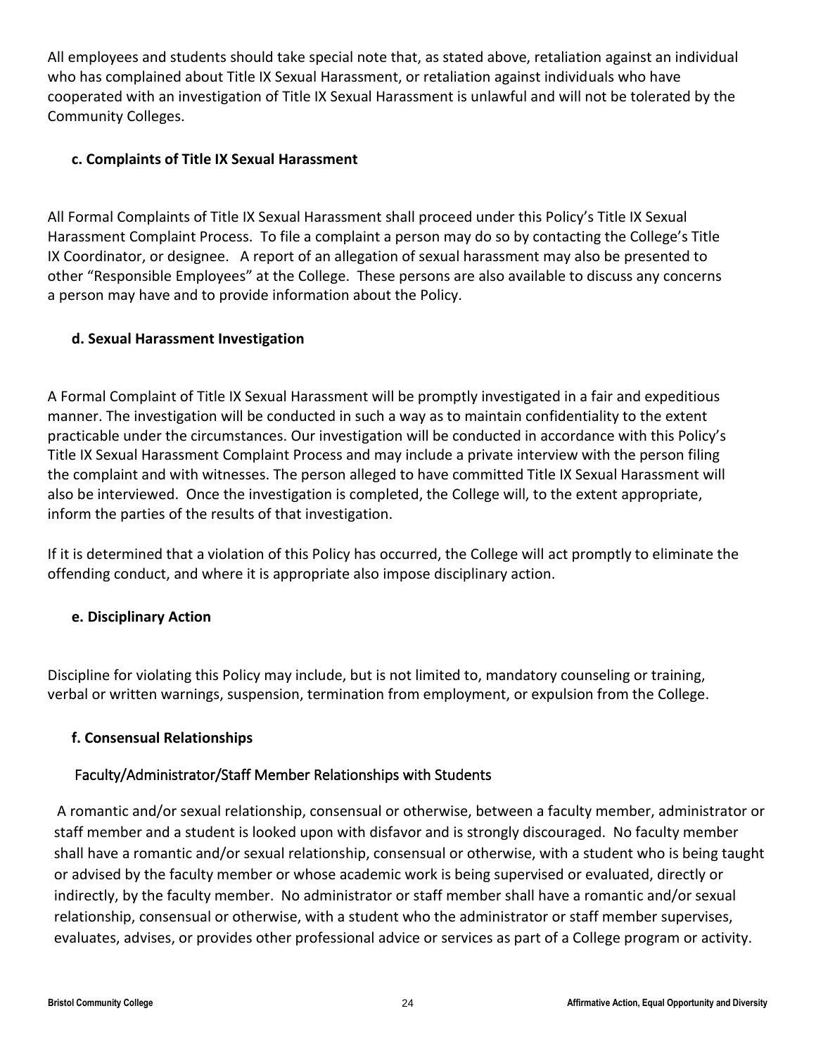All employees and students should take special note that, as stated above, retaliation against an individual who has complained about Title IX Sexual Harassment, or retaliation against individuals who have cooperated with an investigation of Title IX Sexual Harassment is unlawful and will not be tolerated by the Community Colleges.

## **c. Complaints of Title IX Sexual Harassment**

All Formal Complaints of Title IX Sexual Harassment shall proceed under this Policy's Title IX Sexual Harassment Complaint Process. To file a complaint a person may do so by contacting the College's Title IX Coordinator, or designee. A report of an allegation of sexual harassment may also be presented to other "Responsible Employees" at the College. These persons are also available to discuss any concerns a person may have and to provide information about the Policy.

## **d. Sexual Harassment Investigation**

A Formal Complaint of Title IX Sexual Harassment will be promptly investigated in a fair and expeditious manner. The investigation will be conducted in such a way as to maintain confidentiality to the extent practicable under the circumstances. Our investigation will be conducted in accordance with this Policy's Title IX Sexual Harassment Complaint Process and may include a private interview with the person filing the complaint and with witnesses. The person alleged to have committed Title IX Sexual Harassment will also be interviewed. Once the investigation is completed, the College will, to the extent appropriate, inform the parties of the results of that investigation.

If it is determined that a violation of this Policy has occurred, the College will act promptly to eliminate the offending conduct, and where it is appropriate also impose disciplinary action.

## **e. Disciplinary Action**

Discipline for violating this Policy may include, but is not limited to, mandatory counseling or training, verbal or written warnings, suspension, termination from employment, or expulsion from the College.

## **f. Consensual Relationships**

## Faculty/Administrator/Staff Member Relationships with Students

A romantic and/or sexual relationship, consensual or otherwise, between a faculty member, administrator or staff member and a student is looked upon with disfavor and is strongly discouraged. No faculty member shall have a romantic and/or sexual relationship, consensual or otherwise, with a student who is being taught or advised by the faculty member or whose academic work is being supervised or evaluated, directly or indirectly, by the faculty member. No administrator or staff member shall have a romantic and/or sexual relationship, consensual or otherwise, with a student who the administrator or staff member supervises, evaluates, advises, or provides other professional advice or services as part of a College program or activity.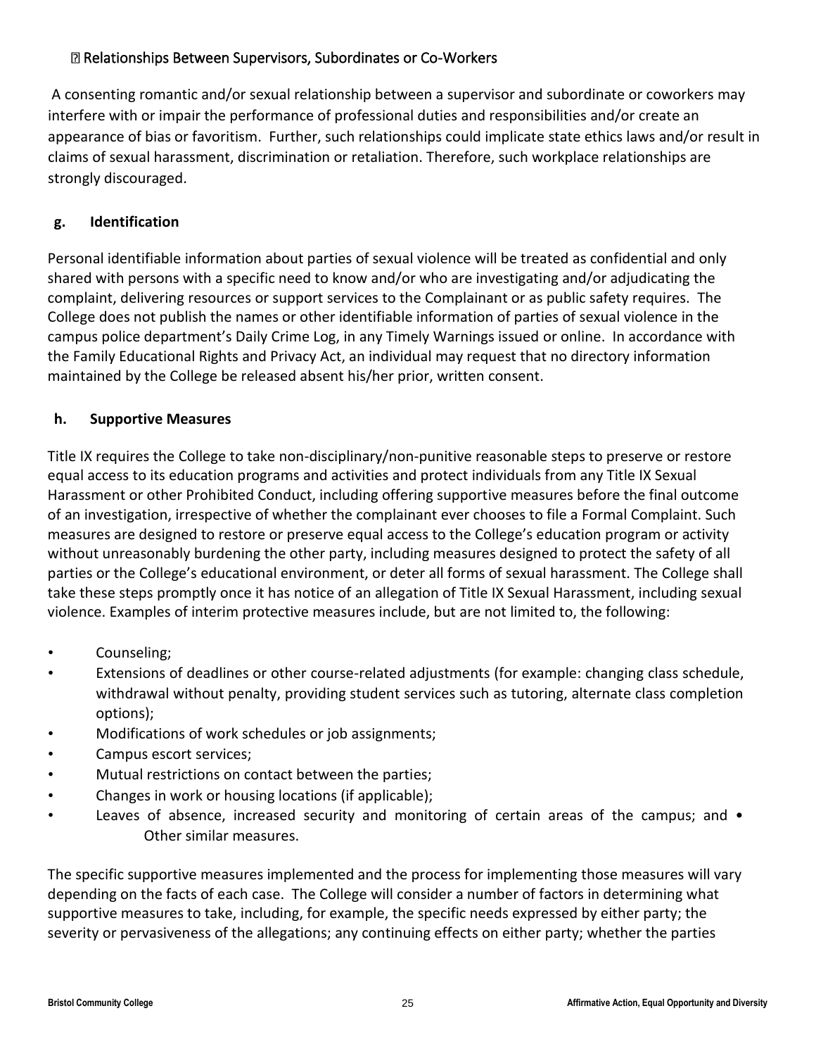## Relationships Between Supervisors, Subordinates or Co-Workers

A consenting romantic and/or sexual relationship between a supervisor and subordinate or coworkers may interfere with or impair the performance of professional duties and responsibilities and/or create an appearance of bias or favoritism. Further, such relationships could implicate state ethics laws and/or result in claims of sexual harassment, discrimination or retaliation. Therefore, such workplace relationships are strongly discouraged.

## **g. Identification**

Personal identifiable information about parties of sexual violence will be treated as confidential and only shared with persons with a specific need to know and/or who are investigating and/or adjudicating the complaint, delivering resources or support services to the Complainant or as public safety requires. The College does not publish the names or other identifiable information of parties of sexual violence in the campus police department's Daily Crime Log, in any Timely Warnings issued or online. In accordance with the Family Educational Rights and Privacy Act, an individual may request that no directory information maintained by the College be released absent his/her prior, written consent.

## **h. Supportive Measures**

Title IX requires the College to take non-disciplinary/non-punitive reasonable steps to preserve or restore equal access to its education programs and activities and protect individuals from any Title IX Sexual Harassment or other Prohibited Conduct, including offering supportive measures before the final outcome of an investigation, irrespective of whether the complainant ever chooses to file a Formal Complaint. Such measures are designed to restore or preserve equal access to the College's education program or activity without unreasonably burdening the other party, including measures designed to protect the safety of all parties or the College's educational environment, or deter all forms of sexual harassment. The College shall take these steps promptly once it has notice of an allegation of Title IX Sexual Harassment, including sexual violence. Examples of interim protective measures include, but are not limited to, the following:

- Counseling;
- Extensions of deadlines or other course-related adjustments (for example: changing class schedule, withdrawal without penalty, providing student services such as tutoring, alternate class completion options);
- Modifications of work schedules or job assignments;
- Campus escort services;
- Mutual restrictions on contact between the parties;
- Changes in work or housing locations (if applicable);
- Leaves of absence, increased security and monitoring of certain areas of the campus; and Other similar measures.

The specific supportive measures implemented and the process for implementing those measures will vary depending on the facts of each case. The College will consider a number of factors in determining what supportive measures to take, including, for example, the specific needs expressed by either party; the severity or pervasiveness of the allegations; any continuing effects on either party; whether the parties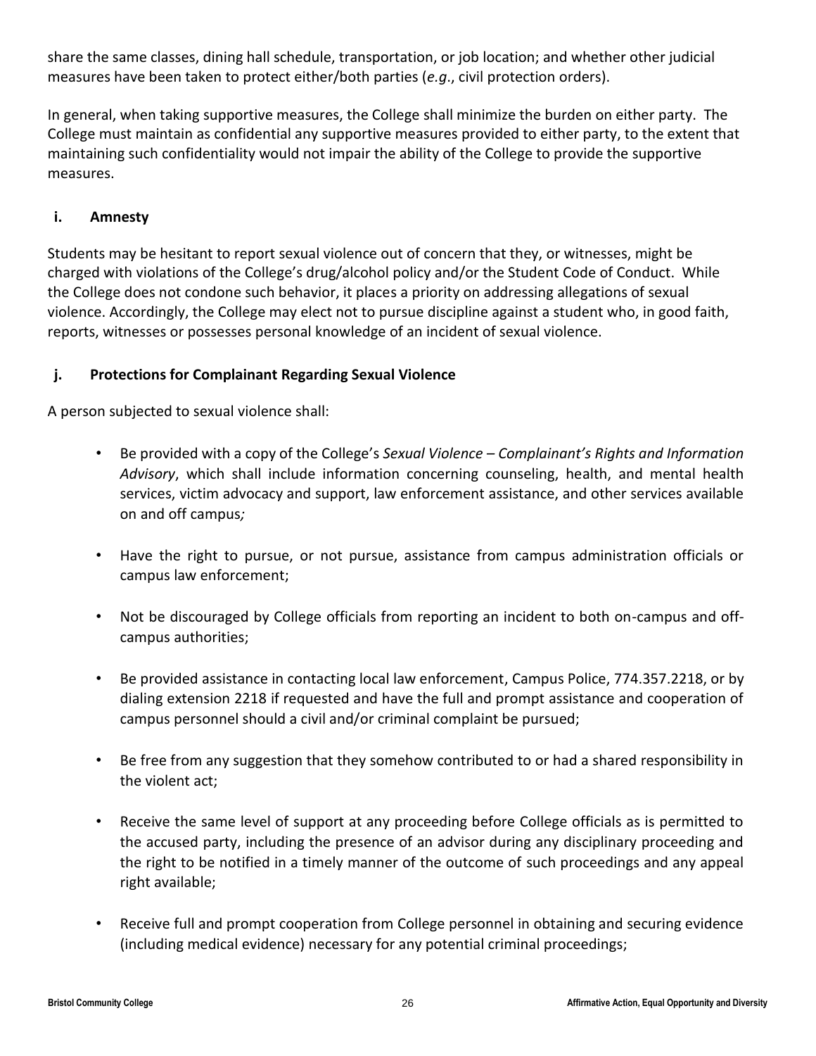share the same classes, dining hall schedule, transportation, or job location; and whether other judicial measures have been taken to protect either/both parties (*e.g*., civil protection orders).

In general, when taking supportive measures, the College shall minimize the burden on either party. The College must maintain as confidential any supportive measures provided to either party, to the extent that maintaining such confidentiality would not impair the ability of the College to provide the supportive measures.

## **i. Amnesty**

Students may be hesitant to report sexual violence out of concern that they, or witnesses, might be charged with violations of the College's drug/alcohol policy and/or the Student Code of Conduct. While the College does not condone such behavior, it places a priority on addressing allegations of sexual violence. Accordingly, the College may elect not to pursue discipline against a student who, in good faith, reports, witnesses or possesses personal knowledge of an incident of sexual violence.

## **j. Protections for Complainant Regarding Sexual Violence**

A person subjected to sexual violence shall:

- Be provided with a copy of the College's *Sexual Violence – Complainant's Rights and Information Advisory*, which shall include information concerning counseling, health, and mental health services, victim advocacy and support, law enforcement assistance, and other services available on and off campus*;*
- Have the right to pursue, or not pursue, assistance from campus administration officials or campus law enforcement;
- Not be discouraged by College officials from reporting an incident to both on-campus and offcampus authorities;
- Be provided assistance in contacting local law enforcement, Campus Police, 774.357.2218, or by dialing extension 2218 if requested and have the full and prompt assistance and cooperation of campus personnel should a civil and/or criminal complaint be pursued;
- Be free from any suggestion that they somehow contributed to or had a shared responsibility in the violent act;
- Receive the same level of support at any proceeding before College officials as is permitted to the accused party, including the presence of an advisor during any disciplinary proceeding and the right to be notified in a timely manner of the outcome of such proceedings and any appeal right available;
- Receive full and prompt cooperation from College personnel in obtaining and securing evidence (including medical evidence) necessary for any potential criminal proceedings;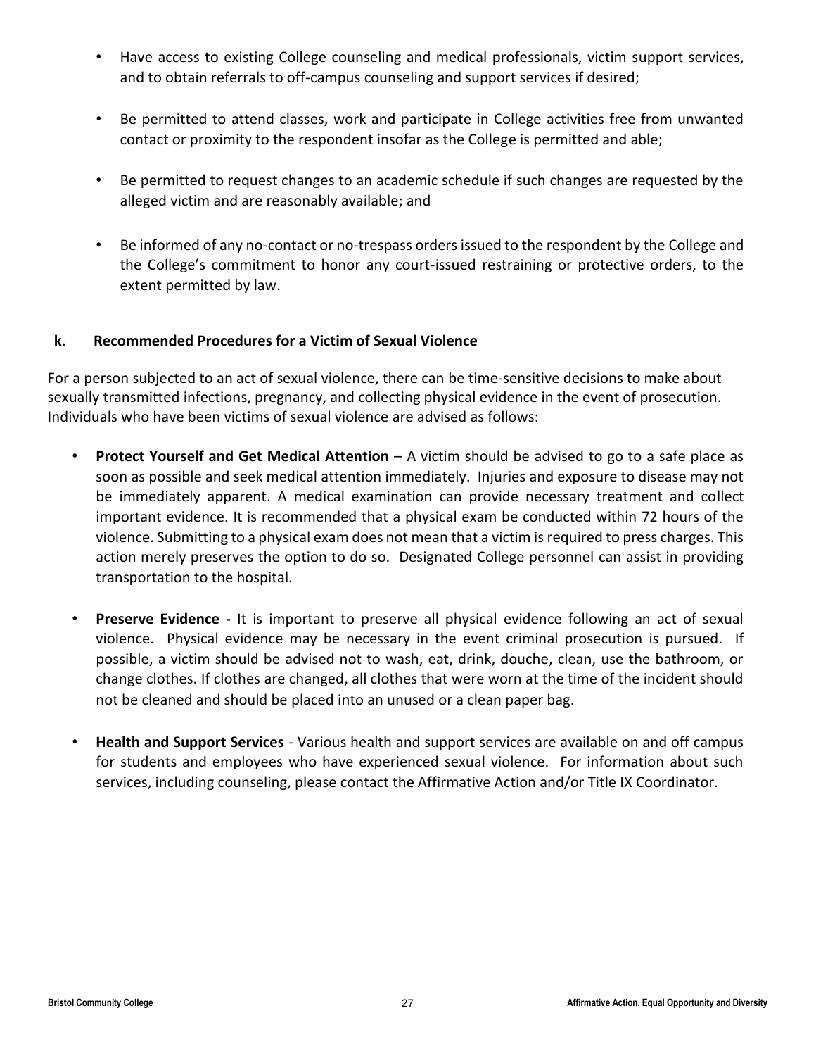- Have access to existing College counseling and medical professionals, victim support services, and to obtain referrals to off-campus counseling and support services if desired;
- Be permitted to attend classes, work and participate in College activities free from unwanted contact or proximity to the respondent insofar as the College is permitted and able;
- Be permitted to request changes to an academic schedule if such changes are requested by the alleged victim and are reasonably available; and
- Be informed of any no-contact or no-trespass orders issued to the respondent by the College and the College's commitment to honor any court-issued restraining or protective orders, to the extent permitted by law.

## **k. Recommended Procedures for a Victim of Sexual Violence**

For a person subjected to an act of sexual violence, there can be time-sensitive decisions to make about sexually transmitted infections, pregnancy, and collecting physical evidence in the event of prosecution. Individuals who have been victims of sexual violence are advised as follows:

- **Protect Yourself and Get Medical Attention** A victim should be advised to go to a safe place as soon as possible and seek medical attention immediately. Injuries and exposure to disease may not be immediately apparent. A medical examination can provide necessary treatment and collect important evidence. It is recommended that a physical exam be conducted within 72 hours of the violence. Submitting to a physical exam does not mean that a victim is required to press charges. This action merely preserves the option to do so. Designated College personnel can assist in providing transportation to the hospital.
- **Preserve Evidence -** It is important to preserve all physical evidence following an act of sexual violence. Physical evidence may be necessary in the event criminal prosecution is pursued. If possible, a victim should be advised not to wash, eat, drink, douche, clean, use the bathroom, or change clothes. If clothes are changed, all clothes that were worn at the time of the incident should not be cleaned and should be placed into an unused or a clean paper bag.
- **Health and Support Services** Various health and support services are available on and off campus for students and employees who have experienced sexual violence. For information about such services, including counseling, please contact the Affirmative Action and/or Title IX Coordinator.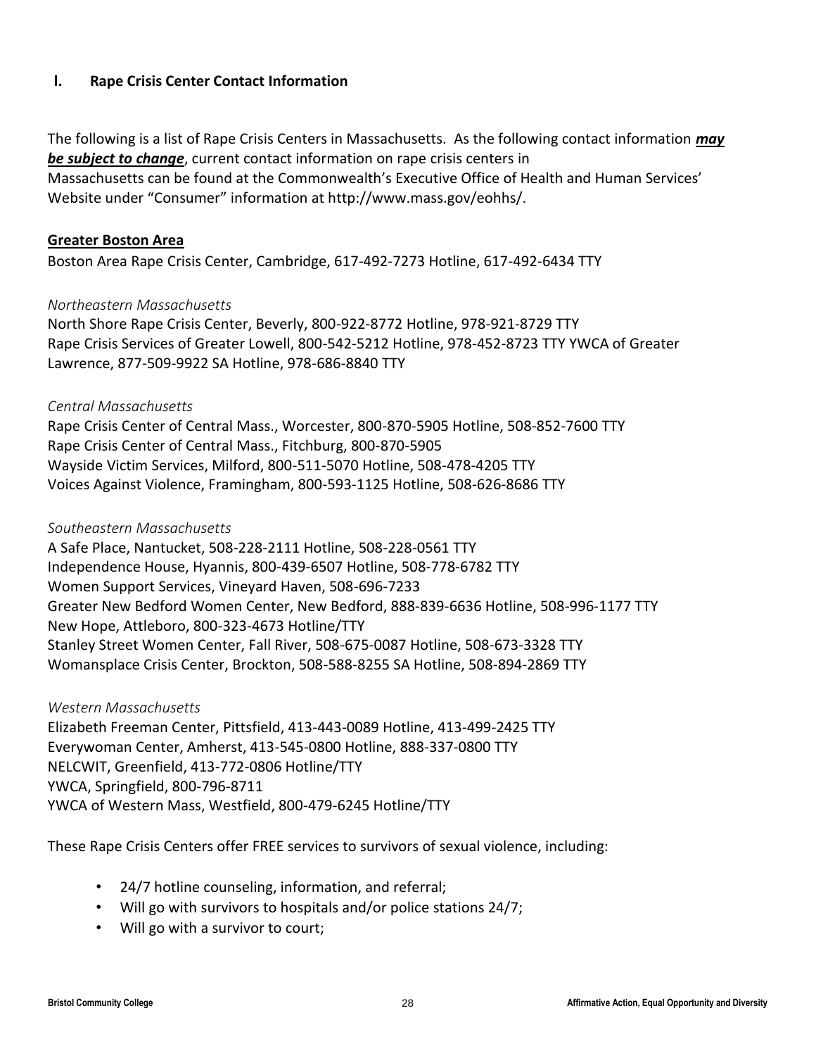## **l. Rape Crisis Center Contact Information**

The following is a list of Rape Crisis Centers in Massachusetts. As the following contact information *may be subject to change*, current contact information on rape crisis centers in Massachusetts can be found at the Commonwealth's Executive Office of Health and Human Services' Website under "Consumer" information at http://www.mass.gov/eohhs/.

#### **Greater Boston Area**

Boston Area Rape Crisis Center, Cambridge, 617-492-7273 Hotline, 617-492-6434 TTY

## *Northeastern Massachusetts*

North Shore Rape Crisis Center, Beverly, 800-922-8772 Hotline, 978-921-8729 TTY Rape Crisis Services of Greater Lowell, 800-542-5212 Hotline, 978-452-8723 TTY YWCA of Greater Lawrence, 877-509-9922 SA Hotline, 978-686-8840 TTY

#### *Central Massachusetts*

Rape Crisis Center of Central Mass., Worcester, 800-870-5905 Hotline, 508-852-7600 TTY Rape Crisis Center of Central Mass., Fitchburg, 800-870-5905 Wayside Victim Services, Milford, 800-511-5070 Hotline, 508-478-4205 TTY Voices Against Violence, Framingham, 800-593-1125 Hotline, 508-626-8686 TTY

#### *Southeastern Massachusetts*

A Safe Place, Nantucket, 508-228-2111 Hotline, 508-228-0561 TTY Independence House, Hyannis, 800-439-6507 Hotline, 508-778-6782 TTY Women Support Services, Vineyard Haven, 508-696-7233 Greater New Bedford Women Center, New Bedford, 888-839-6636 Hotline, 508-996-1177 TTY New Hope, Attleboro, 800-323-4673 Hotline/TTY Stanley Street Women Center, Fall River, 508-675-0087 Hotline, 508-673-3328 TTY Womansplace Crisis Center, Brockton, 508-588-8255 SA Hotline, 508-894-2869 TTY

*Western Massachusetts*  Elizabeth Freeman Center, Pittsfield, 413-443-0089 Hotline, 413-499-2425 TTY Everywoman Center, Amherst, 413-545-0800 Hotline, 888-337-0800 TTY NELCWIT, Greenfield, 413-772-0806 Hotline/TTY YWCA, Springfield, 800-796-8711 YWCA of Western Mass, Westfield, 800-479-6245 Hotline/TTY

These Rape Crisis Centers offer FREE services to survivors of sexual violence, including:

- 24/7 hotline counseling, information, and referral;
- Will go with survivors to hospitals and/or police stations 24/7;
- Will go with a survivor to court;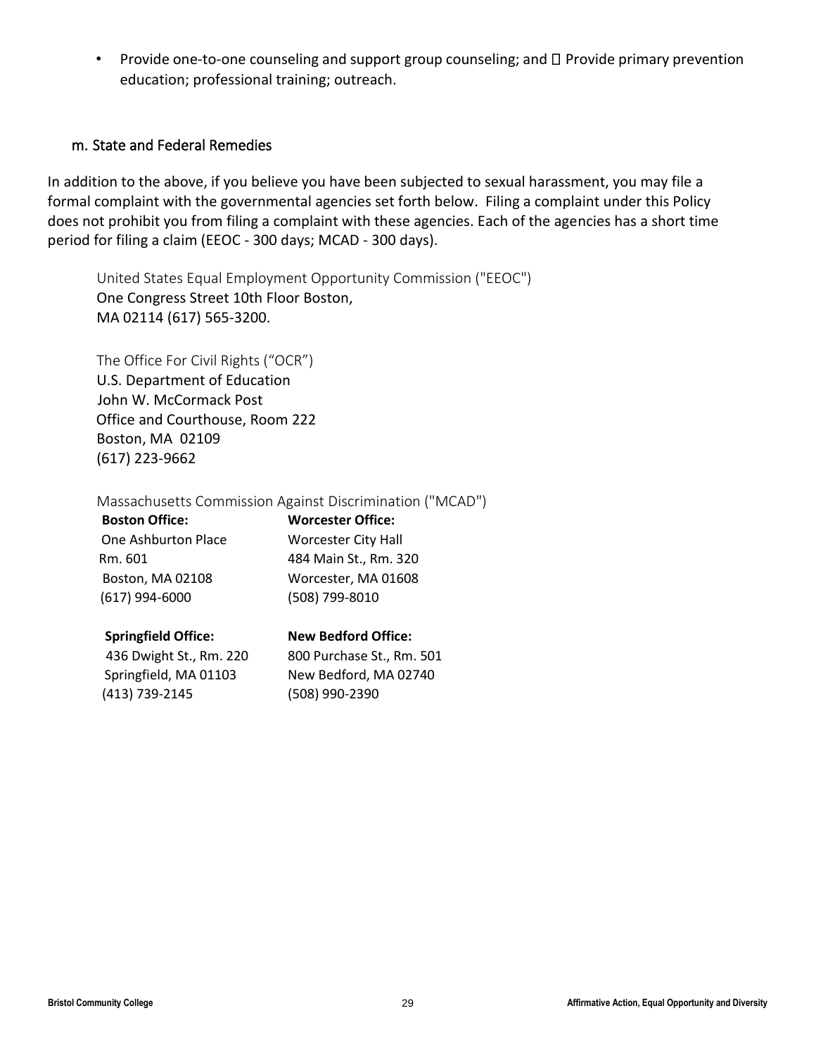• Provide one-to-one counseling and support group counseling; and  $\Box$  Provide primary prevention education; professional training; outreach.

## m. State and Federal Remedies

In addition to the above, if you believe you have been subjected to sexual harassment, you may file a formal complaint with the governmental agencies set forth below. Filing a complaint under this Policy does not prohibit you from filing a complaint with these agencies. Each of the agencies has a short time period for filing a claim (EEOC - 300 days; MCAD - 300 days).

United States Equal Employment Opportunity Commission ("EEOC") One Congress Street 10th Floor Boston, MA 02114 (617) 565-3200.

The Office For Civil Rights ("OCR") U.S. Department of Education John W. McCormack Post Office and Courthouse, Room 222 Boston, MA 02109 (617) 223-9662

## Massachusetts Commission Against Discrimination ("MCAD")

| <b>Boston Office:</b> |  |
|-----------------------|--|
| One Ashburton Place   |  |
| Rm. 601               |  |
| Boston, MA 02108      |  |
| (617) 994-6000        |  |

**Boston Office: Worcester Office: Worcester City Hall** 484 Main St., Rm. 320 Worcester, MA 01608 (508) 799-8010

 436 Dwight St., Rm. 220 800 Purchase St., Rm. 501 Springfield, MA 01103 New Bedford, MA 02740 (413) 739-2145 (508) 990-2390

# **Springfield Office: New Bedford Office:**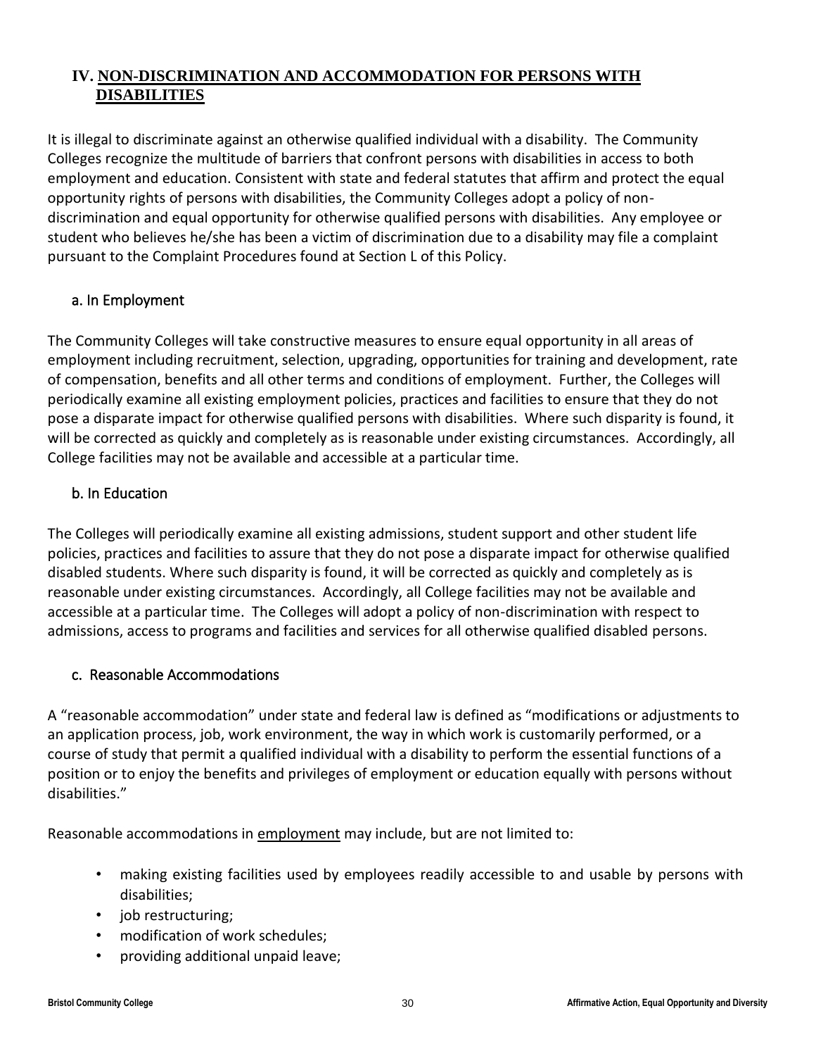## <span id="page-29-0"></span>**IV. NON-DISCRIMINATION AND ACCOMMODATION FOR PERSONS WITH DISABILITIES**

It is illegal to discriminate against an otherwise qualified individual with a disability. The Community Colleges recognize the multitude of barriers that confront persons with disabilities in access to both employment and education. Consistent with state and federal statutes that affirm and protect the equal opportunity rights of persons with disabilities, the Community Colleges adopt a policy of nondiscrimination and equal opportunity for otherwise qualified persons with disabilities. Any employee or student who believes he/she has been a victim of discrimination due to a disability may file a complaint pursuant to the Complaint Procedures found at Section L of this Policy.

## a. In Employment

The Community Colleges will take constructive measures to ensure equal opportunity in all areas of employment including recruitment, selection, upgrading, opportunities for training and development, rate of compensation, benefits and all other terms and conditions of employment. Further, the Colleges will periodically examine all existing employment policies, practices and facilities to ensure that they do not pose a disparate impact for otherwise qualified persons with disabilities. Where such disparity is found, it will be corrected as quickly and completely as is reasonable under existing circumstances. Accordingly, all College facilities may not be available and accessible at a particular time.

## b. In Education

The Colleges will periodically examine all existing admissions, student support and other student life policies, practices and facilities to assure that they do not pose a disparate impact for otherwise qualified disabled students. Where such disparity is found, it will be corrected as quickly and completely as is reasonable under existing circumstances. Accordingly, all College facilities may not be available and accessible at a particular time. The Colleges will adopt a policy of non-discrimination with respect to admissions, access to programs and facilities and services for all otherwise qualified disabled persons.

## c. Reasonable Accommodations

A "reasonable accommodation" under state and federal law is defined as "modifications or adjustments to an application process, job, work environment, the way in which work is customarily performed, or a course of study that permit a qualified individual with a disability to perform the essential functions of a position or to enjoy the benefits and privileges of employment or education equally with persons without disabilities."

Reasonable accommodations in employment may include, but are not limited to:

- making existing facilities used by employees readily accessible to and usable by persons with disabilities;
- job restructuring;
- modification of work schedules;
- providing additional unpaid leave;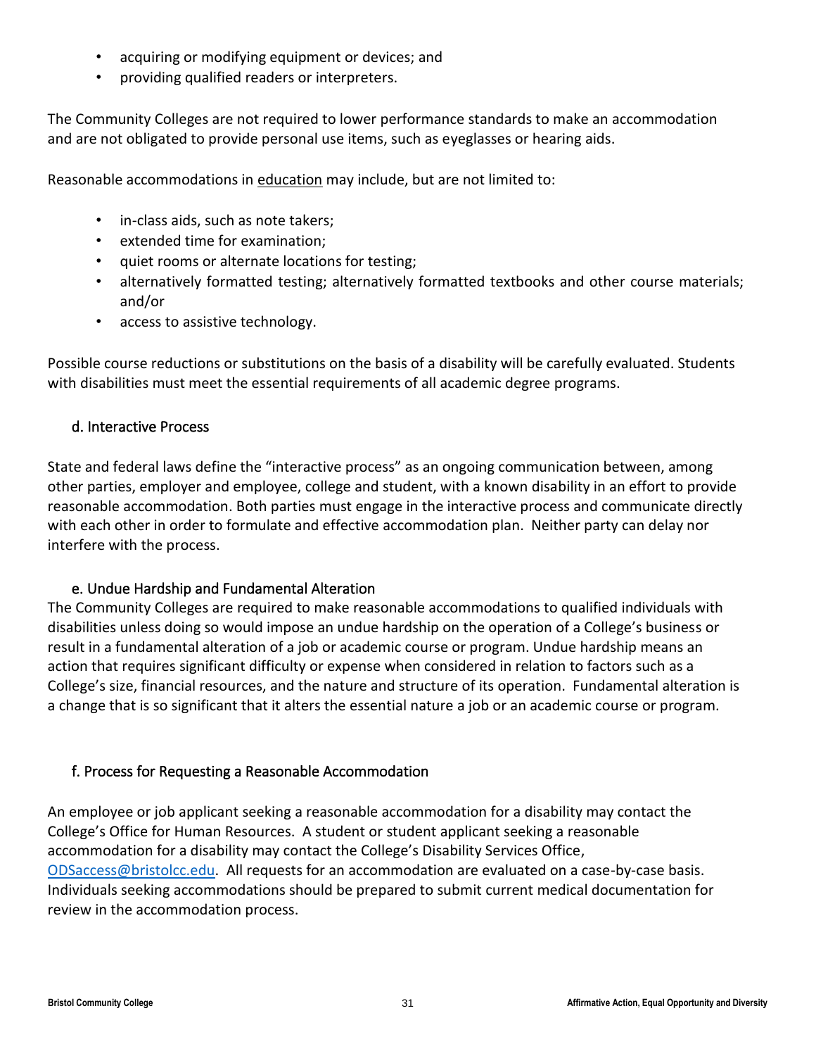- acquiring or modifying equipment or devices; and
- providing qualified readers or interpreters.

The Community Colleges are not required to lower performance standards to make an accommodation and are not obligated to provide personal use items, such as eyeglasses or hearing aids.

Reasonable accommodations in education may include, but are not limited to:

- in-class aids, such as note takers;
- extended time for examination;
- quiet rooms or alternate locations for testing;
- alternatively formatted testing; alternatively formatted textbooks and other course materials; and/or
- access to assistive technology.

Possible course reductions or substitutions on the basis of a disability will be carefully evaluated. Students with disabilities must meet the essential requirements of all academic degree programs.

## d. Interactive Process

State and federal laws define the "interactive process" as an ongoing communication between, among other parties, employer and employee, college and student, with a known disability in an effort to provide reasonable accommodation. Both parties must engage in the interactive process and communicate directly with each other in order to formulate and effective accommodation plan. Neither party can delay nor interfere with the process.

## e. Undue Hardship and Fundamental Alteration

The Community Colleges are required to make reasonable accommodations to qualified individuals with disabilities unless doing so would impose an undue hardship on the operation of a College's business or result in a fundamental alteration of a job or academic course or program. Undue hardship means an action that requires significant difficulty or expense when considered in relation to factors such as a College's size, financial resources, and the nature and structure of its operation. Fundamental alteration is a change that is so significant that it alters the essential nature a job or an academic course or program.

## f. Process for Requesting a Reasonable Accommodation

An employee or job applicant seeking a reasonable accommodation for a disability may contact the College's Office for Human Resources. A student or student applicant seeking a reasonable accommodation for a disability may contact the College's Disability Services Office, [ODSaccess@bristolcc.edu.](mailto:ODSaccess@bristolcc.edu) All requests for an accommodation are evaluated on a case-by-case basis. Individuals seeking accommodations should be prepared to submit current medical documentation for review in the accommodation process.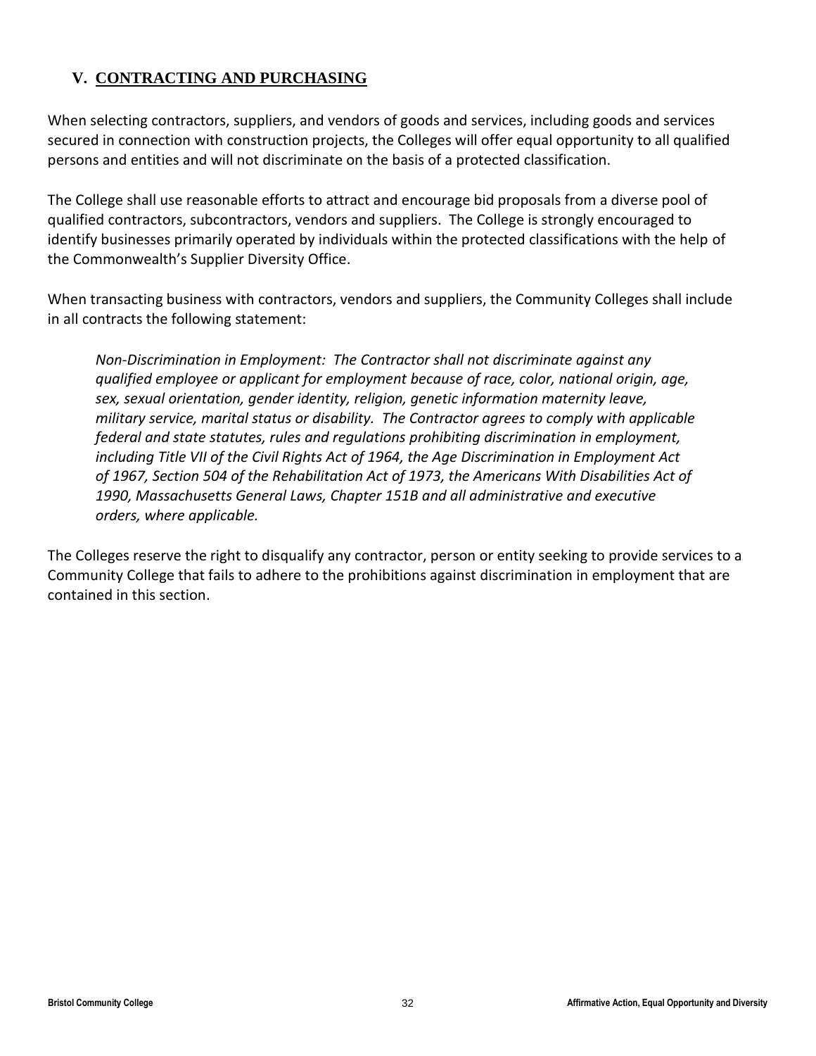## <span id="page-31-0"></span>**V. CONTRACTING AND PURCHASING**

When selecting contractors, suppliers, and vendors of goods and services, including goods and services secured in connection with construction projects, the Colleges will offer equal opportunity to all qualified persons and entities and will not discriminate on the basis of a protected classification.

The College shall use reasonable efforts to attract and encourage bid proposals from a diverse pool of qualified contractors, subcontractors, vendors and suppliers. The College is strongly encouraged to identify businesses primarily operated by individuals within the protected classifications with the help of the Commonwealth's Supplier Diversity Office.

When transacting business with contractors, vendors and suppliers, the Community Colleges shall include in all contracts the following statement:

*Non-Discrimination in Employment: The Contractor shall not discriminate against any qualified employee or applicant for employment because of race, color, national origin, age, sex, sexual orientation, gender identity, religion, genetic information maternity leave, military service, marital status or disability. The Contractor agrees to comply with applicable federal and state statutes, rules and regulations prohibiting discrimination in employment, including Title VII of the Civil Rights Act of 1964, the Age Discrimination in Employment Act of 1967, Section 504 of the Rehabilitation Act of 1973, the Americans With Disabilities Act of 1990, Massachusetts General Laws, Chapter 151B and all administrative and executive orders, where applicable.* 

The Colleges reserve the right to disqualify any contractor, person or entity seeking to provide services to a Community College that fails to adhere to the prohibitions against discrimination in employment that are contained in this section.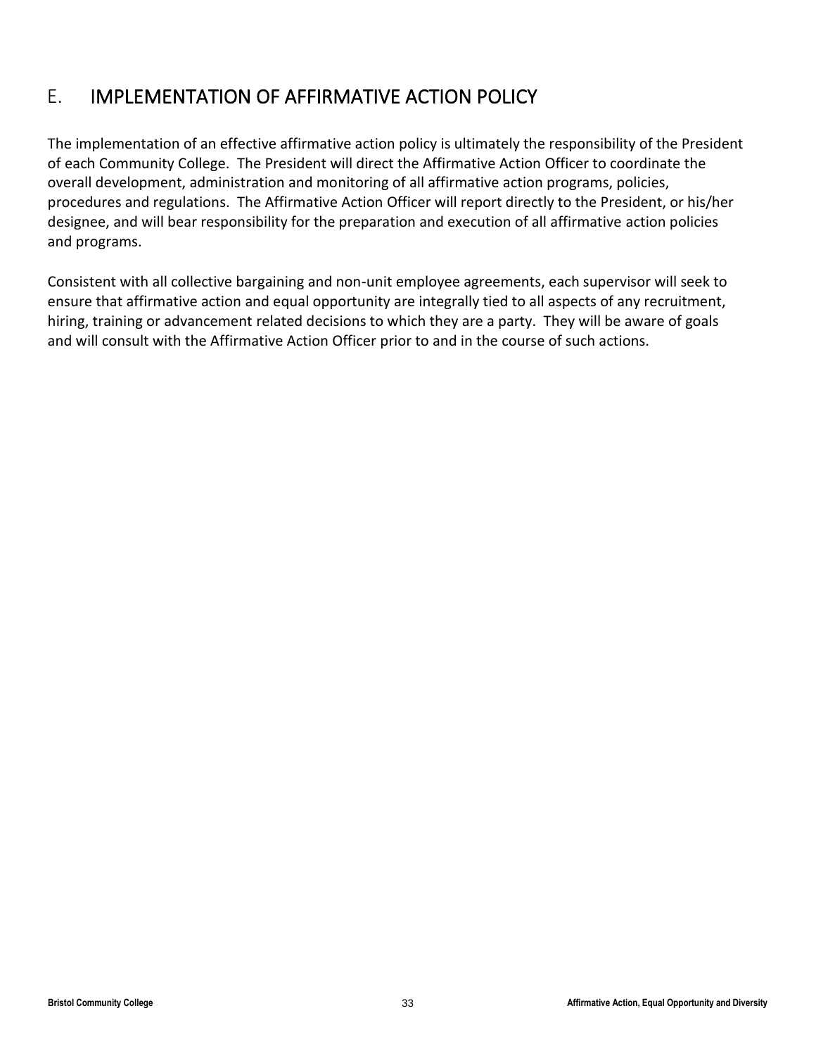## <span id="page-32-0"></span>E. IMPLEMENTATION OF AFFIRMATIVE ACTION POLICY

The implementation of an effective affirmative action policy is ultimately the responsibility of the President of each Community College. The President will direct the Affirmative Action Officer to coordinate the overall development, administration and monitoring of all affirmative action programs, policies, procedures and regulations. The Affirmative Action Officer will report directly to the President, or his/her designee, and will bear responsibility for the preparation and execution of all affirmative action policies and programs.

Consistent with all collective bargaining and non-unit employee agreements, each supervisor will seek to ensure that affirmative action and equal opportunity are integrally tied to all aspects of any recruitment, hiring, training or advancement related decisions to which they are a party. They will be aware of goals and will consult with the Affirmative Action Officer prior to and in the course of such actions.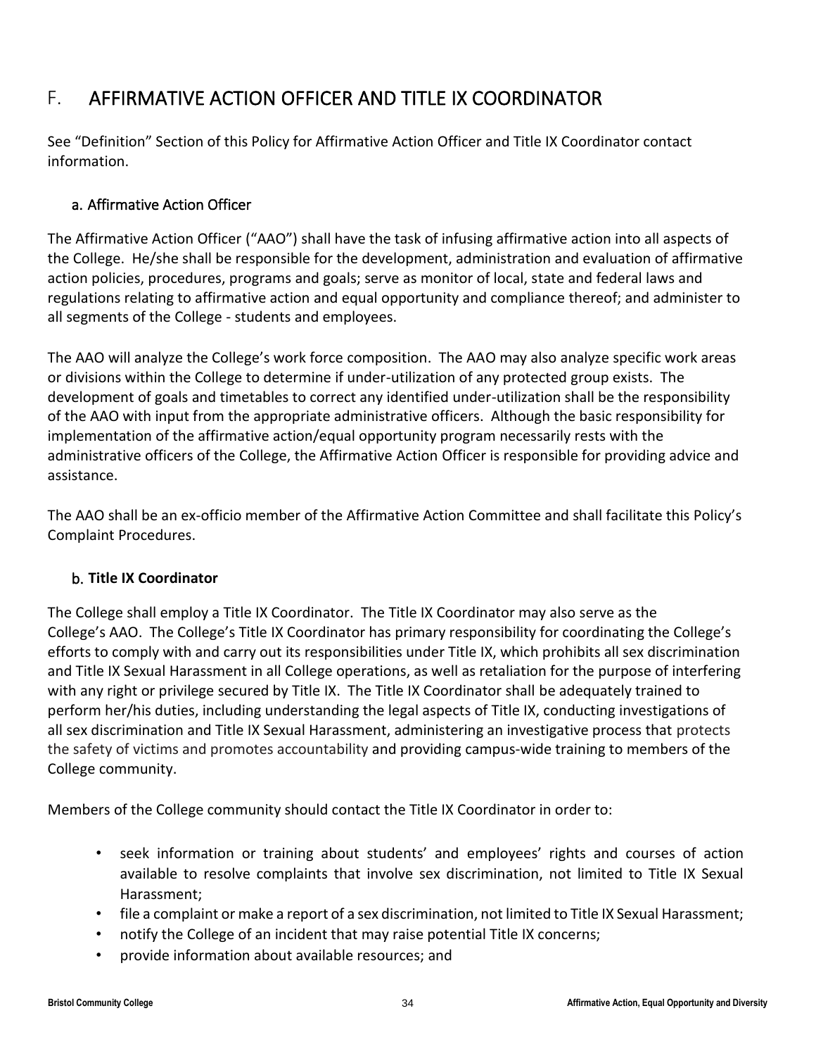## <span id="page-33-0"></span>F. AFFIRMATIVE ACTION OFFICER AND TITLE IX COORDINATOR

See "Definition" Section of this Policy for Affirmative Action Officer and Title IX Coordinator contact information.

## a. Affirmative Action Officer

The Affirmative Action Officer ("AAO") shall have the task of infusing affirmative action into all aspects of the College. He/she shall be responsible for the development, administration and evaluation of affirmative action policies, procedures, programs and goals; serve as monitor of local, state and federal laws and regulations relating to affirmative action and equal opportunity and compliance thereof; and administer to all segments of the College - students and employees.

The AAO will analyze the College's work force composition. The AAO may also analyze specific work areas or divisions within the College to determine if under-utilization of any protected group exists. The development of goals and timetables to correct any identified under-utilization shall be the responsibility of the AAO with input from the appropriate administrative officers. Although the basic responsibility for implementation of the affirmative action/equal opportunity program necessarily rests with the administrative officers of the College, the Affirmative Action Officer is responsible for providing advice and assistance.

The AAO shall be an ex-officio member of the Affirmative Action Committee and shall facilitate this Policy's Complaint Procedures.

## b. **Title IX Coordinator**

The College shall employ a Title IX Coordinator. The Title IX Coordinator may also serve as the College's AAO. The College's Title IX Coordinator has primary responsibility for coordinating the College's efforts to comply with and carry out its responsibilities under Title IX, which prohibits all sex discrimination and Title IX Sexual Harassment in all College operations, as well as retaliation for the purpose of interfering with any right or privilege secured by Title IX. The Title IX Coordinator shall be adequately trained to perform her/his duties, including understanding the legal aspects of Title IX, conducting investigations of all sex discrimination and Title IX Sexual Harassment, administering an investigative process that protects the safety of victims and promotes accountability and providing campus-wide training to members of the College community.

Members of the College community should contact the Title IX Coordinator in order to:

- seek information or training about students' and employees' rights and courses of action available to resolve complaints that involve sex discrimination, not limited to Title IX Sexual Harassment;
- file a complaint or make a report of a sex discrimination, not limited to Title IX Sexual Harassment;
- notify the College of an incident that may raise potential Title IX concerns;
- provide information about available resources; and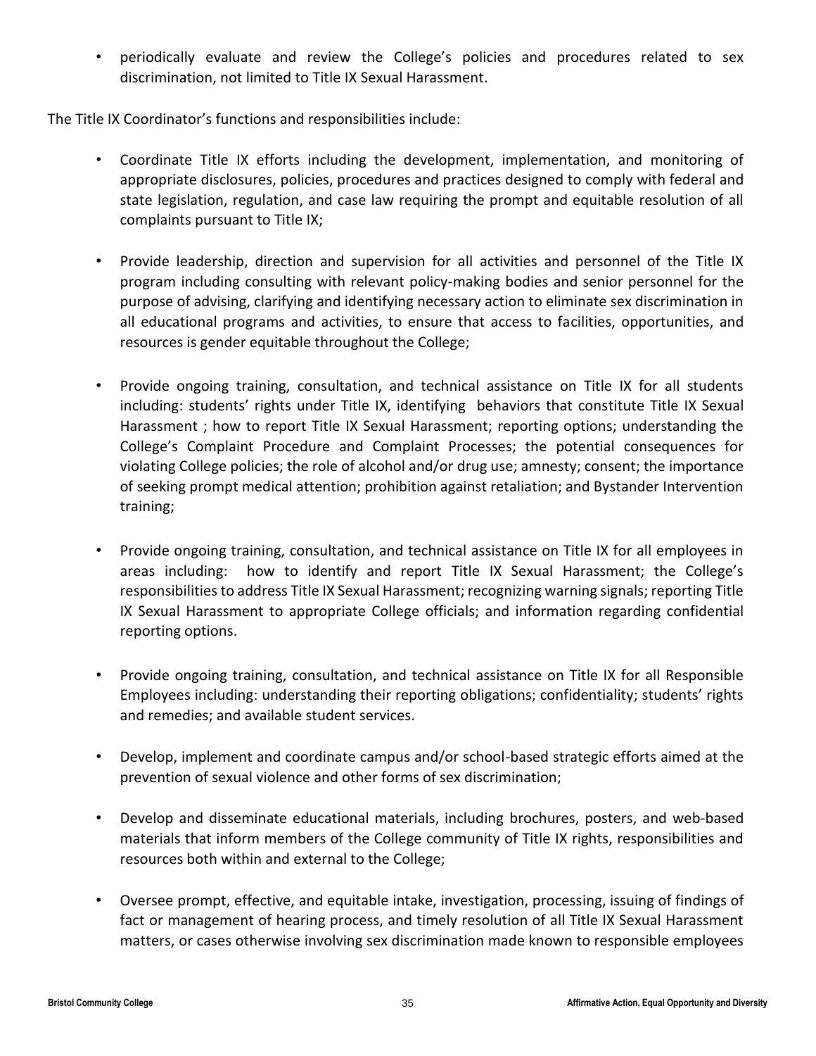• periodically evaluate and review the College's policies and procedures related to sex discrimination, not limited to Title IX Sexual Harassment.

The Title IX Coordinator's functions and responsibilities include:

- Coordinate Title IX efforts including the development, implementation, and monitoring of appropriate disclosures, policies, procedures and practices designed to comply with federal and state legislation, regulation, and case law requiring the prompt and equitable resolution of all complaints pursuant to Title IX;
- Provide leadership, direction and supervision for all activities and personnel of the Title IX program including consulting with relevant policy-making bodies and senior personnel for the purpose of advising, clarifying and identifying necessary action to eliminate sex discrimination in all educational programs and activities, to ensure that access to facilities, opportunities, and resources is gender equitable throughout the College;
- Provide ongoing training, consultation, and technical assistance on Title IX for all students including: students' rights under Title IX, identifying behaviors that constitute Title IX Sexual Harassment ; how to report Title IX Sexual Harassment; reporting options; understanding the College's Complaint Procedure and Complaint Processes; the potential consequences for violating College policies; the role of alcohol and/or drug use; amnesty; consent; the importance of seeking prompt medical attention; prohibition against retaliation; and Bystander Intervention training;
- Provide ongoing training, consultation, and technical assistance on Title IX for all employees in areas including: how to identify and report Title IX Sexual Harassment; the College's responsibilities to address Title IX Sexual Harassment; recognizing warning signals; reporting Title IX Sexual Harassment to appropriate College officials; and information regarding confidential reporting options.
- Provide ongoing training, consultation, and technical assistance on Title IX for all Responsible Employees including: understanding their reporting obligations; confidentiality; students' rights and remedies; and available student services.
- Develop, implement and coordinate campus and/or school-based strategic efforts aimed at the prevention of sexual violence and other forms of sex discrimination;
- Develop and disseminate educational materials, including brochures, posters, and web-based materials that inform members of the College community of Title IX rights, responsibilities and resources both within and external to the College;
- Oversee prompt, effective, and equitable intake, investigation, processing, issuing of findings of fact or management of hearing process, and timely resolution of all Title IX Sexual Harassment matters, or cases otherwise involving sex discrimination made known to responsible employees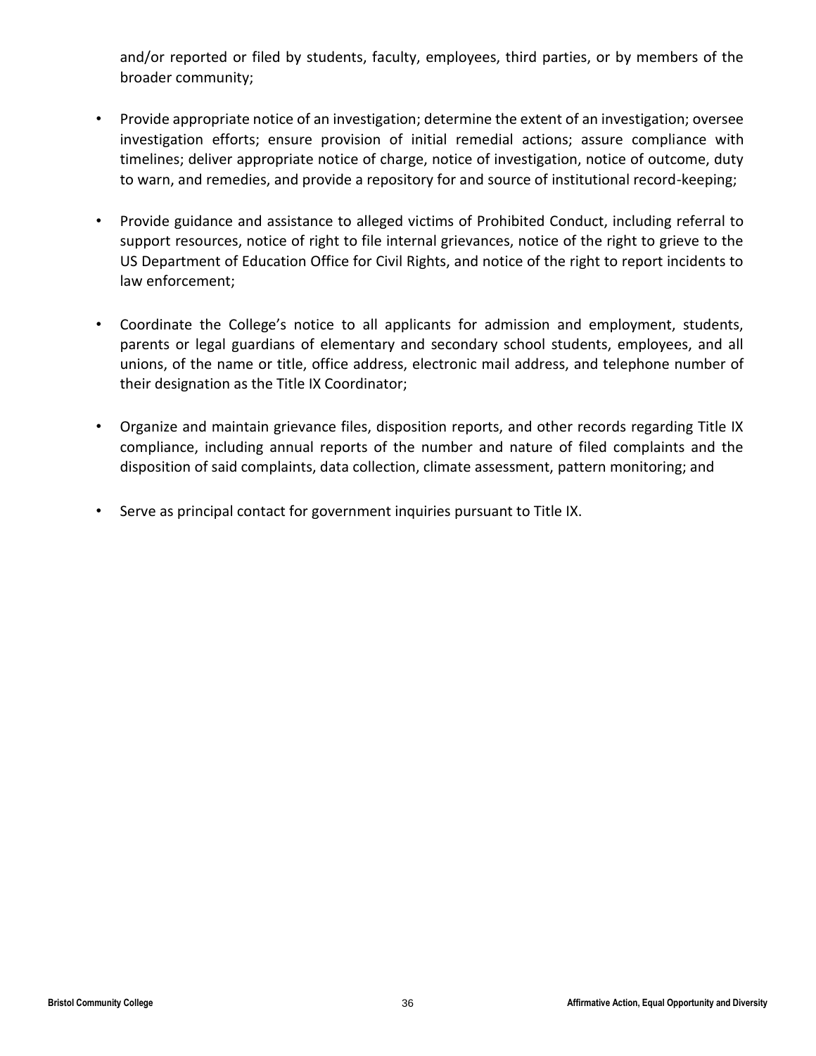and/or reported or filed by students, faculty, employees, third parties, or by members of the broader community;

- Provide appropriate notice of an investigation; determine the extent of an investigation; oversee investigation efforts; ensure provision of initial remedial actions; assure compliance with timelines; deliver appropriate notice of charge, notice of investigation, notice of outcome, duty to warn, and remedies, and provide a repository for and source of institutional record-keeping;
- Provide guidance and assistance to alleged victims of Prohibited Conduct, including referral to support resources, notice of right to file internal grievances, notice of the right to grieve to the US Department of Education Office for Civil Rights, and notice of the right to report incidents to law enforcement;
- Coordinate the College's notice to all applicants for admission and employment, students, parents or legal guardians of elementary and secondary school students, employees, and all unions, of the name or title, office address, electronic mail address, and telephone number of their designation as the Title IX Coordinator;
- Organize and maintain grievance files, disposition reports, and other records regarding Title IX compliance, including annual reports of the number and nature of filed complaints and the disposition of said complaints, data collection, climate assessment, pattern monitoring; and
- Serve as principal contact for government inquiries pursuant to Title IX.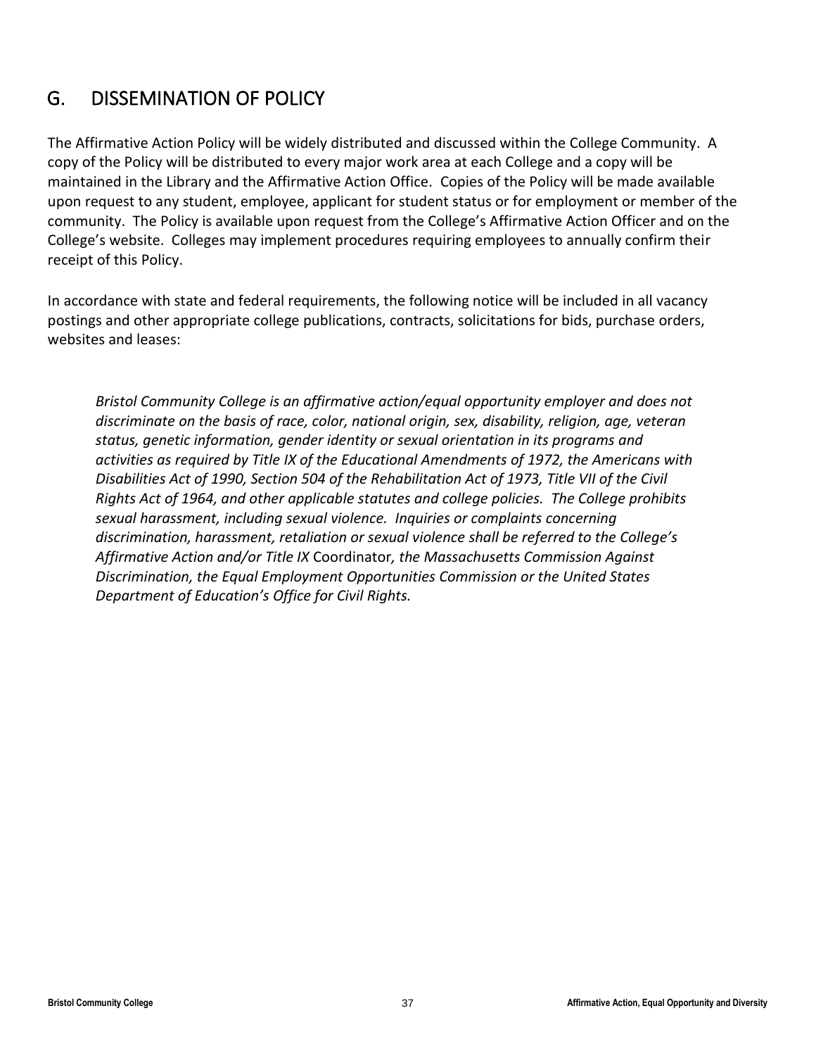## <span id="page-36-0"></span>G. DISSEMINATION OF POLICY

The Affirmative Action Policy will be widely distributed and discussed within the College Community. A copy of the Policy will be distributed to every major work area at each College and a copy will be maintained in the Library and the Affirmative Action Office.Copies of the Policy will be made available upon request to any student, employee, applicant for student status or for employment or member of the community. The Policy is available upon request from the College's Affirmative Action Officer and on the College's website. Colleges may implement procedures requiring employees to annually confirm their receipt of this Policy.

In accordance with state and federal requirements, the following notice will be included in all vacancy postings and other appropriate college publications, contracts, solicitations for bids, purchase orders, websites and leases:

*Bristol Community College is an affirmative action/equal opportunity employer and does not discriminate on the basis of race, color, national origin, sex, disability, religion, age, veteran status, genetic information, gender identity or sexual orientation in its programs and activities as required by Title IX of the Educational Amendments of 1972, the Americans with Disabilities Act of 1990, Section 504 of the Rehabilitation Act of 1973, Title VII of the Civil Rights Act of 1964, and other applicable statutes and college policies. The College prohibits sexual harassment, including sexual violence. Inquiries or complaints concerning discrimination, harassment, retaliation or sexual violence shall be referred to the College's Affirmative Action and/or Title IX* Coordinator*, the Massachusetts Commission Against Discrimination, the Equal Employment Opportunities Commission or the United States Department of Education's Office for Civil Rights.*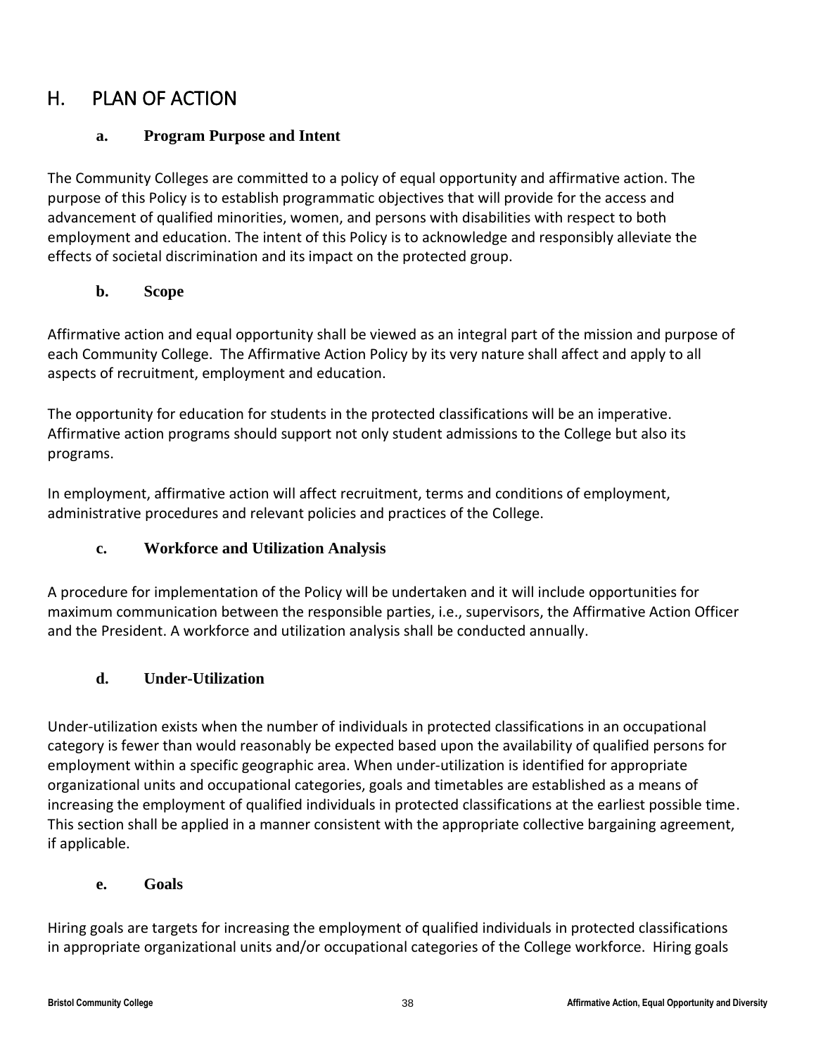## <span id="page-37-1"></span><span id="page-37-0"></span>H. PLAN OF ACTION

## **a. Program Purpose and Intent**

The Community Colleges are committed to a policy of equal opportunity and affirmative action. The purpose of this Policy is to establish programmatic objectives that will provide for the access and advancement of qualified minorities, women, and persons with disabilities with respect to both employment and education. The intent of this Policy is to acknowledge and responsibly alleviate the effects of societal discrimination and its impact on the protected group.

## **b. Scope**

<span id="page-37-2"></span>Affirmative action and equal opportunity shall be viewed as an integral part of the mission and purpose of each Community College. The Affirmative Action Policy by its very nature shall affect and apply to all aspects of recruitment, employment and education.

The opportunity for education for students in the protected classifications will be an imperative. Affirmative action programs should support not only student admissions to the College but also its programs.

In employment, affirmative action will affect recruitment, terms and conditions of employment, administrative procedures and relevant policies and practices of the College.

## **c. Workforce and Utilization Analysis**

<span id="page-37-3"></span>A procedure for implementation of the Policy will be undertaken and it will include opportunities for maximum communication between the responsible parties, i.e., supervisors, the Affirmative Action Officer and the President. A workforce and utilization analysis shall be conducted annually.

## **d. Under-Utilization**

<span id="page-37-4"></span>Under-utilization exists when the number of individuals in protected classifications in an occupational category is fewer than would reasonably be expected based upon the availability of qualified persons for employment within a specific geographic area. When under-utilization is identified for appropriate organizational units and occupational categories, goals and timetables are established as a means of increasing the employment of qualified individuals in protected classifications at the earliest possible time. This section shall be applied in a manner consistent with the appropriate collective bargaining agreement, if applicable.

## **e. Goals**

<span id="page-37-5"></span>Hiring goals are targets for increasing the employment of qualified individuals in protected classifications in appropriate organizational units and/or occupational categories of the College workforce. Hiring goals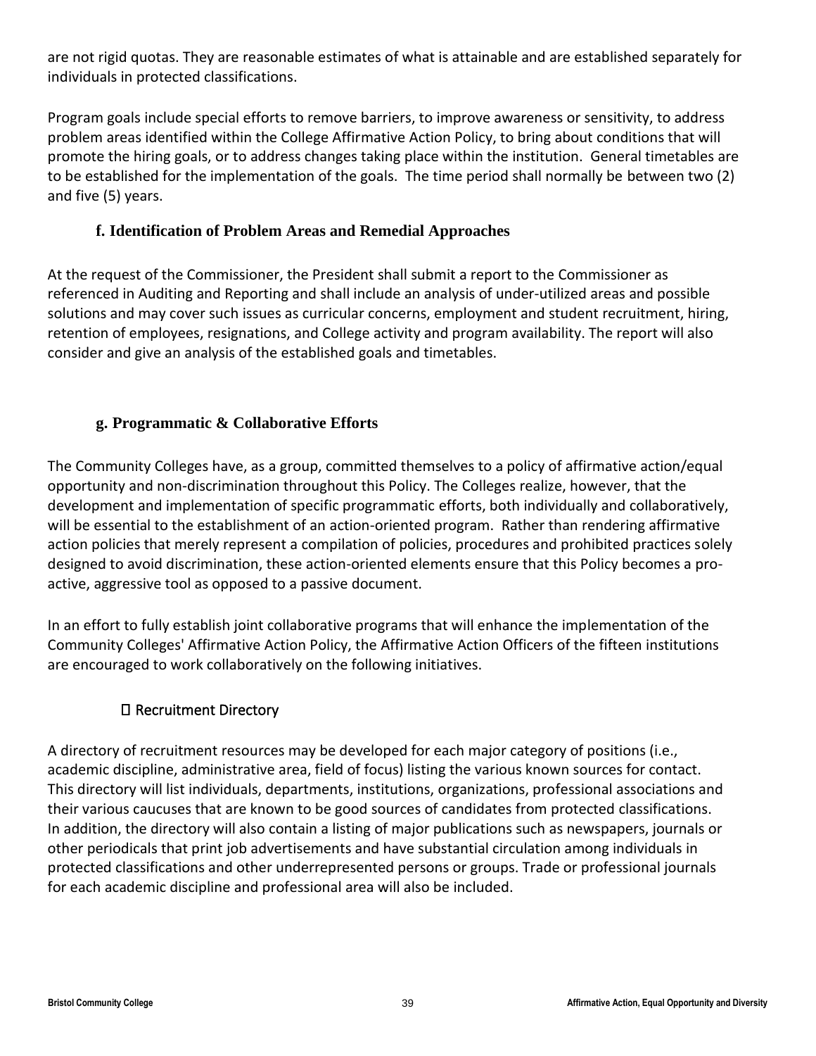are not rigid quotas. They are reasonable estimates of what is attainable and are established separately for individuals in protected classifications.

Program goals include special efforts to remove barriers, to improve awareness or sensitivity, to address problem areas identified within the College Affirmative Action Policy, to bring about conditions that will promote the hiring goals, or to address changes taking place within the institution. General timetables are to be established for the implementation of the goals. The time period shall normally be between two (2) and five (5) years.

## **f. Identification of Problem Areas and Remedial Approaches**

<span id="page-38-0"></span>At the request of the Commissioner, the President shall submit a report to the Commissioner as referenced in Auditing and Reporting and shall include an analysis of under-utilized areas and possible solutions and may cover such issues as curricular concerns, employment and student recruitment, hiring, retention of employees, resignations, and College activity and program availability. The report will also consider and give an analysis of the established goals and timetables.

## **g. Programmatic & Collaborative Efforts**

<span id="page-38-1"></span>The Community Colleges have, as a group, committed themselves to a policy of affirmative action/equal opportunity and non-discrimination throughout this Policy. The Colleges realize, however, that the development and implementation of specific programmatic efforts, both individually and collaboratively, will be essential to the establishment of an action-oriented program. Rather than rendering affirmative action policies that merely represent a compilation of policies, procedures and prohibited practices solely designed to avoid discrimination, these action-oriented elements ensure that this Policy becomes a proactive, aggressive tool as opposed to a passive document.

In an effort to fully establish joint collaborative programs that will enhance the implementation of the Community Colleges' Affirmative Action Policy, the Affirmative Action Officers of the fifteen institutions are encouraged to work collaboratively on the following initiatives.

## Recruitment Directory

A directory of recruitment resources may be developed for each major category of positions (i.e., academic discipline, administrative area, field of focus) listing the various known sources for contact. This directory will list individuals, departments, institutions, organizations, professional associations and their various caucuses that are known to be good sources of candidates from protected classifications. In addition, the directory will also contain a listing of major publications such as newspapers, journals or other periodicals that print job advertisements and have substantial circulation among individuals in protected classifications and other underrepresented persons or groups. Trade or professional journals for each academic discipline and professional area will also be included.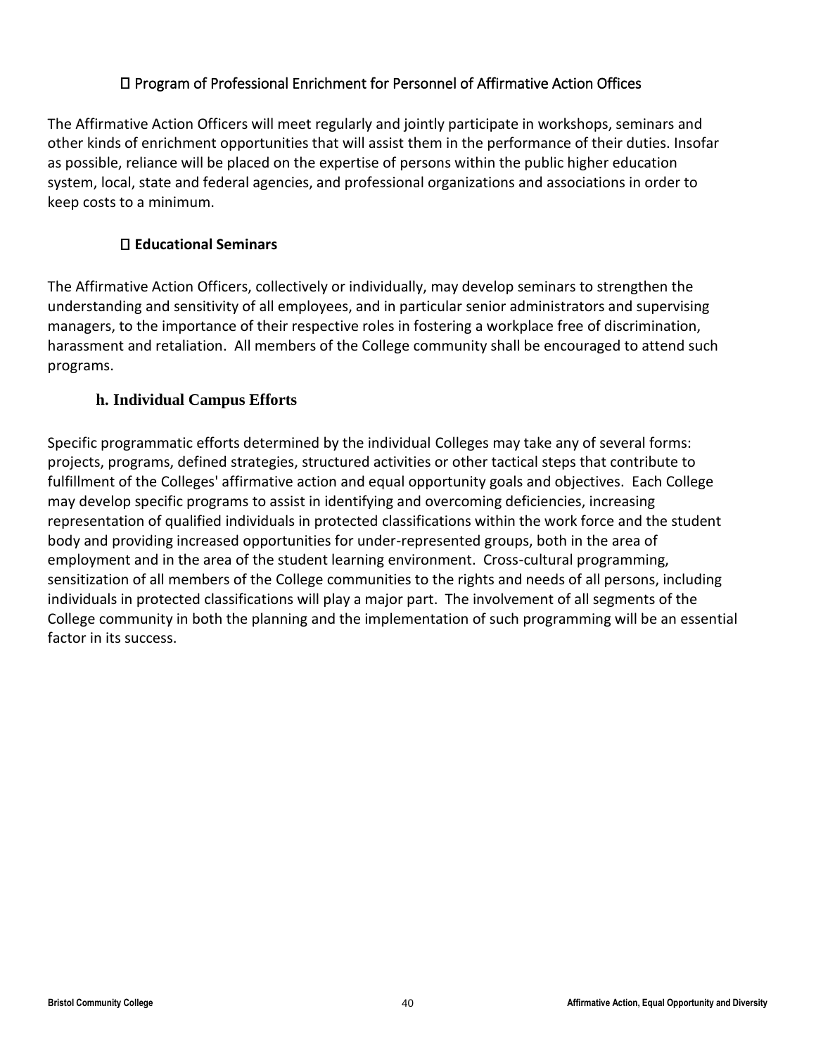## Program of Professional Enrichment for Personnel of Affirmative Action Offices

The Affirmative Action Officers will meet regularly and jointly participate in workshops, seminars and other kinds of enrichment opportunities that will assist them in the performance of their duties. Insofar as possible, reliance will be placed on the expertise of persons within the public higher education system, local, state and federal agencies, and professional organizations and associations in order to keep costs to a minimum.

## **Educational Seminars**

The Affirmative Action Officers, collectively or individually, may develop seminars to strengthen the understanding and sensitivity of all employees, and in particular senior administrators and supervising managers, to the importance of their respective roles in fostering a workplace free of discrimination, harassment and retaliation. All members of the College community shall be encouraged to attend such programs.

## **h. Individual Campus Efforts**

<span id="page-39-0"></span>Specific programmatic efforts determined by the individual Colleges may take any of several forms: projects, programs, defined strategies, structured activities or other tactical steps that contribute to fulfillment of the Colleges' affirmative action and equal opportunity goals and objectives. Each College may develop specific programs to assist in identifying and overcoming deficiencies, increasing representation of qualified individuals in protected classifications within the work force and the student body and providing increased opportunities for under-represented groups, both in the area of employment and in the area of the student learning environment. Cross-cultural programming, sensitization of all members of the College communities to the rights and needs of all persons, including individuals in protected classifications will play a major part. The involvement of all segments of the College community in both the planning and the implementation of such programming will be an essential factor in its success.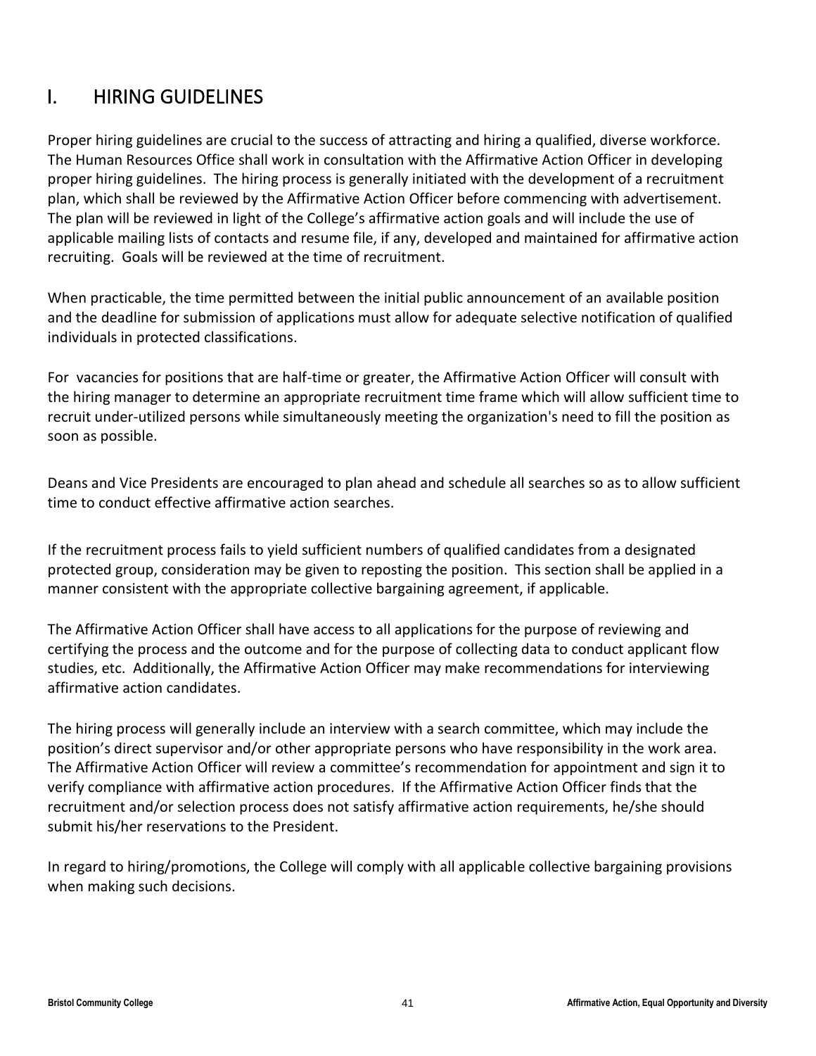## <span id="page-40-0"></span>I. HIRING GUIDELINES

Proper hiring guidelines are crucial to the success of attracting and hiring a qualified, diverse workforce. The Human Resources Office shall work in consultation with the Affirmative Action Officer in developing proper hiring guidelines. The hiring process is generally initiated with the development of a recruitment plan, which shall be reviewed by the Affirmative Action Officer before commencing with advertisement. The plan will be reviewed in light of the College's affirmative action goals and will include the use of applicable mailing lists of contacts and resume file, if any, developed and maintained for affirmative action recruiting. Goals will be reviewed at the time of recruitment.

When practicable, the time permitted between the initial public announcement of an available position and the deadline for submission of applications must allow for adequate selective notification of qualified individuals in protected classifications.

For vacancies for positions that are half-time or greater, the Affirmative Action Officer will consult with the hiring manager to determine an appropriate recruitment time frame which will allow sufficient time to recruit under-utilized persons while simultaneously meeting the organization's need to fill the position as soon as possible.

Deans and Vice Presidents are encouraged to plan ahead and schedule all searches so as to allow sufficient time to conduct effective affirmative action searches.

If the recruitment process fails to yield sufficient numbers of qualified candidates from a designated protected group, consideration may be given to reposting the position. This section shall be applied in a manner consistent with the appropriate collective bargaining agreement, if applicable.

The Affirmative Action Officer shall have access to all applications for the purpose of reviewing and certifying the process and the outcome and for the purpose of collecting data to conduct applicant flow studies, etc. Additionally, the Affirmative Action Officer may make recommendations for interviewing affirmative action candidates.

The hiring process will generally include an interview with a search committee, which may include the position's direct supervisor and/or other appropriate persons who have responsibility in the work area. The Affirmative Action Officer will review a committee's recommendation for appointment and sign it to verify compliance with affirmative action procedures. If the Affirmative Action Officer finds that the recruitment and/or selection process does not satisfy affirmative action requirements, he/she should submit his/her reservations to the President.

In regard to hiring/promotions, the College will comply with all applicable collective bargaining provisions when making such decisions.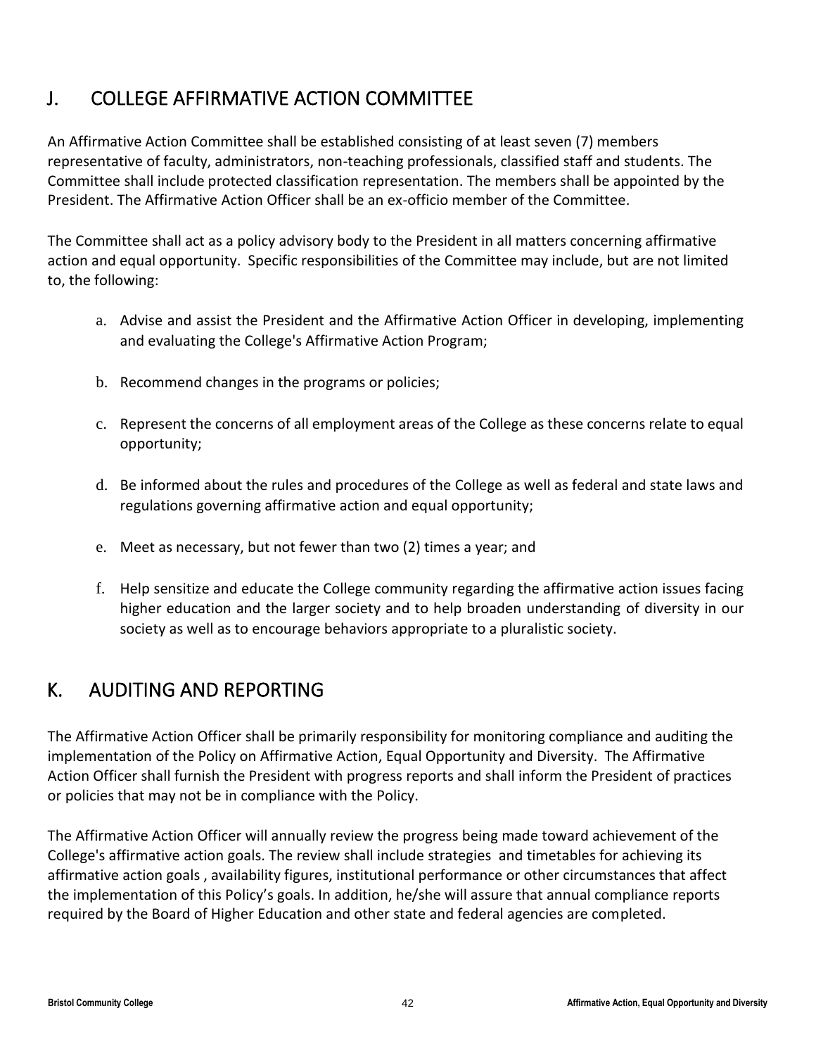## <span id="page-41-0"></span>J. COLLEGE AFFIRMATIVE ACTION COMMITTEE

An Affirmative Action Committee shall be established consisting of at least seven (7) members representative of faculty, administrators, non-teaching professionals, classified staff and students. The Committee shall include protected classification representation. The members shall be appointed by the President. The Affirmative Action Officer shall be an ex-officio member of the Committee.

The Committee shall act as a policy advisory body to the President in all matters concerning affirmative action and equal opportunity. Specific responsibilities of the Committee may include, but are not limited to, the following:

- a. Advise and assist the President and the Affirmative Action Officer in developing, implementing and evaluating the College's Affirmative Action Program;
- b. Recommend changes in the programs or policies;
- c. Represent the concerns of all employment areas of the College as these concerns relate to equal opportunity;
- d. Be informed about the rules and procedures of the College as well as federal and state laws and regulations governing affirmative action and equal opportunity;
- e. Meet as necessary, but not fewer than two (2) times a year; and
- f. Help sensitize and educate the College community regarding the affirmative action issues facing higher education and the larger society and to help broaden understanding of diversity in our society as well as to encourage behaviors appropriate to a pluralistic society.

## <span id="page-41-1"></span>K. AUDITING AND REPORTING

The Affirmative Action Officer shall be primarily responsibility for monitoring compliance and auditing the implementation of the Policy on Affirmative Action, Equal Opportunity and Diversity. The Affirmative Action Officer shall furnish the President with progress reports and shall inform the President of practices or policies that may not be in compliance with the Policy.

The Affirmative Action Officer will annually review the progress being made toward achievement of the College's affirmative action goals. The review shall include strategies and timetables for achieving its affirmative action goals , availability figures, institutional performance or other circumstances that affect the implementation of this Policy's goals. In addition, he/she will assure that annual compliance reports required by the Board of Higher Education and other state and federal agencies are completed.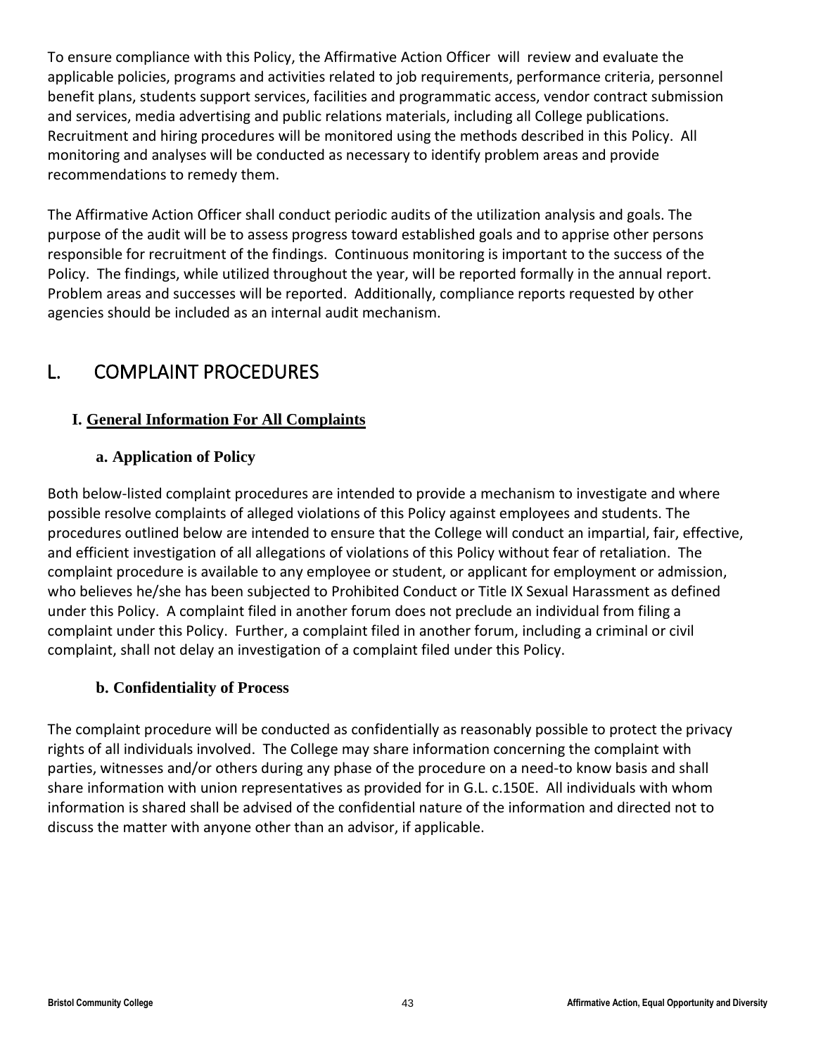To ensure compliance with this Policy, the Affirmative Action Officer will review and evaluate the applicable policies, programs and activities related to job requirements, performance criteria, personnel benefit plans, students support services, facilities and programmatic access, vendor contract submission and services, media advertising and public relations materials, including all College publications. Recruitment and hiring procedures will be monitored using the methods described in this Policy. All monitoring and analyses will be conducted as necessary to identify problem areas and provide recommendations to remedy them.

The Affirmative Action Officer shall conduct periodic audits of the utilization analysis and goals. The purpose of the audit will be to assess progress toward established goals and to apprise other persons responsible for recruitment of the findings. Continuous monitoring is important to the success of the Policy. The findings, while utilized throughout the year, will be reported formally in the annual report. Problem areas and successes will be reported. Additionally, compliance reports requested by other agencies should be included as an internal audit mechanism.

## <span id="page-42-0"></span>L. COMPLAINT PROCEDURES

## <span id="page-42-1"></span>**I. General Information For All Complaints**

## **a. Application of Policy**

<span id="page-42-2"></span>Both below-listed complaint procedures are intended to provide a mechanism to investigate and where possible resolve complaints of alleged violations of this Policy against employees and students. The procedures outlined below are intended to ensure that the College will conduct an impartial, fair, effective, and efficient investigation of all allegations of violations of this Policy without fear of retaliation. The complaint procedure is available to any employee or student, or applicant for employment or admission, who believes he/she has been subjected to Prohibited Conduct or Title IX Sexual Harassment as defined under this Policy. A complaint filed in another forum does not preclude an individual from filing a complaint under this Policy. Further, a complaint filed in another forum, including a criminal or civil complaint, shall not delay an investigation of a complaint filed under this Policy.

## **b. Confidentiality of Process**

<span id="page-42-3"></span>The complaint procedure will be conducted as confidentially as reasonably possible to protect the privacy rights of all individuals involved. The College may share information concerning the complaint with parties, witnesses and/or others during any phase of the procedure on a need-to know basis and shall share information with union representatives as provided for in G.L. c.150E. All individuals with whom information is shared shall be advised of the confidential nature of the information and directed not to discuss the matter with anyone other than an advisor, if applicable.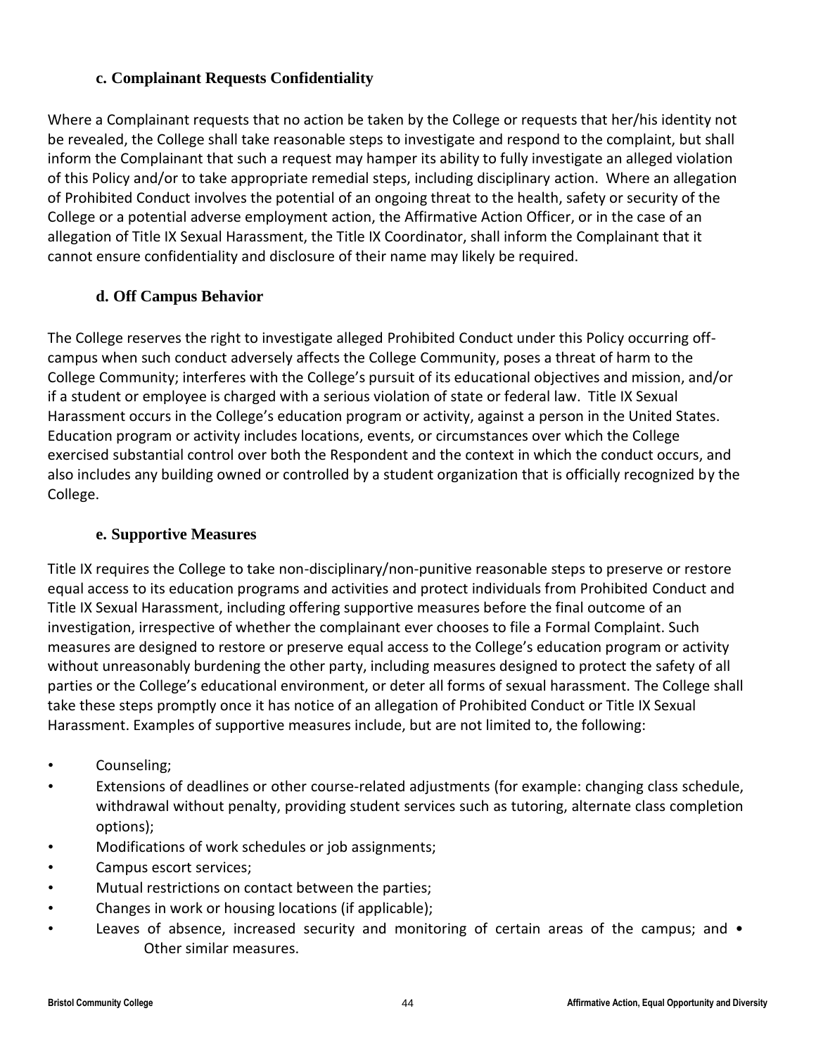## **c. Complainant Requests Confidentiality**

<span id="page-43-0"></span>Where a Complainant requests that no action be taken by the College or requests that her/his identity not be revealed, the College shall take reasonable steps to investigate and respond to the complaint, but shall inform the Complainant that such a request may hamper its ability to fully investigate an alleged violation of this Policy and/or to take appropriate remedial steps, including disciplinary action. Where an allegation of Prohibited Conduct involves the potential of an ongoing threat to the health, safety or security of the College or a potential adverse employment action, the Affirmative Action Officer, or in the case of an allegation of Title IX Sexual Harassment, the Title IX Coordinator, shall inform the Complainant that it cannot ensure confidentiality and disclosure of their name may likely be required.

## **d. Off Campus Behavior**

<span id="page-43-1"></span>The College reserves the right to investigate alleged Prohibited Conduct under this Policy occurring offcampus when such conduct adversely affects the College Community, poses a threat of harm to the College Community; interferes with the College's pursuit of its educational objectives and mission, and/or if a student or employee is charged with a serious violation of state or federal law. Title IX Sexual Harassment occurs in the College's education program or activity, against a person in the United States. Education program or activity includes locations, events, or circumstances over which the College exercised substantial control over both the Respondent and the context in which the conduct occurs, and also includes any building owned or controlled by a student organization that is officially recognized by the College.

## **e. Supportive Measures**

<span id="page-43-2"></span>Title IX requires the College to take non-disciplinary/non-punitive reasonable steps to preserve or restore equal access to its education programs and activities and protect individuals from Prohibited Conduct and Title IX Sexual Harassment, including offering supportive measures before the final outcome of an investigation, irrespective of whether the complainant ever chooses to file a Formal Complaint. Such measures are designed to restore or preserve equal access to the College's education program or activity without unreasonably burdening the other party, including measures designed to protect the safety of all parties or the College's educational environment, or deter all forms of sexual harassment. The College shall take these steps promptly once it has notice of an allegation of Prohibited Conduct or Title IX Sexual Harassment. Examples of supportive measures include, but are not limited to, the following:

- Counseling;
- Extensions of deadlines or other course-related adjustments (for example: changing class schedule, withdrawal without penalty, providing student services such as tutoring, alternate class completion options);
- Modifications of work schedules or job assignments;
- Campus escort services;
- Mutual restrictions on contact between the parties;
- Changes in work or housing locations (if applicable);
- Leaves of absence, increased security and monitoring of certain areas of the campus; and Other similar measures.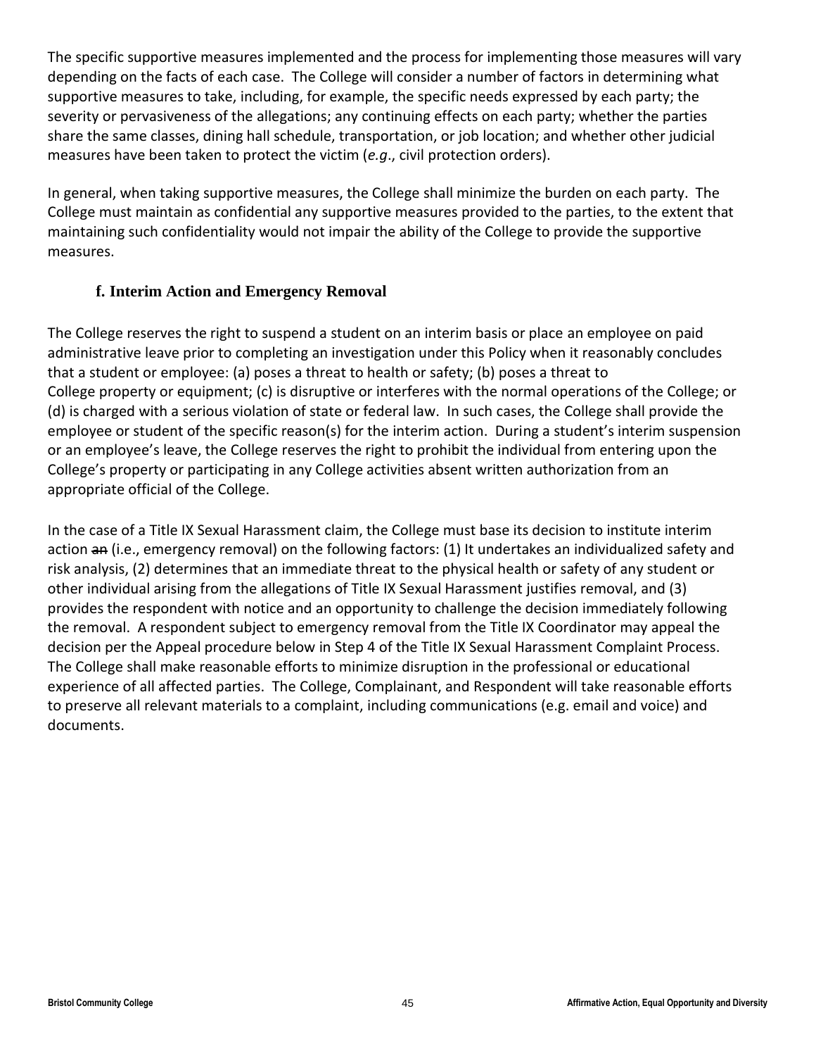The specific supportive measures implemented and the process for implementing those measures will vary depending on the facts of each case. The College will consider a number of factors in determining what supportive measures to take, including, for example, the specific needs expressed by each party; the severity or pervasiveness of the allegations; any continuing effects on each party; whether the parties share the same classes, dining hall schedule, transportation, or job location; and whether other judicial measures have been taken to protect the victim (*e.g*., civil protection orders).

In general, when taking supportive measures, the College shall minimize the burden on each party. The College must maintain as confidential any supportive measures provided to the parties, to the extent that maintaining such confidentiality would not impair the ability of the College to provide the supportive measures.

## **f. Interim Action and Emergency Removal**

<span id="page-44-0"></span>The College reserves the right to suspend a student on an interim basis or place an employee on paid administrative leave prior to completing an investigation under this Policy when it reasonably concludes that a student or employee: (a) poses a threat to health or safety; (b) poses a threat to College property or equipment; (c) is disruptive or interferes with the normal operations of the College; or (d) is charged with a serious violation of state or federal law. In such cases, the College shall provide the employee or student of the specific reason(s) for the interim action. During a student's interim suspension or an employee's leave, the College reserves the right to prohibit the individual from entering upon the College's property or participating in any College activities absent written authorization from an appropriate official of the College.

In the case of a Title IX Sexual Harassment claim, the College must base its decision to institute interim action an (i.e., emergency removal) on the following factors: (1) It undertakes an individualized safety and risk analysis, (2) determines that an immediate threat to the physical health or safety of any student or other individual arising from the allegations of Title IX Sexual Harassment justifies removal, and (3) provides the respondent with notice and an opportunity to challenge the decision immediately following the removal. A respondent subject to emergency removal from the Title IX Coordinator may appeal the decision per the Appeal procedure below in Step 4 of the Title IX Sexual Harassment Complaint Process. The College shall make reasonable efforts to minimize disruption in the professional or educational experience of all affected parties. The College, Complainant, and Respondent will take reasonable efforts to preserve all relevant materials to a complaint, including communications (e.g. email and voice) and documents.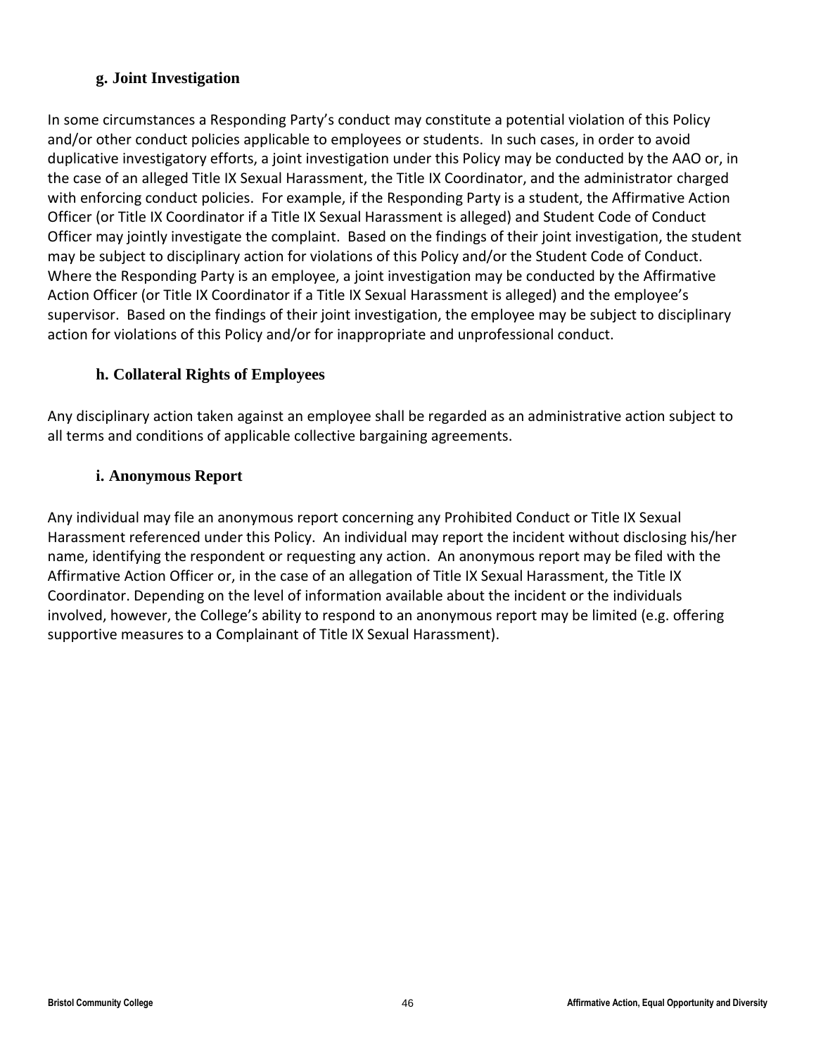## **g. Joint Investigation**

<span id="page-45-0"></span>In some circumstances a Responding Party's conduct may constitute a potential violation of this Policy and/or other conduct policies applicable to employees or students. In such cases, in order to avoid duplicative investigatory efforts, a joint investigation under this Policy may be conducted by the AAO or, in the case of an alleged Title IX Sexual Harassment, the Title IX Coordinator, and the administrator charged with enforcing conduct policies. For example, if the Responding Party is a student, the Affirmative Action Officer (or Title IX Coordinator if a Title IX Sexual Harassment is alleged) and Student Code of Conduct Officer may jointly investigate the complaint. Based on the findings of their joint investigation, the student may be subject to disciplinary action for violations of this Policy and/or the Student Code of Conduct. Where the Responding Party is an employee, a joint investigation may be conducted by the Affirmative Action Officer (or Title IX Coordinator if a Title IX Sexual Harassment is alleged) and the employee's supervisor. Based on the findings of their joint investigation, the employee may be subject to disciplinary action for violations of this Policy and/or for inappropriate and unprofessional conduct.

## **h. Collateral Rights of Employees**

<span id="page-45-1"></span>Any disciplinary action taken against an employee shall be regarded as an administrative action subject to all terms and conditions of applicable collective bargaining agreements.

## **i. Anonymous Report**

<span id="page-45-2"></span>Any individual may file an anonymous report concerning any Prohibited Conduct or Title IX Sexual Harassment referenced under this Policy. An individual may report the incident without disclosing his/her name, identifying the respondent or requesting any action. An anonymous report may be filed with the Affirmative Action Officer or, in the case of an allegation of Title IX Sexual Harassment, the Title IX Coordinator. Depending on the level of information available about the incident or the individuals involved, however, the College's ability to respond to an anonymous report may be limited (e.g. offering supportive measures to a Complainant of Title IX Sexual Harassment).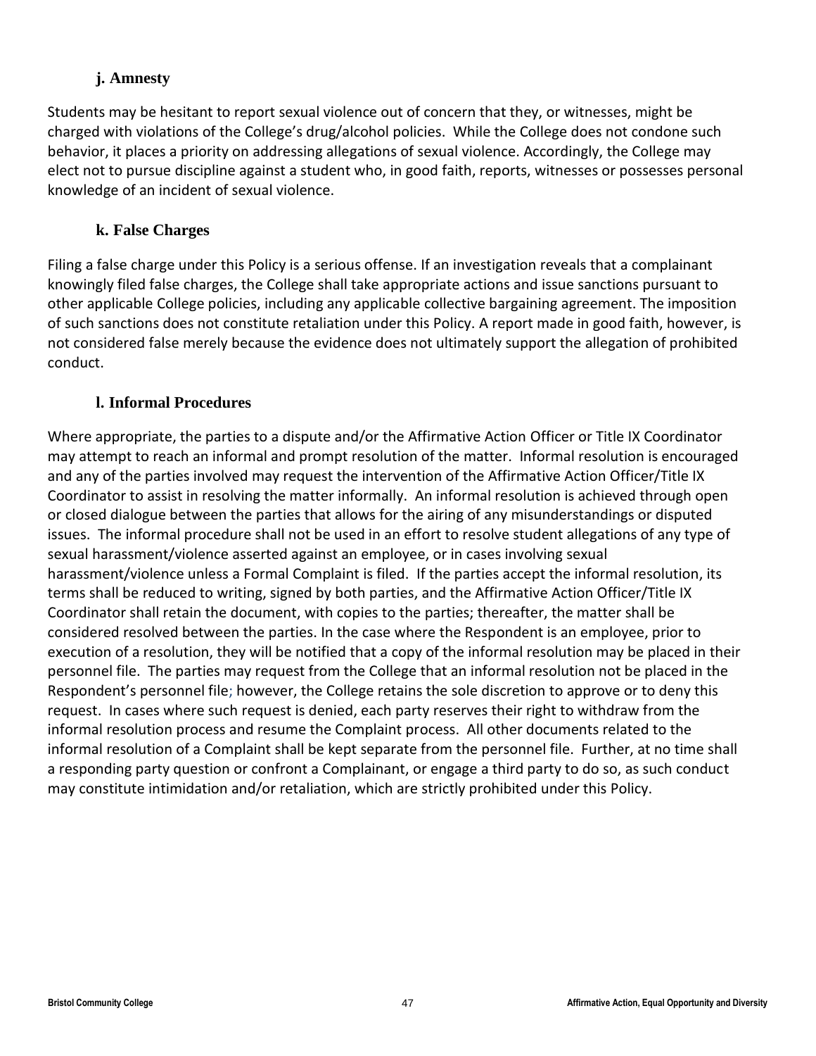## **j. Amnesty**

<span id="page-46-0"></span>Students may be hesitant to report sexual violence out of concern that they, or witnesses, might be charged with violations of the College's drug/alcohol policies. While the College does not condone such behavior, it places a priority on addressing allegations of sexual violence. Accordingly, the College may elect not to pursue discipline against a student who, in good faith, reports, witnesses or possesses personal knowledge of an incident of sexual violence.

## **k. False Charges**

<span id="page-46-1"></span>Filing a false charge under this Policy is a serious offense. If an investigation reveals that a complainant knowingly filed false charges, the College shall take appropriate actions and issue sanctions pursuant to other applicable College policies, including any applicable collective bargaining agreement. The imposition of such sanctions does not constitute retaliation under this Policy. A report made in good faith, however, is not considered false merely because the evidence does not ultimately support the allegation of prohibited conduct.

## **l. Informal Procedures**

<span id="page-46-2"></span>Where appropriate, the parties to a dispute and/or the Affirmative Action Officer or Title IX Coordinator may attempt to reach an informal and prompt resolution of the matter. Informal resolution is encouraged and any of the parties involved may request the intervention of the Affirmative Action Officer/Title IX Coordinator to assist in resolving the matter informally. An informal resolution is achieved through open or closed dialogue between the parties that allows for the airing of any misunderstandings or disputed issues. The informal procedure shall not be used in an effort to resolve student allegations of any type of sexual harassment/violence asserted against an employee, or in cases involving sexual harassment/violence unless a Formal Complaint is filed. If the parties accept the informal resolution, its terms shall be reduced to writing, signed by both parties, and the Affirmative Action Officer/Title IX Coordinator shall retain the document, with copies to the parties; thereafter, the matter shall be considered resolved between the parties. In the case where the Respondent is an employee, prior to execution of a resolution, they will be notified that a copy of the informal resolution may be placed in their personnel file. The parties may request from the College that an informal resolution not be placed in the Respondent's personnel file; however, the College retains the sole discretion to approve or to deny this request. In cases where such request is denied, each party reserves their right to withdraw from the informal resolution process and resume the Complaint process. All other documents related to the informal resolution of a Complaint shall be kept separate from the personnel file. Further, at no time shall a responding party question or confront a Complainant, or engage a third party to do so, as such conduct may constitute intimidation and/or retaliation, which are strictly prohibited under this Policy.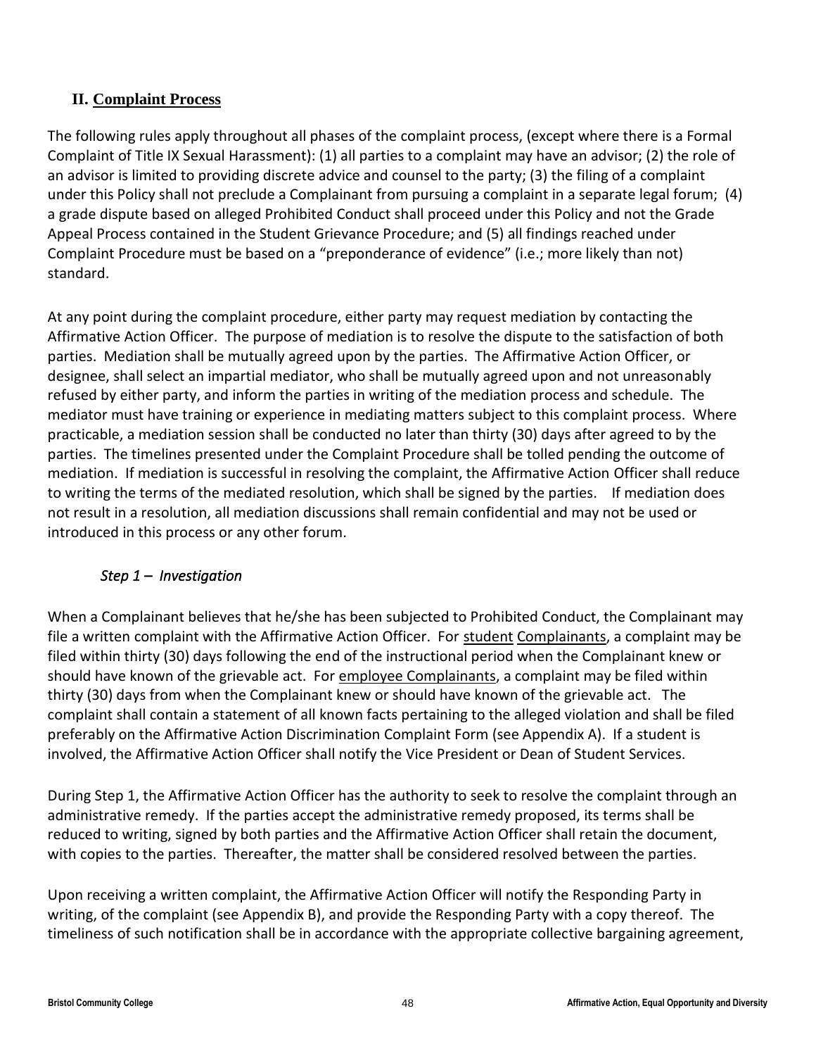## <span id="page-47-0"></span>**II. Complaint Process**

The following rules apply throughout all phases of the complaint process, (except where there is a Formal Complaint of Title IX Sexual Harassment): (1) all parties to a complaint may have an advisor; (2) the role of an advisor is limited to providing discrete advice and counsel to the party; (3) the filing of a complaint under this Policy shall not preclude a Complainant from pursuing a complaint in a separate legal forum; (4) a grade dispute based on alleged Prohibited Conduct shall proceed under this Policy and not the Grade Appeal Process contained in the Student Grievance Procedure; and (5) all findings reached under Complaint Procedure must be based on a "preponderance of evidence" (i.e.; more likely than not) standard.

At any point during the complaint procedure, either party may request mediation by contacting the Affirmative Action Officer. The purpose of mediation is to resolve the dispute to the satisfaction of both parties. Mediation shall be mutually agreed upon by the parties. The Affirmative Action Officer, or designee, shall select an impartial mediator, who shall be mutually agreed upon and not unreasonably refused by either party, and inform the parties in writing of the mediation process and schedule. The mediator must have training or experience in mediating matters subject to this complaint process. Where practicable, a mediation session shall be conducted no later than thirty (30) days after agreed to by the parties. The timelines presented under the Complaint Procedure shall be tolled pending the outcome of mediation. If mediation is successful in resolving the complaint, the Affirmative Action Officer shall reduce to writing the terms of the mediated resolution, which shall be signed by the parties. If mediation does not result in a resolution, all mediation discussions shall remain confidential and may not be used or introduced in this process or any other forum.

## *Step 1 – Investigation*

When a Complainant believes that he/she has been subjected to Prohibited Conduct, the Complainant may file a written complaint with the Affirmative Action Officer. For student Complainants, a complaint may be filed within thirty (30) days following the end of the instructional period when the Complainant knew or should have known of the grievable act. For employee Complainants, a complaint may be filed within thirty (30) days from when the Complainant knew or should have known of the grievable act. The complaint shall contain a statement of all known facts pertaining to the alleged violation and shall be filed preferably on the Affirmative Action Discrimination Complaint Form (see Appendix A). If a student is involved, the Affirmative Action Officer shall notify the Vice President or Dean of Student Services.

During Step 1, the Affirmative Action Officer has the authority to seek to resolve the complaint through an administrative remedy. If the parties accept the administrative remedy proposed, its terms shall be reduced to writing, signed by both parties and the Affirmative Action Officer shall retain the document, with copies to the parties. Thereafter, the matter shall be considered resolved between the parties.

Upon receiving a written complaint, the Affirmative Action Officer will notify the Responding Party in writing, of the complaint (see Appendix B), and provide the Responding Party with a copy thereof. The timeliness of such notification shall be in accordance with the appropriate collective bargaining agreement,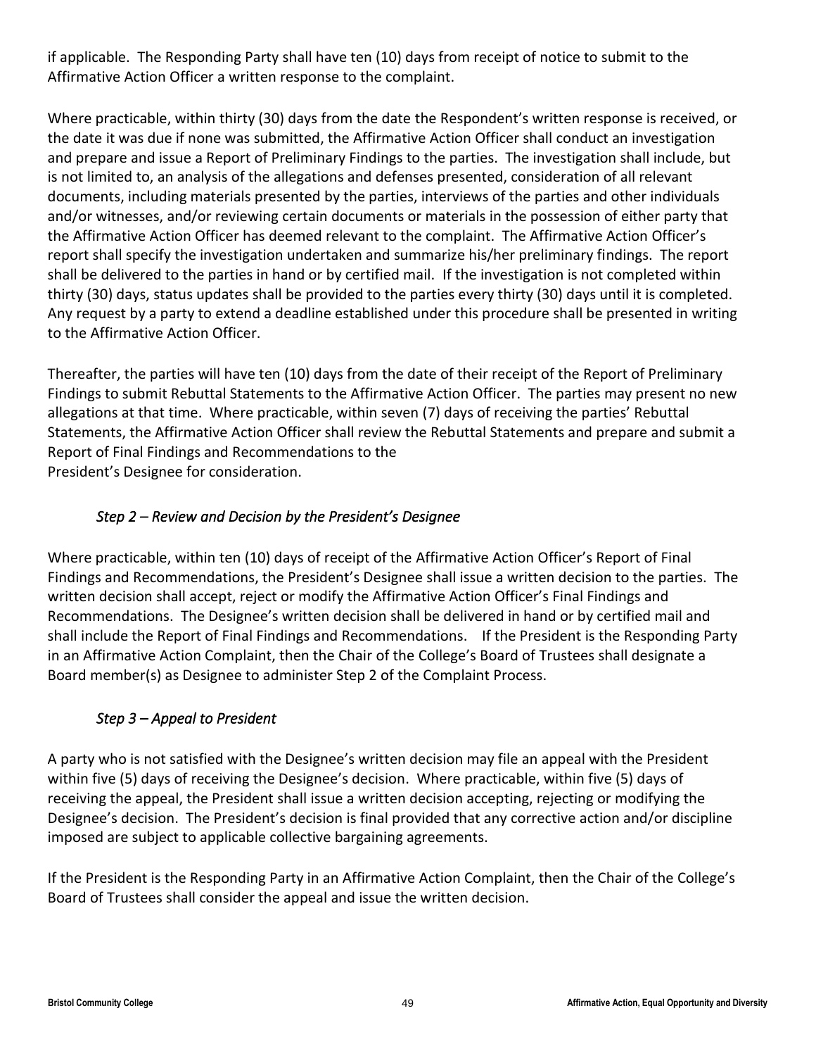if applicable.The Responding Party shall have ten (10) days from receipt of notice to submit to the Affirmative Action Officer a written response to the complaint.

Where practicable, within thirty (30) days from the date the Respondent's written response is received, or the date it was due if none was submitted, the Affirmative Action Officer shall conduct an investigation and prepare and issue a Report of Preliminary Findings to the parties. The investigation shall include, but is not limited to, an analysis of the allegations and defenses presented, consideration of all relevant documents, including materials presented by the parties, interviews of the parties and other individuals and/or witnesses, and/or reviewing certain documents or materials in the possession of either party that the Affirmative Action Officer has deemed relevant to the complaint. The Affirmative Action Officer's report shall specify the investigation undertaken and summarize his/her preliminary findings. The report shall be delivered to the parties in hand or by certified mail. If the investigation is not completed within thirty (30) days, status updates shall be provided to the parties every thirty (30) days until it is completed. Any request by a party to extend a deadline established under this procedure shall be presented in writing to the Affirmative Action Officer.

Thereafter, the parties will have ten (10) days from the date of their receipt of the Report of Preliminary Findings to submit Rebuttal Statements to the Affirmative Action Officer. The parties may present no new allegations at that time. Where practicable, within seven (7) days of receiving the parties' Rebuttal Statements, the Affirmative Action Officer shall review the Rebuttal Statements and prepare and submit a Report of Final Findings and Recommendations to the President's Designee for consideration.

## *Step 2 – Review and Decision by the President's Designee*

Where practicable, within ten (10) days of receipt of the Affirmative Action Officer's Report of Final Findings and Recommendations, the President's Designee shall issue a written decision to the parties. The written decision shall accept, reject or modify the Affirmative Action Officer's Final Findings and Recommendations. The Designee's written decision shall be delivered in hand or by certified mail and shall include the Report of Final Findings and Recommendations. If the President is the Responding Party in an Affirmative Action Complaint, then the Chair of the College's Board of Trustees shall designate a Board member(s) as Designee to administer Step 2 of the Complaint Process.

## *Step 3 – Appeal to President*

A party who is not satisfied with the Designee's written decision may file an appeal with the President within five (5) days of receiving the Designee's decision. Where practicable, within five (5) days of receiving the appeal, the President shall issue a written decision accepting, rejecting or modifying the Designee's decision. The President's decision is final provided that any corrective action and/or discipline imposed are subject to applicable collective bargaining agreements.

If the President is the Responding Party in an Affirmative Action Complaint, then the Chair of the College's Board of Trustees shall consider the appeal and issue the written decision.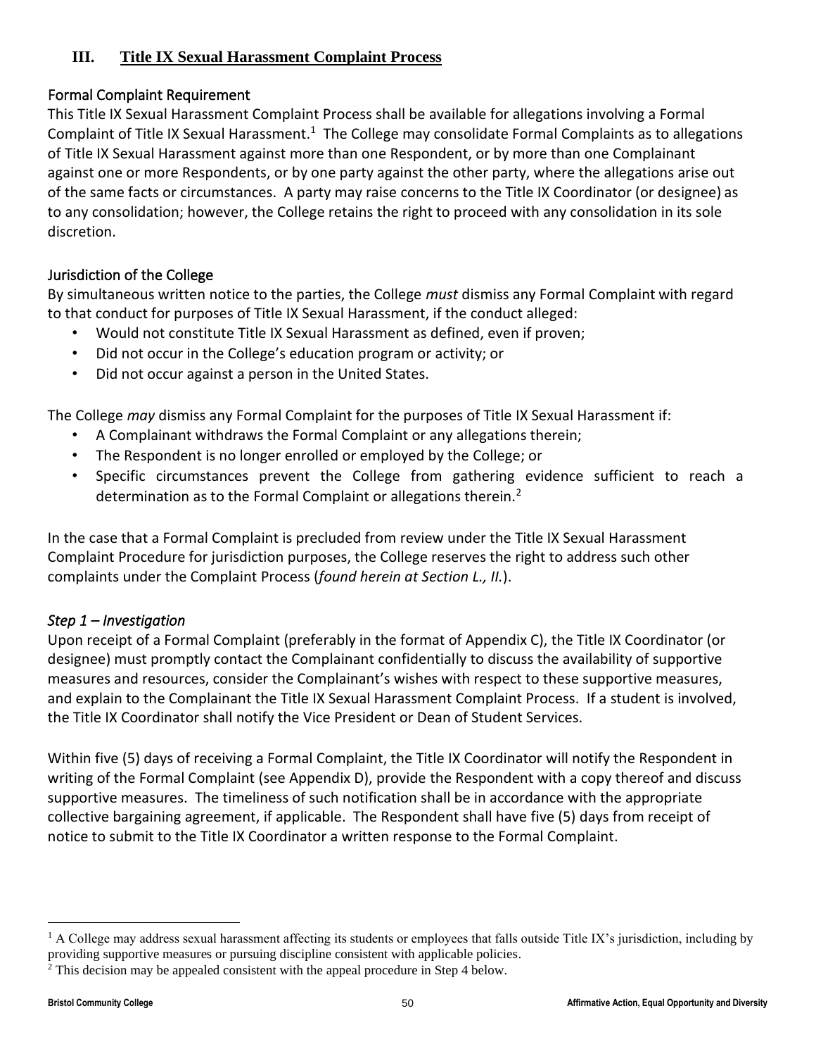## <span id="page-49-0"></span>**III. Title IX Sexual Harassment Complaint Process**

## Formal Complaint Requirement

This Title IX Sexual Harassment Complaint Process shall be available for allegations involving a Formal Complaint of Title IX Sexual Harassment.<sup>1</sup> The College may consolidate Formal Complaints as to allegations of Title IX Sexual Harassment against more than one Respondent, or by more than one Complainant against one or more Respondents, or by one party against the other party, where the allegations arise out of the same facts or circumstances. A party may raise concerns to the Title IX Coordinator (or designee) as to any consolidation; however, the College retains the right to proceed with any consolidation in its sole discretion.

## Jurisdiction of the College

By simultaneous written notice to the parties, the College *must* dismiss any Formal Complaint with regard to that conduct for purposes of Title IX Sexual Harassment, if the conduct alleged:

- Would not constitute Title IX Sexual Harassment as defined, even if proven;
- Did not occur in the College's education program or activity; or
- Did not occur against a person in the United States.

The College *may* dismiss any Formal Complaint for the purposes of Title IX Sexual Harassment if:

- A Complainant withdraws the Formal Complaint or any allegations therein;
- The Respondent is no longer enrolled or employed by the College; or
- Specific circumstances prevent the College from gathering evidence sufficient to reach a determination as to the Formal Complaint or allegations therein.<sup>2</sup>

In the case that a Formal Complaint is precluded from review under the Title IX Sexual Harassment Complaint Procedure for jurisdiction purposes, the College reserves the right to address such other complaints under the Complaint Process (*found herein at Section L., II.*).

## *Step 1 – Investigation*

Upon receipt of a Formal Complaint (preferably in the format of Appendix C), the Title IX Coordinator (or designee) must promptly contact the Complainant confidentially to discuss the availability of supportive measures and resources, consider the Complainant's wishes with respect to these supportive measures, and explain to the Complainant the Title IX Sexual Harassment Complaint Process. If a student is involved, the Title IX Coordinator shall notify the Vice President or Dean of Student Services.

Within five (5) days of receiving a Formal Complaint, the Title IX Coordinator will notify the Respondent in writing of the Formal Complaint (see Appendix D), provide the Respondent with a copy thereof and discuss supportive measures. The timeliness of such notification shall be in accordance with the appropriate collective bargaining agreement, if applicable. The Respondent shall have five (5) days from receipt of notice to submit to the Title IX Coordinator a written response to the Formal Complaint.

<sup>&</sup>lt;sup>1</sup> A College may address sexual harassment affecting its students or employees that falls outside Title IX's jurisdiction, including by providing supportive measures or pursuing discipline consistent with applicable policies.

<sup>2</sup> This decision may be appealed consistent with the appeal procedure in Step 4 below.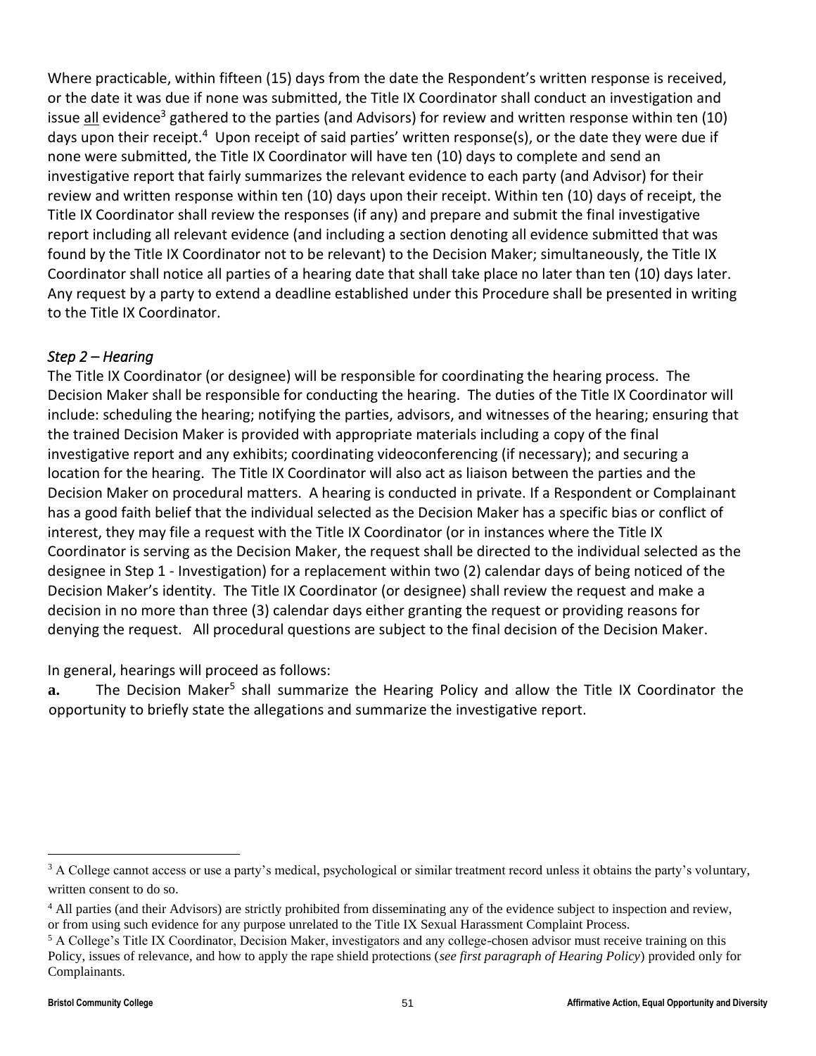Where practicable, within fifteen (15) days from the date the Respondent's written response is received, or the date it was due if none was submitted, the Title IX Coordinator shall conduct an investigation and issue all evidence<sup>3</sup> gathered to the parties (and Advisors) for review and written response within ten (10) days upon their receipt.<sup>4</sup> Upon receipt of said parties' written response(s), or the date they were due if none were submitted, the Title IX Coordinator will have ten (10) days to complete and send an investigative report that fairly summarizes the relevant evidence to each party (and Advisor) for their review and written response within ten (10) days upon their receipt. Within ten (10) days of receipt, the Title IX Coordinator shall review the responses (if any) and prepare and submit the final investigative report including all relevant evidence (and including a section denoting all evidence submitted that was found by the Title IX Coordinator not to be relevant) to the Decision Maker; simultaneously, the Title IX Coordinator shall notice all parties of a hearing date that shall take place no later than ten (10) days later. Any request by a party to extend a deadline established under this Procedure shall be presented in writing to the Title IX Coordinator.

## *Step 2 – Hearing*

The Title IX Coordinator (or designee) will be responsible for coordinating the hearing process. The Decision Maker shall be responsible for conducting the hearing. The duties of the Title IX Coordinator will include: scheduling the hearing; notifying the parties, advisors, and witnesses of the hearing; ensuring that the trained Decision Maker is provided with appropriate materials including a copy of the final investigative report and any exhibits; coordinating videoconferencing (if necessary); and securing a location for the hearing. The Title IX Coordinator will also act as liaison between the parties and the Decision Maker on procedural matters. A hearing is conducted in private. If a Respondent or Complainant has a good faith belief that the individual selected as the Decision Maker has a specific bias or conflict of interest, they may file a request with the Title IX Coordinator (or in instances where the Title IX Coordinator is serving as the Decision Maker, the request shall be directed to the individual selected as the designee in Step 1 - Investigation) for a replacement within two (2) calendar days of being noticed of the Decision Maker's identity. The Title IX Coordinator (or designee) shall review the request and make a decision in no more than three (3) calendar days either granting the request or providing reasons for denying the request. All procedural questions are subject to the final decision of the Decision Maker.

In general, hearings will proceed as follows:

a. The Decision Maker<sup>5</sup> shall summarize the Hearing Policy and allow the Title IX Coordinator the opportunity to briefly state the allegations and summarize the investigative report.

<sup>&</sup>lt;sup>3</sup> A College cannot access or use a party's medical, psychological or similar treatment record unless it obtains the party's voluntary, written consent to do so.

<sup>&</sup>lt;sup>4</sup> All parties (and their Advisors) are strictly prohibited from disseminating any of the evidence subject to inspection and review, or from using such evidence for any purpose unrelated to the Title IX Sexual Harassment Complaint Process.

<sup>5</sup> A College's Title IX Coordinator, Decision Maker, investigators and any college-chosen advisor must receive training on this Policy, issues of relevance, and how to apply the rape shield protections (*see first paragraph of Hearing Policy*) provided only for Complainants.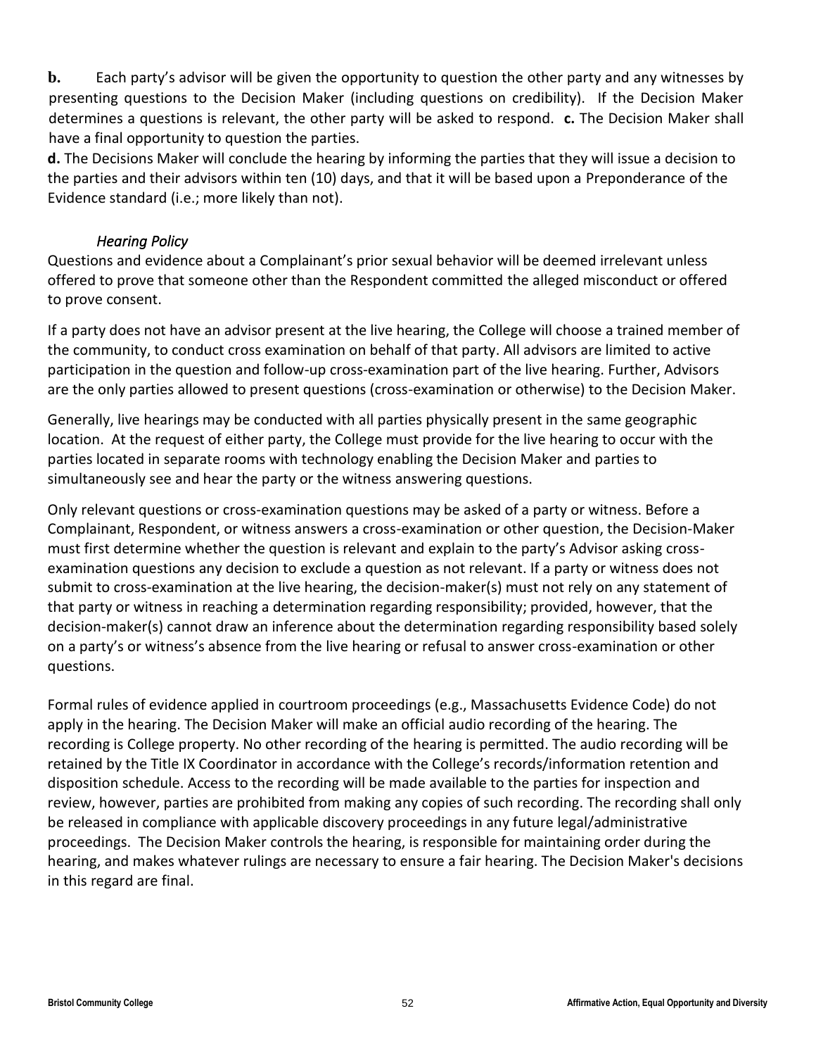**b.** Each party's advisor will be given the opportunity to question the other party and any witnesses by presenting questions to the Decision Maker (including questions on credibility). If the Decision Maker determines a questions is relevant, the other party will be asked to respond. **c.** The Decision Maker shall have a final opportunity to question the parties.

**d.** The Decisions Maker will conclude the hearing by informing the parties that they will issue a decision to the parties and their advisors within ten (10) days, and that it will be based upon a Preponderance of the Evidence standard (i.e.; more likely than not).

## *Hearing Policy*

Questions and evidence about a Complainant's prior sexual behavior will be deemed irrelevant unless offered to prove that someone other than the Respondent committed the alleged misconduct or offered to prove consent.

If a party does not have an advisor present at the live hearing, the College will choose a trained member of the community, to conduct cross examination on behalf of that party. All advisors are limited to active participation in the question and follow-up cross-examination part of the live hearing. Further, Advisors are the only parties allowed to present questions (cross-examination or otherwise) to the Decision Maker.

Generally, live hearings may be conducted with all parties physically present in the same geographic location. At the request of either party, the College must provide for the live hearing to occur with the parties located in separate rooms with technology enabling the Decision Maker and parties to simultaneously see and hear the party or the witness answering questions.

Only relevant questions or cross-examination questions may be asked of a party or witness. Before a Complainant, Respondent, or witness answers a cross-examination or other question, the Decision-Maker must first determine whether the question is relevant and explain to the party's Advisor asking crossexamination questions any decision to exclude a question as not relevant. If a party or witness does not submit to cross-examination at the live hearing, the decision-maker(s) must not rely on any statement of that party or witness in reaching a determination regarding responsibility; provided, however, that the decision-maker(s) cannot draw an inference about the determination regarding responsibility based solely on a party's or witness's absence from the live hearing or refusal to answer cross-examination or other questions.

Formal rules of evidence applied in courtroom proceedings (e.g., Massachusetts Evidence Code) do not apply in the hearing. The Decision Maker will make an official audio recording of the hearing. The recording is College property. No other recording of the hearing is permitted. The audio recording will be retained by the Title IX Coordinator in accordance with the College's records/information retention and disposition schedule. Access to the recording will be made available to the parties for inspection and review, however, parties are prohibited from making any copies of such recording. The recording shall only be released in compliance with applicable discovery proceedings in any future legal/administrative proceedings. The Decision Maker controls the hearing, is responsible for maintaining order during the hearing, and makes whatever rulings are necessary to ensure a fair hearing. The Decision Maker's decisions in this regard are final.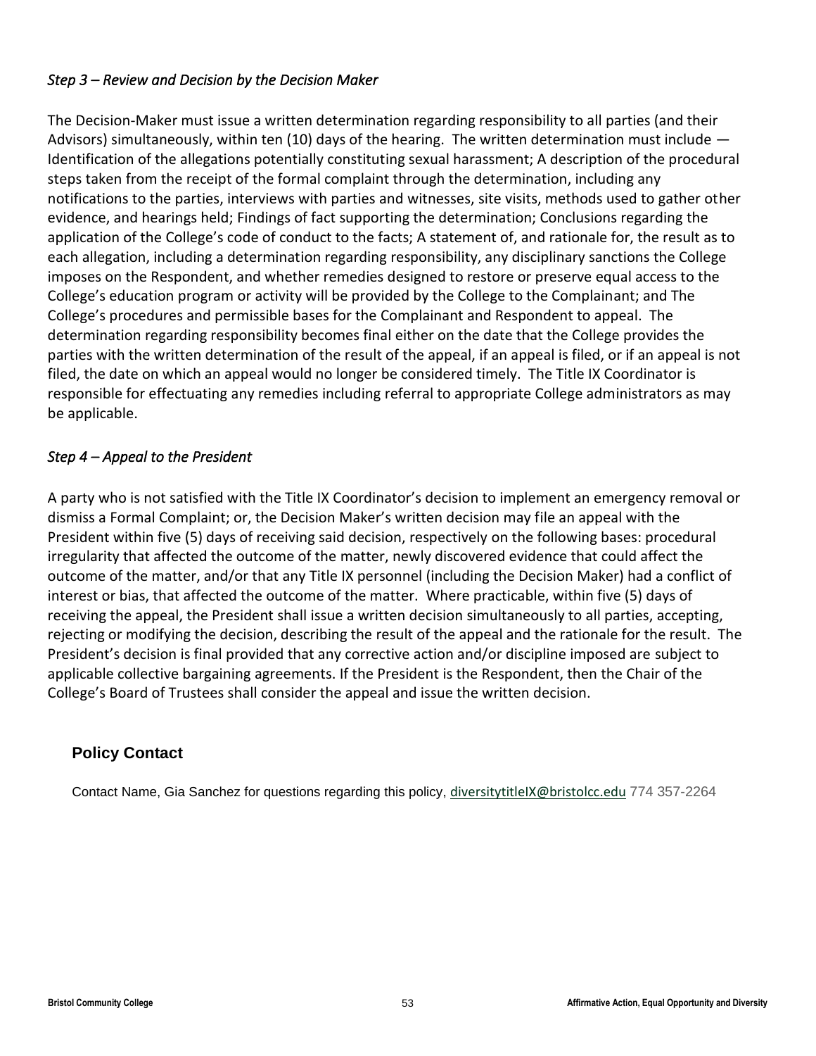## *Step 3 – Review and Decision by the Decision Maker*

The Decision-Maker must issue a written determination regarding responsibility to all parties (and their Advisors) simultaneously, within ten (10) days of the hearing. The written determination must include — Identification of the allegations potentially constituting sexual harassment; A description of the procedural steps taken from the receipt of the formal complaint through the determination, including any notifications to the parties, interviews with parties and witnesses, site visits, methods used to gather other evidence, and hearings held; Findings of fact supporting the determination; Conclusions regarding the application of the College's code of conduct to the facts; A statement of, and rationale for, the result as to each allegation, including a determination regarding responsibility, any disciplinary sanctions the College imposes on the Respondent, and whether remedies designed to restore or preserve equal access to the College's education program or activity will be provided by the College to the Complainant; and The College's procedures and permissible bases for the Complainant and Respondent to appeal. The determination regarding responsibility becomes final either on the date that the College provides the parties with the written determination of the result of the appeal, if an appeal is filed, or if an appeal is not filed, the date on which an appeal would no longer be considered timely. The Title IX Coordinator is responsible for effectuating any remedies including referral to appropriate College administrators as may be applicable.

## *Step 4 – Appeal to the President*

A party who is not satisfied with the Title IX Coordinator's decision to implement an emergency removal or dismiss a Formal Complaint; or, the Decision Maker's written decision may file an appeal with the President within five (5) days of receiving said decision, respectively on the following bases: procedural irregularity that affected the outcome of the matter, newly discovered evidence that could affect the outcome of the matter, and/or that any Title IX personnel (including the Decision Maker) had a conflict of interest or bias, that affected the outcome of the matter. Where practicable, within five (5) days of receiving the appeal, the President shall issue a written decision simultaneously to all parties, accepting, rejecting or modifying the decision, describing the result of the appeal and the rationale for the result. The President's decision is final provided that any corrective action and/or discipline imposed are subject to applicable collective bargaining agreements. If the President is the Respondent, then the Chair of the College's Board of Trustees shall consider the appeal and issue the written decision.

## **Policy Contact**

Contact Name, Gia Sanchez for questions regarding this policy, [diversitytitleIX@bristolcc.edu](mailto:diversitytitleIX@bristolcc.edu) 774 357-2264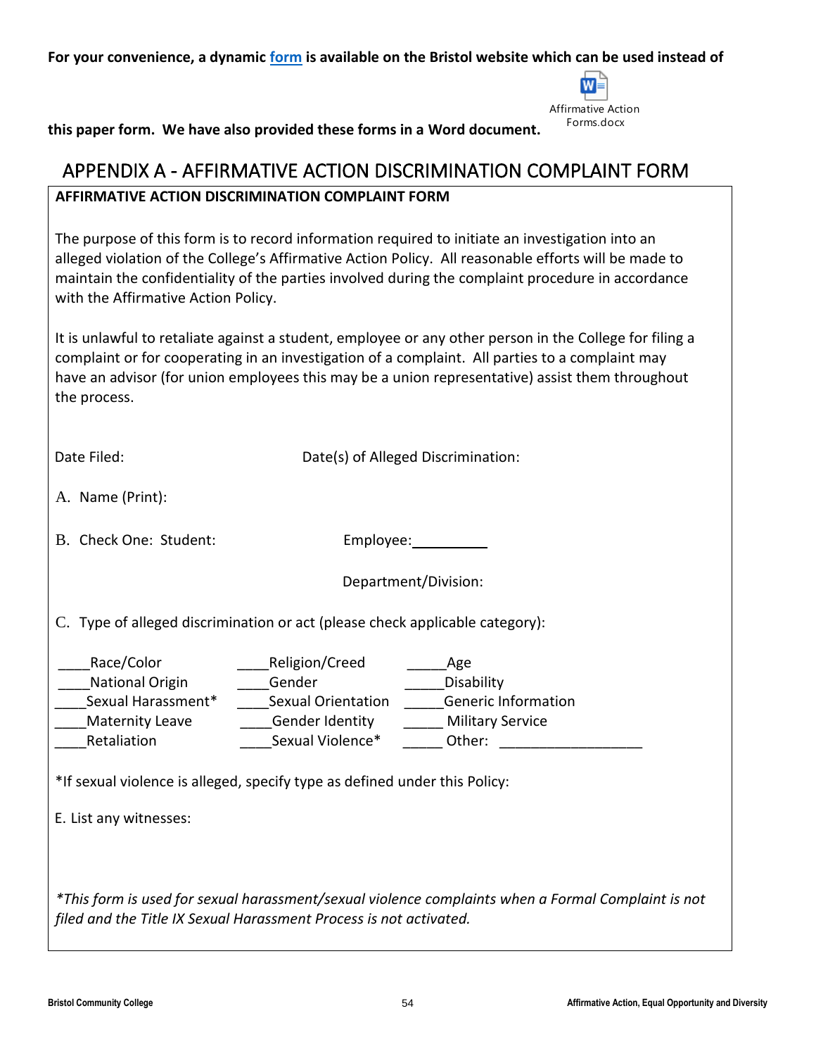<span id="page-53-0"></span>**For your convenience, a dynamic [form](http://bristolcc.edu/about/policiesdisclosureslegalstatements/consumerpolicies/equalopportunitynon-discriminationnotice/discriminationandharassmentcomplaintform/) is available on the Bristol website which can be used instead of** 



**this paper form. We have also provided these forms in a Word document.** 

## APPENDIX A - AFFIRMATIVE ACTION DISCRIMINATION COMPLAINT FORM

## **AFFIRMATIVE ACTION DISCRIMINATION COMPLAINT FORM**

The purpose of this form is to record information required to initiate an investigation into an alleged violation of the College's Affirmative Action Policy. All reasonable efforts will be made to maintain the confidentiality of the parties involved during the complaint procedure in accordance with the Affirmative Action Policy.

It is unlawful to retaliate against a student, employee or any other person in the College for filing a complaint or for cooperating in an investigation of a complaint. All parties to a complaint may have an advisor (for union employees this may be a union representative) assist them throughout the process.

| Date Filed:                                                                                                                                                                     |                                                       | Date(s) of Alleged Discrimination:                                                                                                                                                           |
|---------------------------------------------------------------------------------------------------------------------------------------------------------------------------------|-------------------------------------------------------|----------------------------------------------------------------------------------------------------------------------------------------------------------------------------------------------|
| A. Name (Print):                                                                                                                                                                |                                                       |                                                                                                                                                                                              |
| B. Check One: Student:                                                                                                                                                          |                                                       |                                                                                                                                                                                              |
|                                                                                                                                                                                 |                                                       | Department/Division:                                                                                                                                                                         |
| C. Type of alleged discrimination or act (please check applicable category):                                                                                                    |                                                       |                                                                                                                                                                                              |
| Race/Color<br>National Origin Gender<br>Maternity Leave_<br>Retaliation<br>*If sexual violence is alleged, specify type as defined under this Policy:<br>E. List any witnesses: | Religion/Creed<br>Gender Identity<br>Sexual Violence* | Age<br>Disability<br><b>Generic Information</b><br><b>Military Service</b><br>Other: and the contract of the contract of the contract of the contract of the contract of the contract of the |
| filed and the Title IX Sexual Harassment Process is not activated.                                                                                                              |                                                       | *This form is used for sexual harassment/sexual violence complaints when a Formal Complaint is not                                                                                           |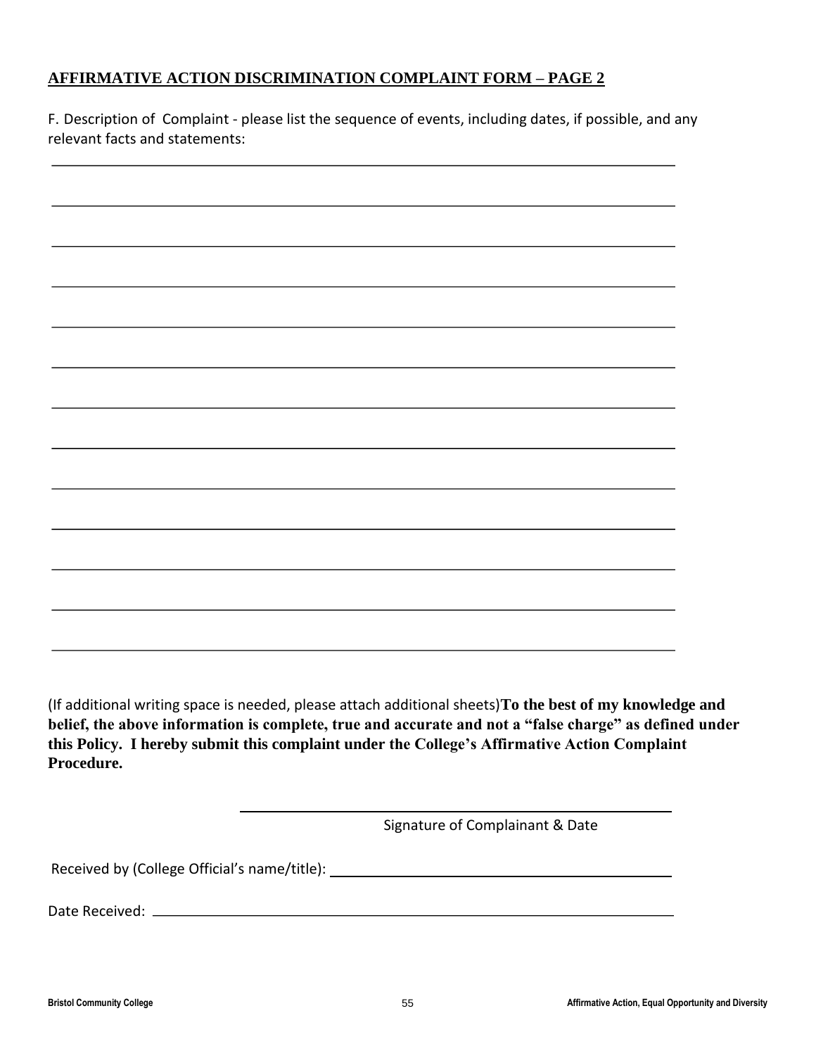## **AFFIRMATIVE ACTION DISCRIMINATION COMPLAINT FORM – PAGE 2**

F. Description of Complaint - please list the sequence of events, including dates, if possible, and any relevant facts and statements:

(If additional writing space is needed, please attach additional sheets)**To the best of my knowledge and belief, the above information is complete, true and accurate and not a "false charge" as defined under this Policy. I hereby submit this complaint under the College's Affirmative Action Complaint Procedure.** 

Signature of Complainant & Date

Received by (College Official's name/title): \_\_\_\_\_\_\_\_\_\_\_\_\_\_\_\_\_\_\_\_\_\_\_\_\_\_\_\_\_\_\_\_\_\_\_

Date Received: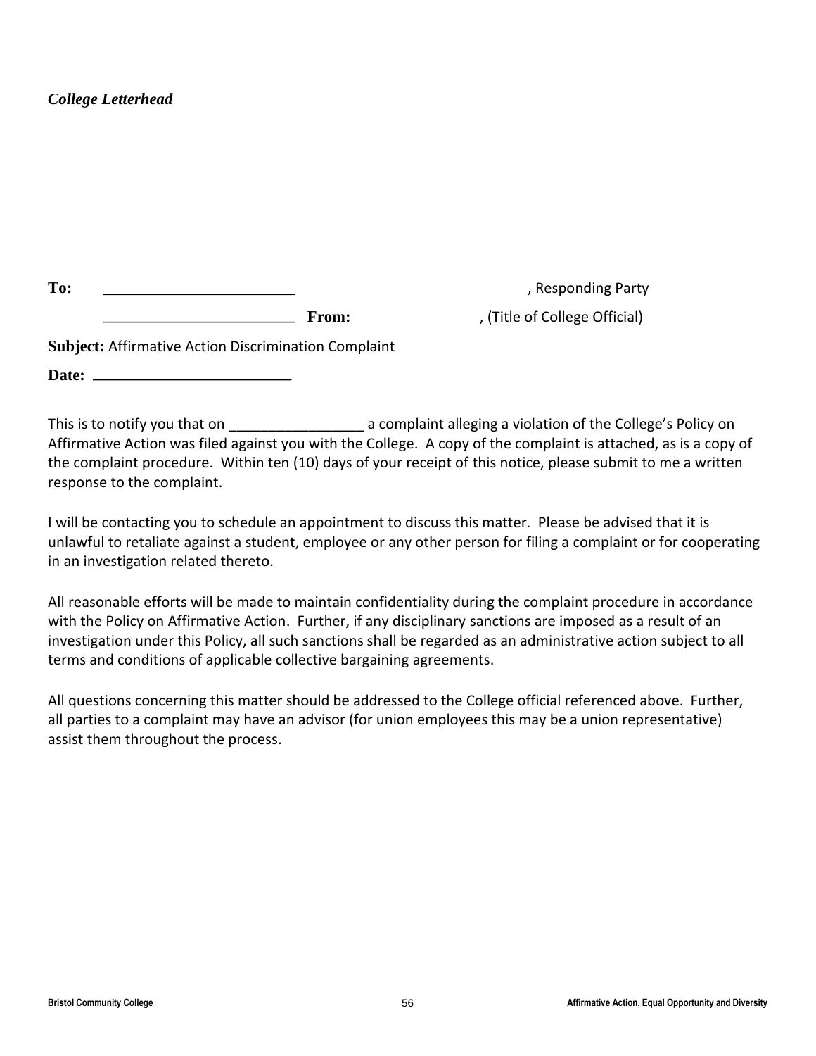## *College Letterhead*

| m<br>n:<br>$- \mathbf{v} \cdot$ |  |
|---------------------------------|--|
|                                 |  |

**To:** , Responding Party

**From:** , (Title of College Official)

**Subject:** Affirmative Action Discrimination Complaint

**Date:** 

This is to notify you that on  $\Box$  a complaint alleging a violation of the College's Policy on Affirmative Action was filed against you with the College. A copy of the complaint is attached, as is a copy of the complaint procedure. Within ten (10) days of your receipt of this notice, please submit to me a written response to the complaint.

I will be contacting you to schedule an appointment to discuss this matter. Please be advised that it is unlawful to retaliate against a student, employee or any other person for filing a complaint or for cooperating in an investigation related thereto.

All reasonable efforts will be made to maintain confidentiality during the complaint procedure in accordance with the Policy on Affirmative Action. Further, if any disciplinary sanctions are imposed as a result of an investigation under this Policy, all such sanctions shall be regarded as an administrative action subject to all terms and conditions of applicable collective bargaining agreements.

All questions concerning this matter should be addressed to the College official referenced above. Further, all parties to a complaint may have an advisor (for union employees this may be a union representative) assist them throughout the process.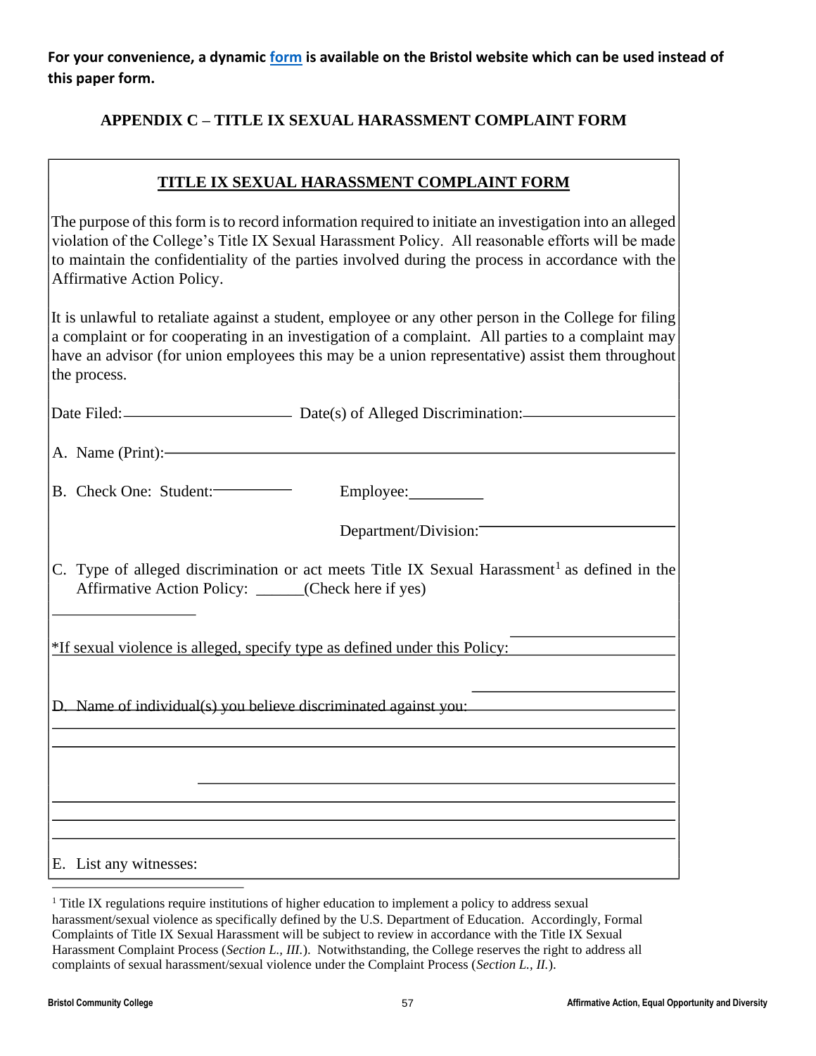**For your convenience, a dynamic [form](http://bristolcc.edu/about/policiesdisclosureslegalstatements/consumerpolicies/equalopportunitynon-discriminationnotice/discriminationandharassmentcomplaintform/) is available on the Bristol website which can be used instead of this paper form.** 

## **APPENDIX C – TITLE IX SEXUAL HARASSMENT COMPLAINT FORM**

## **TITLE IX SEXUAL HARASSMENT COMPLAINT FORM**

| The purpose of this form is to record information required to initiate an investigation into an alleged<br>violation of the College's Title IX Sexual Harassment Policy. All reasonable efforts will be made<br>to maintain the confidentiality of the parties involved during the process in accordance with the<br>Affirmative Action Policy. |
|-------------------------------------------------------------------------------------------------------------------------------------------------------------------------------------------------------------------------------------------------------------------------------------------------------------------------------------------------|
| It is unlawful to retaliate against a student, employee or any other person in the College for filing<br>a complaint or for cooperating in an investigation of a complaint. All parties to a complaint may<br>have an advisor (for union employees this may be a union representative) assist them throughout<br>the process.                   |
| Date Filed: Date(s) of Alleged Discrimination:                                                                                                                                                                                                                                                                                                  |
| A. Name (Print):                                                                                                                                                                                                                                                                                                                                |
| B. Check One: Student:<br>Employee:___________                                                                                                                                                                                                                                                                                                  |
| Department/Division:                                                                                                                                                                                                                                                                                                                            |
| C. Type of alleged discrimination or act meets Title IX Sexual Harassment <sup>1</sup> as defined in the<br>Affirmative Action Policy: _____(Check here if yes)                                                                                                                                                                                 |
| *If sexual violence is alleged, specify type as defined under this Policy:                                                                                                                                                                                                                                                                      |
| D. Name of individual(s) you believe discriminated against you:                                                                                                                                                                                                                                                                                 |
|                                                                                                                                                                                                                                                                                                                                                 |
|                                                                                                                                                                                                                                                                                                                                                 |
|                                                                                                                                                                                                                                                                                                                                                 |
| E. List any witnesses:                                                                                                                                                                                                                                                                                                                          |

<sup>&</sup>lt;sup>1</sup> Title IX regulations require institutions of higher education to implement a policy to address sexual harassment/sexual violence as specifically defined by the U.S. Department of Education. Accordingly, Formal Complaints of Title IX Sexual Harassment will be subject to review in accordance with the Title IX Sexual Harassment Complaint Process (*Section L., III.*). Notwithstanding, the College reserves the right to address all complaints of sexual harassment/sexual violence under the Complaint Process (*Section L., II.*).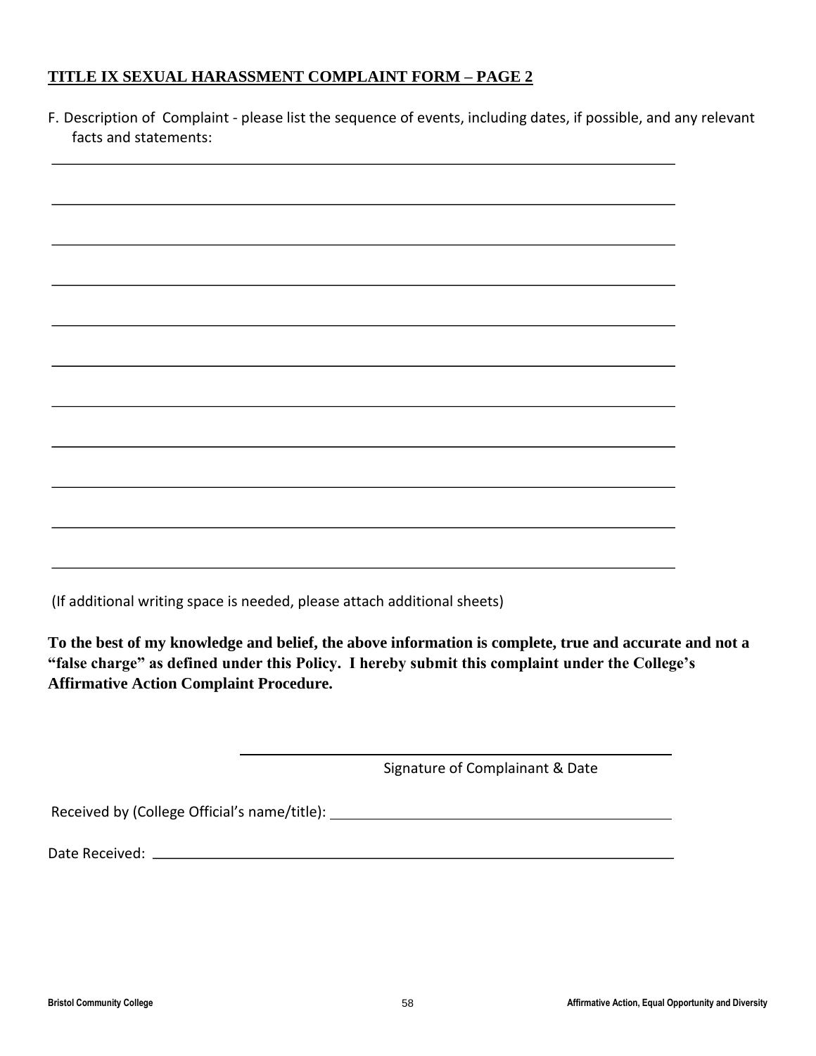## **TITLE IX SEXUAL HARASSMENT COMPLAINT FORM – PAGE 2**

| F. Description of Complaint - please list the sequence of events, including dates, if possible, and any relevant<br>facts and statements: |  |
|-------------------------------------------------------------------------------------------------------------------------------------------|--|
|                                                                                                                                           |  |
|                                                                                                                                           |  |
|                                                                                                                                           |  |
|                                                                                                                                           |  |
|                                                                                                                                           |  |
|                                                                                                                                           |  |
|                                                                                                                                           |  |
|                                                                                                                                           |  |
|                                                                                                                                           |  |

(If additional writing space is needed, please attach additional sheets)

**To the best of my knowledge and belief, the above information is complete, true and accurate and not a "false charge" as defined under this Policy. I hereby submit this complaint under the College's Affirmative Action Complaint Procedure.** 

Signature of Complainant & Date

Received by (College Official's name/title): \_\_\_\_\_\_\_\_\_\_\_\_\_\_\_\_\_\_\_\_\_\_\_\_\_\_\_\_\_\_\_\_\_\_\_

Date Received: